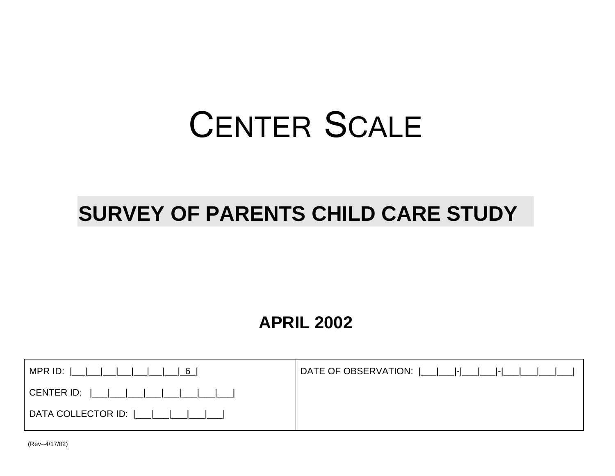# CENTER SCALE

## **SURVEY OF PARENTS CHILD CARE STUDY**

## **APRIL 2002**

| DATE OF OBSERVATION:  ___ ___ - ___ ___ - ___ ___ ___ ___ |
|-----------------------------------------------------------|
|                                                           |
|                                                           |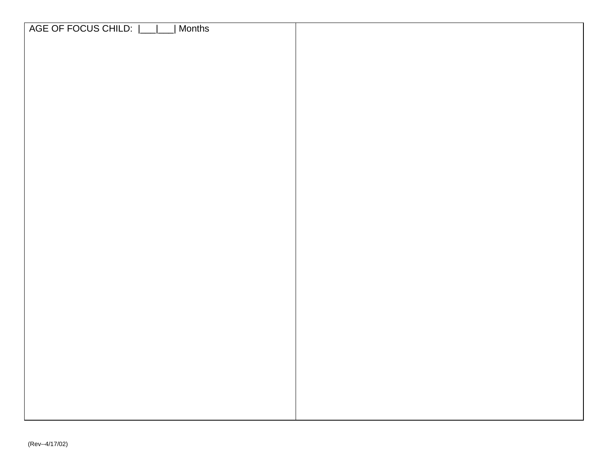| AGE OF FOCUS CHILD:  __ __<br>  Months |  |
|----------------------------------------|--|
|                                        |  |
|                                        |  |
|                                        |  |
|                                        |  |
|                                        |  |
|                                        |  |
|                                        |  |
|                                        |  |
|                                        |  |
|                                        |  |
|                                        |  |
|                                        |  |
|                                        |  |
|                                        |  |
|                                        |  |
|                                        |  |
|                                        |  |
|                                        |  |
|                                        |  |
|                                        |  |
|                                        |  |
|                                        |  |
|                                        |  |
|                                        |  |
|                                        |  |
|                                        |  |
|                                        |  |
|                                        |  |
|                                        |  |
|                                        |  |
|                                        |  |
|                                        |  |
|                                        |  |
|                                        |  |
|                                        |  |
|                                        |  |
|                                        |  |
|                                        |  |
|                                        |  |
|                                        |  |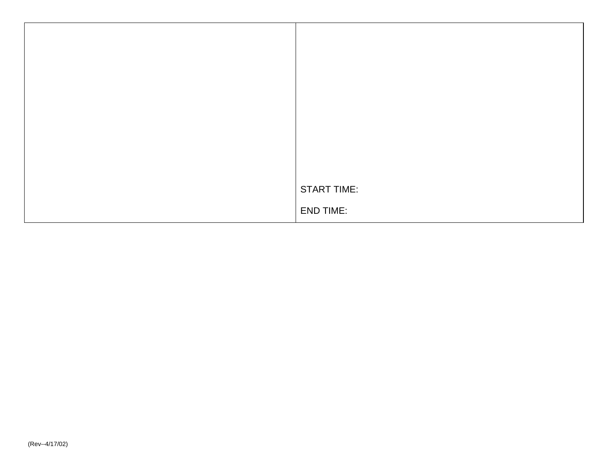| <b>START TIME:</b> |
|--------------------|
| <b>END TIME:</b>   |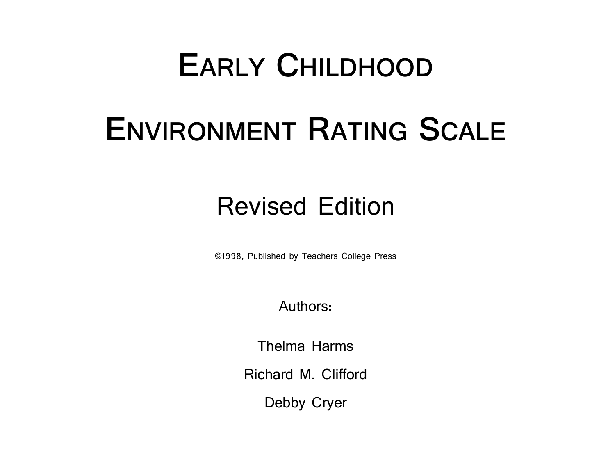# **EARLY CHILDHOOD**

# **ENVIRONMENT RATING SCALE**

# Revised Edition

©1998, Published by Teachers College Press

Authors:

Thelma Harms

Richard M. Clifford

Debby Cryer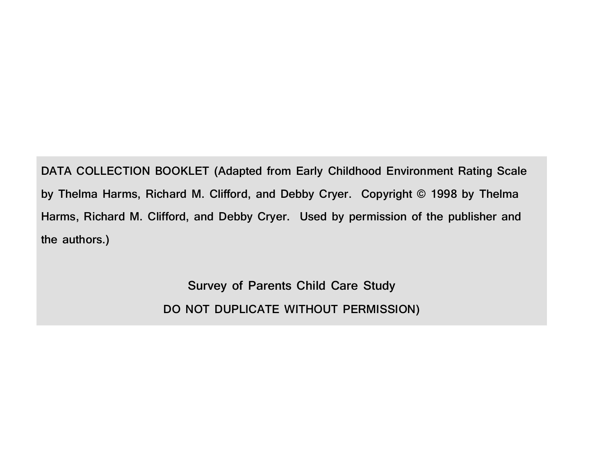**DATA COLLECTION BOOKLET (Adapted from Early Childhood Environment Rating Scale by Thelma Harms, Richard M. Clifford, and Debby Cryer. Copyright © 1998 by Thelma Harms, Richard M. Clifford, and Debby Cryer. Used by permission of the publisher and the authors.)**

> **Survey of Parents Child Care Study DO NOT DUPLICATE WITHOUT PERMISSION)**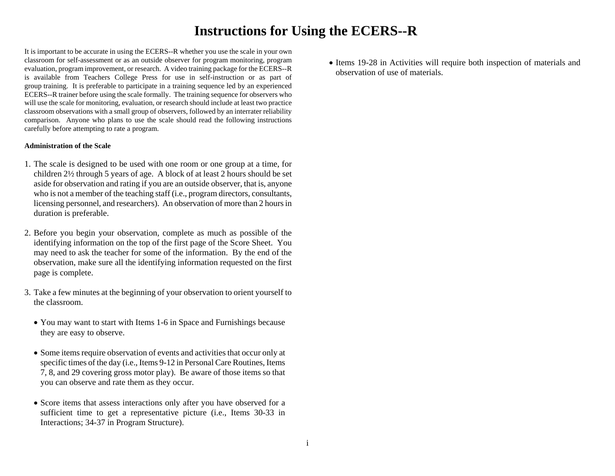## **Instructions for Using the ECERS--R**

It is important to be accurate in using the ECERS--R whether you use the scale in your own classroom for self-assessment or as an outside observer for program monitoring, program evaluation, program improvement, or research. A video training package for the ECERS--R is available from Teachers College Press for use in self-instruction or as part of group training. It is preferable to participate in a training sequence led by an experienced ECERS--R trainer before using the scale formally. The training sequence for observers who will use the scale for monitoring, evaluation, or research should include at least two practice classroom observations with a small group of observers, followed by an interrater reliability comparison. Anyone who plans to use the scale should read the following instructions carefully before attempting to rate a program.

#### **Administration of the Scale**

- 1. The scale is designed to be used with one room or one group at a time, for children 2½ through 5 years of age. A block of at least 2 hours should be set aside for observation and rating if you are an outside observer, that is, anyone who is not a member of the teaching staff (i.e., program directors, consultants, licensing personnel, and researchers). An observation of more than 2 hours in duration is preferable.
- 2. Before you begin your observation, complete as much as possible of the identifying information on the top of the first page of the Score Sheet. You may need to ask the teacher for some of the information. By the end of the observation, make sure all the identifying information requested on the first page is complete.
- 3. Take a few minutes at the beginning of your observation to orient yourself to the classroom.
	- You may want to start with Items 1-6 in Space and Furnishings because they are easy to observe.
	- Some items require observation of events and activities that occur only at specific times of the day (i.e., Items 9-12 in Personal Care Routines, Items 7, 8, and 29 covering gross motor play). Be aware of those items so that you can observe and rate them as they occur.
	- Score items that assess interactions only after you have observed for a sufficient time to get a representative picture (i.e., Items 30-33 in Interactions; 34-37 in Program Structure).

• Items 19-28 in Activities will require both inspection of materials and observation of use of materials.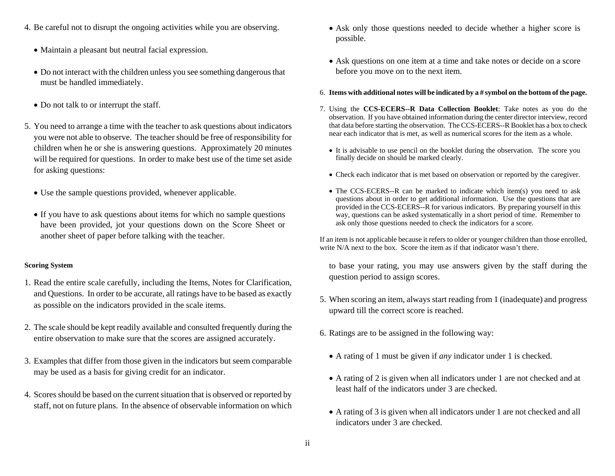- 4. Be careful not to disrupt the ongoing activities while you are observing.
	- Maintain a pleasant but neutral facial expression.
	- Do not interact with the children unless you see something dangerous that must be handled immediately.
	- Do not talk to or interrupt the staff.
- 5. You need to arrange a time with the teacher to ask questions about indicators you were not able to observe. The teacher should be free of responsibility for children when he or she is answering questions. Approximately 20 minutes will be required for questions. In order to make best use of the time set aside for asking questions:
	- Use the sample questions provided, whenever applicable.
	- If you have to ask questions about items for which no sample questions have been provided, jot your questions down on the Score Sheet or another sheet of paper before talking with the teacher.

### **Scoring System**

- 1. Read the entire scale carefully, including the Items, Notes for Clarification, and Questions. In order to be accurate, all ratings have to be based as exactly as possible on the indicators provided in the scale items.
- 2. The scale should be kept readily available and consulted frequently during the entire observation to make sure that the scores are assigned accurately.
- 3. Examples that differ from those given in the indicators but seem comparable may be used as a basis for giving credit for an indicator.
- 4. Scores should be based on the current situation that is observed or reported by staff, not on future plans. In the absence of observable information on which
- Ask only those questions needed to decide whether a higher score is possible.
- Ask questions on one item at a time and take notes or decide on a score before you move on to the next item.
- 6. **Items with additional notes will be indicated by a # symbol on the bottom of the page.**
- 7. Using the **CCS-ECERS--R Data Collection Booklet**: Take notes as you do the observation. If you have obtained information during the center director interview, record that data before starting the observation. The CCS-ECERS--R Booklet has a box to check near each indicator that is met, as well as numerical scores for the item as a whole.
	- It is advisable to use pencil on the booklet during the observation. The score you finally decide on should be marked clearly.
	- Check each indicator that is met based on observation or reported by the caregiver.
	- The CCS-ECERS--R can be marked to indicate which item(s) you need to ask questions about in order to get additional information. Use the questions that are provided in the CCS-ECERS--R for various indicators. By preparing yourself in this way, questions can be asked systematically in a short period of time. Remember to ask only those questions needed to check the indicators for a score.

If an item is not applicable because it refers to older or younger children than those enrolled, write  $N/A$  next to the box. Score the item as if that indicator wasn't there.

to base your rating, you may use answers given by the staff during the question period to assign scores.

- 5. When scoring an item, always start reading from 1 (inadequate) and progress upward till the correct score is reached.
- 6. Ratings are to be assigned in the following way:
	- A rating of 1 must be given if *any* indicator under 1 is checked.
	- A rating of 2 is given when all indicators under 1 are not checked and at least half of the indicators under 3 are checked.
	- A rating of 3 is given when all indicators under 1 are not checked and all indicators under 3 are checked.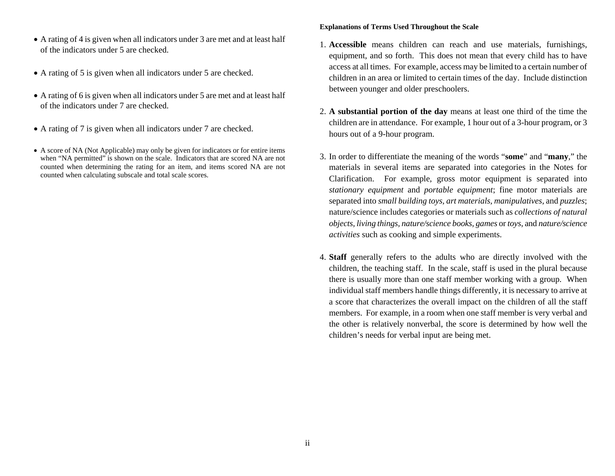- A rating of 4 is given when all indicators under 3 are met and at least half of the indicators under 5 are checked.
- A rating of 5 is given when all indicators under 5 are checked.
- A rating of 6 is given when all indicators under 5 are met and at least half of the indicators under 7 are checked.
- A rating of 7 is given when all indicators under 7 are checked.
- A score of NA (Not Applicable) may only be given for indicators or for entire items when "NA permitted" is shown on the scale. Indicators that are scored NA are not counted when determining the rating for an item, and items scored NA are not counted when calculating subscale and total scale scores.

### **Explanations of Terms Used Throughout the Scale**

- 1. **Accessible** means children can reach and use materials, furnishings, equipment, and so forth. This does not mean that every child has to have access at all times. For example, access may be limited to a certain number of children in an area or limited to certain times of the day. Include distinction between younger and older preschoolers.
- 2. **A substantial portion of the day** means at least one third of the time the children are in attendance. For example, 1 hour out of a 3-hour program, or 3 hours out of a 9-hour program.
- 3. In order to differentiate the meaning of the words "**some**" and "**many**," the materials in several items are separated into categories in the Notes for Clarification. For example, gross motor equipment is separated into *stationary equipment* and *portable equipment*; fine motor materials are separated into *small building toys, art materials, manipulatives,* and *puzzles*; nature/science includes categories or materials such as *collections of natural objects, living things, nature/science books, games* or *toys*, and *nature/science activities* such as cooking and simple experiments.
- 4. **Staff** generally refers to the adults who are directly involved with the children, the teaching staff. In the scale, staff is used in the plural because there is usually more than one staff member working with a group. When individual staff members handle things differently, it is necessary to arrive at a score that characterizes the overall impact on the children of all the staff members. For example, in a room when one staff member is very verbal and the other is relatively nonverbal, the score is determined by how well the children's needs for verbal input are being met.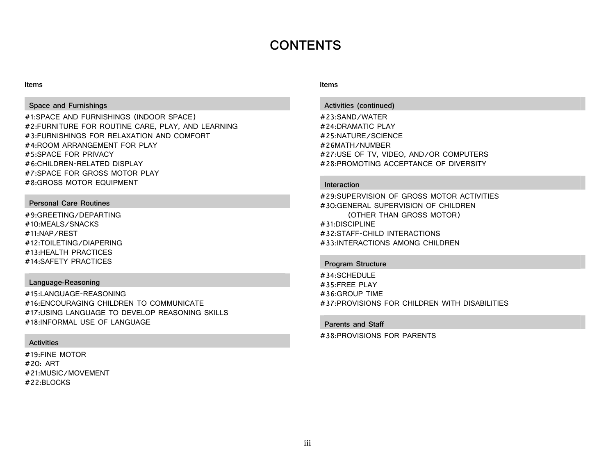## **CONTENTS**

#### **Items**

#### **Space and Furnishings**

#1:SPACE AND FURNISHINGS (INDOOR SPACE) #2:FURNITURE FOR ROUTINE CARE, PLAY, AND LEARNING #3:FURNISHINGS FOR RELAXATION AND COMFORT #4:ROOM ARRANGEMENT FOR PLAY #5:SPACE FOR PRIVACY #6:CHILDREN-RELATED DISPLAY #7:SPACE FOR GROSS MOTOR PLAY #8:GROSS MOTOR EQUIPMENT

#### **Personal Care Routines**

#9:GREETING/DEPARTING #10:MEALS/SNACKS #11:NAP/REST #12:TOILETING/DIAPERING #13:HEALTH PRACTICES #14:SAFETY PRACTICES

#### **Language-Reasoning**

#15:LANGUAGE-REASONING #16:ENCOURAGING CHILDREN TO COMMUNICATE #17:USING LANGUAGE TO DEVELOP REASONING SKILLS #18:INFORMAL USE OF LANGUAGE

#### **Activities**

#19:FINE MOTOR #20: ART #21:MUSIC/MOVEMENT #22:BLOCKS

#### **Items**

#### **Activities (continued)**

#23:SAND/WATER #24:DRAMATIC PLAY #25:NATURE/SCIENCE #26MATH/NUMBER #27:USE OF TV, VIDEO, AND/OR COMPUTERS #28:PROMOTING ACCEPTANCE OF DIVERSITY

#### **Interaction**

#29:SUPERVISION OF GROSS MOTOR ACTIVITIES #30:GENERAL SUPERVISION OF CHILDREN (OTHER THAN GROSS MOTOR) #31:DISCIPLINE #32:STAFF-CHILD INTERACTIONS #33:INTERACTIONS AMONG CHILDREN

#### **Program Structure**

#34:SCHEDULE #35:FREE PLAY #36:GROUP TIME #37:PROVISIONS FOR CHILDREN WITH DISABILITIES

#### **Parents and Staff**

#38:PROVISIONS FOR PARENTS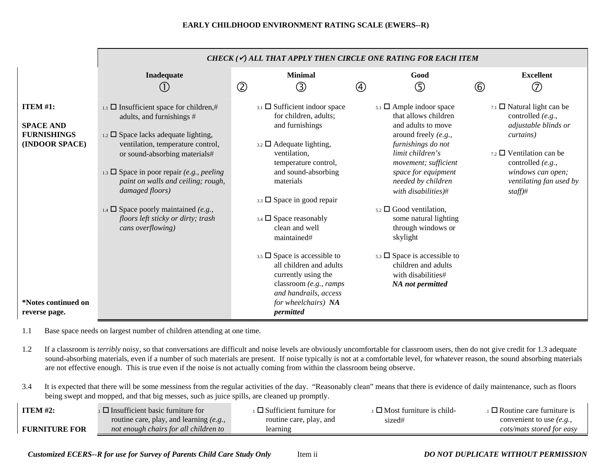|                                                                             |                                                                                                                                                                                                                                                                                                                                                                                                                         | CHECK ( $\checkmark$ ) ALL THAT APPLY THEN CIRCLE ONE RATING FOR EACH ITEM                                                                                                                                                                                                                                                                                                                                         |                                                                                                                                                                                                                                                                                                                                                                                                                                |                                                                                                                                                                                                                                 |  |  |
|-----------------------------------------------------------------------------|-------------------------------------------------------------------------------------------------------------------------------------------------------------------------------------------------------------------------------------------------------------------------------------------------------------------------------------------------------------------------------------------------------------------------|--------------------------------------------------------------------------------------------------------------------------------------------------------------------------------------------------------------------------------------------------------------------------------------------------------------------------------------------------------------------------------------------------------------------|--------------------------------------------------------------------------------------------------------------------------------------------------------------------------------------------------------------------------------------------------------------------------------------------------------------------------------------------------------------------------------------------------------------------------------|---------------------------------------------------------------------------------------------------------------------------------------------------------------------------------------------------------------------------------|--|--|
|                                                                             | Inadequate                                                                                                                                                                                                                                                                                                                                                                                                              | <b>Minimal</b><br>$^{\circledR}$<br>③                                                                                                                                                                                                                                                                                                                                                                              | Good<br>$\circledS$<br>$\circled{4}$                                                                                                                                                                                                                                                                                                                                                                                           | <b>Excellent</b><br>$\circledcirc$<br>$\circled6$                                                                                                                                                                               |  |  |
| <b>ITEM #1:</b><br><b>SPACE AND</b><br><b>FURNISHINGS</b><br>(INDOOR SPACE) | 1.1 $\Box$ Insufficient space for children,#<br>adults, and furnishings #<br>$_{1.2}$ $\square$ Space lacks adequate lighting,<br>ventilation, temperature control,<br>or sound-absorbing materials#<br>1.3 $\Box$ Space in poor repair (e.g., peeling<br>paint on walls and ceiling; rough,<br>damaged floors)<br>1.4 $\Box$ Space poorly maintained (e.g.,<br>floors left sticky or dirty; trash<br>cans overflowing) | $_{3.1}$ $\square$ Sufficient indoor space<br>for children, adults;<br>and furnishings<br>$_{3.2}$ $\square$ Adequate lighting,<br>ventilation,<br>temperature control,<br>and sound-absorbing<br>materials<br>$_{3.3}$ $\square$ Space in good repair<br>$3.4$ $\square$ Space reasonably<br>clean and well<br>maintained#<br>3.5 $\Box$ Space is accessible to<br>all children and adults<br>currently using the | $5.1$ $\Box$ Ample indoor space<br>that allows children<br>and adults to move<br>around freely (e.g.,<br>furnishings do not<br>limit children's<br>movement; sufficient<br>space for equipment<br>needed by children<br>with disabilities)#<br>$5.2 \square$ Good ventilation,<br>some natural lighting<br>through windows or<br>skylight<br>$5.3 \square$ Space is accessible to<br>children and adults<br>with disabilities# | $7.1$ $\Box$ Natural light can be<br>controlled (e.g.,<br>adjustable blinds or<br><i>curtains</i> )<br>$_{7.2}$ $\square$ Ventilation can be<br>controlled (e.g.,<br>windows can open;<br>ventilating fan used by<br>$staff)$ # |  |  |
| <i>*Notes continued on</i><br>reverse page.                                 |                                                                                                                                                                                                                                                                                                                                                                                                                         | classroom (e.g., ramps<br>and handrails, access<br>for wheelchairs) NA<br>permitted                                                                                                                                                                                                                                                                                                                                | <b>NA</b> not permitted                                                                                                                                                                                                                                                                                                                                                                                                        |                                                                                                                                                                                                                                 |  |  |

1.1 Base space needs on largest number of children attending at one time.

1.2 If a classroom is *terribly* noisy, so that conversations are difficult and noise levels are obviously uncomfortable for classroom users, then do not give credit for 1.3 adequate sound-absorbing materials, even if a number of such materials are present. If noise typically is not at a comfortable level, for whatever reason, the sound absorbing materials are not effective enough. This is true even if the noise is not actually coming from within the classroom being observe.

3.4 It is expected that there will be some messiness from the regular activities of the day. "Reasonably clean" means that there is evidence of daily maintenance, such as floors being swept and mopped, and that big messes, such as juice spills, are cleaned up promptly.

| <b>ITEM</b> #2:      | $\Box$ Insufficient basic furniture for   | $\square$ Sufficient furniture for | $\Box$ Most furniture is child- | $\Box$ Routine care furniture is |
|----------------------|-------------------------------------------|------------------------------------|---------------------------------|----------------------------------|
|                      | routine care, play, and learning $(e.g.,$ | routine care, play, and            | sized#                          | convenient to use <i>(e.g.,</i>  |
| <b>FURNITURE FOR</b> | not enough chairs for all children to     | learning                           |                                 | cots/mats stored for easy        |

*Customized ECERS--R for use for Survey of Parents Child Care Study Only* Item ii *DO NOT DUPLICATE WITHOUT PERMISSION*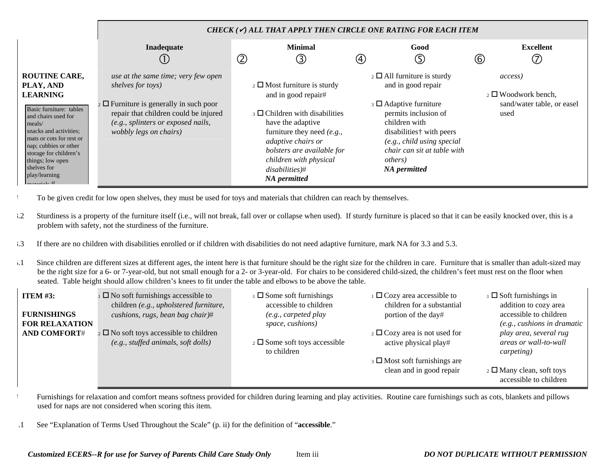|                                                                                                                                                                                                                                                                                                       |                                                                                                                                                                                                                       | CHECK $(\checkmark)$ all that apply then circle one rating for each item                                                                                                                                                                                                                |                                                                                                                                                                                                                                                                                  |                                                                                     |  |  |  |
|-------------------------------------------------------------------------------------------------------------------------------------------------------------------------------------------------------------------------------------------------------------------------------------------------------|-----------------------------------------------------------------------------------------------------------------------------------------------------------------------------------------------------------------------|-----------------------------------------------------------------------------------------------------------------------------------------------------------------------------------------------------------------------------------------------------------------------------------------|----------------------------------------------------------------------------------------------------------------------------------------------------------------------------------------------------------------------------------------------------------------------------------|-------------------------------------------------------------------------------------|--|--|--|
|                                                                                                                                                                                                                                                                                                       | Inadequate                                                                                                                                                                                                            | <b>Minimal</b><br>②<br>③                                                                                                                                                                                                                                                                | Good<br>5<br>(4)                                                                                                                                                                                                                                                                 | <b>Excellent</b><br>(7<br>$\circled{6}$                                             |  |  |  |
| <b>ROUTINE CARE,</b><br>PLAY, AND<br><b>LEARNING</b><br>Basic furniture: tables<br>and chairs used for<br>meals/<br>snacks and activities;<br>mats or cots for rest or<br>nap; cubbies or other<br>storage for children's<br>things; low open<br>shelves for<br>play/learning<br>$m$ otomic $1$ o $H$ | use at the same time; very few open<br>shelves for toys)<br>$_2 \square$ Furniture is generally in such poor<br>repair that children could be injured<br>(e.g., splinters or exposed nails,<br>wobbly legs on chairs) | $\frac{1}{2}$ Most furniture is sturdy<br>and in good repair#<br>$_3 \square$ Children with disabilities<br>have the adaptive<br>furniture they need $(e.g.,$<br>adaptive chairs or<br>bolsters are available for<br>children with physical<br>$disabilities)$ #<br><b>NA</b> permitted | $\frac{1}{2}$ $\Box$ All furniture is sturdy<br>and in good repair<br>$\Box$ Adaptive furniture<br>permits inclusion of<br>children with<br>disabilities <sup>†</sup> with peers<br>(e.g., child using special<br>chair can sit at table with<br><i>others</i> )<br>NA permitted | access)<br>$\frac{1}{2} \Box$ Woodwork bench,<br>sand/water table, or easel<br>used |  |  |  |

- <sup>1</sup> To be given credit for low open shelves, they must be used for toys and materials that children can reach by themselves.
- 3.2 Sturdiness is a property of the furniture itself (i.e., will not break, fall over or collapse when used). If sturdy furniture is placed so that it can be easily knocked over, this is a problem with safety, not the sturdiness of the furniture.
- 3.3 If there are no children with disabilities enrolled or if children with disabilities do not need adaptive furniture, mark NA for 3.3 and 5.3.
- 5.1 Since children are different sizes at different ages, the intent here is that furniture should be the right size for the children in care. Furniture that is smaller than adult-sized may be the right size for a 6- or 7-year-old, but not small enough for a 2- or 3-year-old. For chairs to be considered child-sized, the children's feet must rest on the floor when seated. Table height should allow children's knees to fit under the table and elbows to be above the table.

| <b>ITEM</b> $#3$ :    | $\Box$ No soft furnishings accessible to<br>children (e.g., upholstered furniture, | $\Box$ Some soft furnishings<br>accessible to children | $\Box$ Cozy area accessible to<br>children for a substantial | $\Box$ Soft furnishings in<br>addition to cozy area |
|-----------------------|------------------------------------------------------------------------------------|--------------------------------------------------------|--------------------------------------------------------------|-----------------------------------------------------|
| <b>FURNISHINGS</b>    | cushions, rugs, bean bag chair)#                                                   | $(e.g., \textit{carpeted play})$                       | portion of the day#                                          | accessible to children                              |
| <b>FOR RELAXATION</b> |                                                                                    | space, cushions)                                       |                                                              | (e.g., cushions in dramatic                         |
| <b>AND COMFORT#</b>   | $_2 \square$ No soft toys accessible to children                                   |                                                        | $\frac{1}{2}$ Cozy area is not used for                      | play area, several rug                              |
|                       | (e.g., stuffed animals, soft dollars)                                              | $\frac{1}{2}$ Some soft toys accessible                | active physical play#                                        | areas or wall-to-wall                               |
|                       |                                                                                    | to children                                            |                                                              | carpeting)                                          |
|                       |                                                                                    |                                                        | $\beta$ Most soft furnishings are                            |                                                     |
|                       |                                                                                    |                                                        | clean and in good repair                                     | $_2$ $\square$ Many clean, soft toys                |
|                       |                                                                                    |                                                        |                                                              | accessible to children                              |

# Furnishings for relaxation and comfort means softness provided for children during learning and play activities. Routine care furnishings such as cots, blankets and pillows used for naps are not considered when scoring this item.

.1 See "Explanation of Terms Used Throughout the Scale" (p. ii) for the definition of "**accessible**."

 $\blacksquare$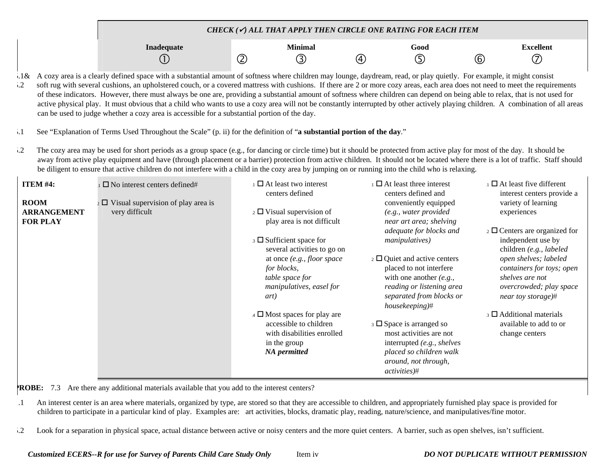| CHECK ( $\checkmark$ ) ALL THAT APPLY THEN CIRCLE ONE RATING FOR EACH ITEM |     |              |    |      |  |           |
|----------------------------------------------------------------------------|-----|--------------|----|------|--|-----------|
| Inadequate                                                                 | (کے | Minimal<br>π | (4 | Good |  | Excellent |

5.1& A cozy area is a clearly defined space with a substantial amount of softness where children may lounge, daydream, read, or play quietly. For example, it might consist 5.2 soft rug with several cushions, an upholstered couch, or a covered mattress with cushions. If there are 2 or more cozy areas, each area does not need to meet the requirements of these indicators. However, there must always be one are, providing a substantial amount of softness where children can depend on being able to relax, that is not used for active physical play. It must obvious that a child who wants to use a cozy area will not be constantly interrupted by other actively playing children. A combination of all areas can be used to judge whether a cozy area is accessible for a substantial portion of the day.

- 5.1 See "Explanation of Terms Used Throughout the Scale" (p. ii) for the definition of "**a substantial portion of the day**."
- 5.2 The cozy area may be used for short periods as a group space (e.g., for dancing or circle time) but it should be protected from active play for most of the day. It should be away from active play equipment and have (through placement or a barrier) protection from active children. It should not be located where there is a lot of traffic. Staff should be diligent to ensure that active children do not interfere with a child in the cozy area by jumping on or running into the child who is relaxing.

| ITEM #4:<br><b>ROOM</b><br><b>ARRANGEMENT</b><br><b>FOR PLAY</b> | $\Box$ No interest centers defined#<br>$\sim$ D Visual supervision of play area is<br>very difficult | $\Box$ At least two interest<br>centers defined<br>$\frac{1}{2}$ U Visual supervision of<br>play area is not difficult                        | $\Box$ At least three interest<br>centers defined and<br>conveniently equipped<br>(e.g., water provided<br>near art area; shelving                                                | $\Box$ At least five different<br>interest centers provide a<br>variety of learning<br>experiences                     |
|------------------------------------------------------------------|------------------------------------------------------------------------------------------------------|-----------------------------------------------------------------------------------------------------------------------------------------------|-----------------------------------------------------------------------------------------------------------------------------------------------------------------------------------|------------------------------------------------------------------------------------------------------------------------|
|                                                                  |                                                                                                      | $\overline{\phantom{a}}$ Sufficient space for<br>several activities to go on                                                                  | adequate for blocks and<br><i>manipulatives</i> )                                                                                                                                 | $\frac{1}{2}$ Centers are organized for<br>independent use by<br>children (e.g., labeled                               |
|                                                                  |                                                                                                      | at once $(e.g., floor space)$<br>for blocks,<br>table space for<br>manipulatives, easel for<br>art)                                           | $\frac{1}{2}$ Quiet and active centers<br>placed to not interfere<br>with one another $(e.g.,$<br>reading or listening area<br>separated from blocks or<br>$housekeeping$ #       | open shelves; labeled<br>containers for toys; open<br>shelves are not<br>overcrowded; play space<br>near toy storage)# |
|                                                                  |                                                                                                      | $\overline{4}$ $\Box$ Most spaces for play are<br>accessible to children<br>with disabilities enrolled<br>in the group<br><b>NA</b> permitted | $\overline{\phantom{a}}$ Space is arranged so<br>most activities are not<br>interrupted (e.g., shelves<br>placed so children walk<br>around, not through,<br><i>activities</i> )# | $\beta$ $\Box$ Additional materials<br>available to add to or<br>change centers                                        |

**ROBE:** 7.3 Are there any additional materials available that you add to the interest centers?

- .1 An interest center is an area where materials, organized by type, are stored so that they are accessible to children, and appropriately furnished play space is provided for children to participate in a particular kind of play. Examples are: art activities, blocks, dramatic play, reading, nature/science, and manipulatives/fine motor.
- 5.2 Look for a separation in physical space, actual distance between active or noisy centers and the more quiet centers. A barrier, such as open shelves, isn't sufficient.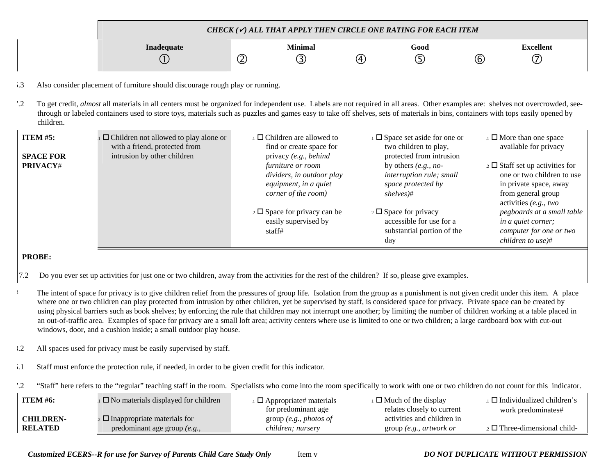| CHECK ( $\checkmark$ ) ALL THAT APPLY THEN CIRCLE ONE RATING FOR EACH ITEM |   |         |   |      |             |                  |  |
|----------------------------------------------------------------------------|---|---------|---|------|-------------|------------------|--|
| Inadequate                                                                 |   | Minimal |   | Good |             | <b>Excellent</b> |  |
|                                                                            | ے |         | 4 |      | $\circledB$ |                  |  |

- 5.3 Also consider placement of furniture should discourage rough play or running.
- 7.2 To get credit, *almost* all materials in all centers must be organized for independent use. Labels are not required in all areas. Other examples are: shelves not overcrowded, seethrough or labeled containers used to store toys, materials such as puzzles and games easy to take off shelves, sets of materials in bins, containers with tops easily opened by children.

| ITEM $#5:$<br><b>SPACE FOR</b> | $\Box$ Children not allowed to play alone or<br>with a friend, protected from<br>intrusion by other children | $\Box$ Children are allowed to<br>find or create space for<br>privacy (e.g., behind                   | $\Box$ Space set aside for one or<br>two children to play,<br>protected from intrusion                | $\Box$ More than one space<br>available for privacy                                                                                               |
|--------------------------------|--------------------------------------------------------------------------------------------------------------|-------------------------------------------------------------------------------------------------------|-------------------------------------------------------------------------------------------------------|---------------------------------------------------------------------------------------------------------------------------------------------------|
| <b>PRIVACY#</b>                |                                                                                                              | <i>furniture or room</i><br>dividers, in outdoor play<br>equipment, in a quiet<br>corner of the room) | by others $(e.g., no-)$<br>interruption rule; small<br>space protected by<br>shelves#                 | 2 $\square$ Staff set up activities for<br>one or two children to use<br>in private space, away<br>from general group<br>activities $(e.g., two)$ |
|                                |                                                                                                              | $\frac{1}{2}$ Space for privacy can be<br>easily supervised by<br>staff#                              | $\frac{1}{2} \Box$ Space for privacy<br>accessible for use for a<br>substantial portion of the<br>day | pegboards at a small table<br><i>in a quiet corner;</i><br>computer for one or two<br>children to use $#$                                         |

### **PROBE:**

- 7.2 Do you ever set up activities for just one or two children, away from the activities for the rest of the children? If so, please give examples.
- The intent of space for privacy is to give children relief from the pressures of group life. Isolation from the group as a punishment is not given credit under this item. A place where one or two children can play protected from intrusion by other children, yet be supervised by staff, is considered space for privacy. Private space can be created by using physical barriers such as book shelves; by enforcing the rule that children may not interrupt one another; by limiting the number of children working at a table placed in an out-of-traffic area. Examples of space for privacy are a small loft area; activity centers where use is limited to one or two children; a large cardboard box with cut-out windows, door, and a cushion inside; a small outdoor play house.
- <sup>3.2</sup> All spaces used for privacy must be easily supervised by staff.
- 5.1 Staff must enforce the protection rule, if needed, in order to be given credit for this indicator.
- 7.2 "Staff" here refers to the "regular" teaching staff in the room. Specialists who come into the room specifically to work with one or two children do not count for this indicator.

| <b>ITEM #6:</b>  | $\Box$ No materials displayed for children | $\Box$ Appropriate# materials | $\perp$ Much of the display | $\Box$ Individualized children's     |
|------------------|--------------------------------------------|-------------------------------|-----------------------------|--------------------------------------|
|                  |                                            | for predominant age           | relates closely to current  | work predominates#                   |
| <b>CHILDREN-</b> | $\Omega$ Inappropriate materials for       | group (e.g., photos of        | activities and children in  |                                      |
| <b>RELATED</b>   | predominant age group (e.g.,               | children; nursery             | group (e.g., artwork or     | $_2$ $\Box$ Three-dimensional child- |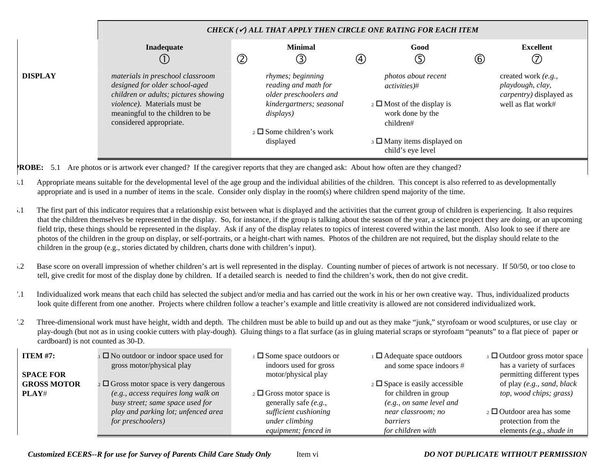|                | CHECK $(\checkmark)$ all that apply then circle one rating for each item                                                                                                                                  |                                                                                                                                                                |                                                                                                                                                                                     |                                                                                                  |  |  |  |
|----------------|-----------------------------------------------------------------------------------------------------------------------------------------------------------------------------------------------------------|----------------------------------------------------------------------------------------------------------------------------------------------------------------|-------------------------------------------------------------------------------------------------------------------------------------------------------------------------------------|--------------------------------------------------------------------------------------------------|--|--|--|
|                | Inadequate<br>∪                                                                                                                                                                                           | <b>Minimal</b><br>$^\copyright$<br>(3)                                                                                                                         | Good<br>G<br>④                                                                                                                                                                      | <b>Excellent</b><br>$^{\circledR}$<br>T                                                          |  |  |  |
| <b>DISPLAY</b> | materials in preschool classroom<br>designed for older school-aged<br>children or adults; pictures showing<br>violence). Materials must be<br>meaningful to the children to be<br>considered appropriate. | rhymes; beginning<br>reading and math for<br>older preschoolers and<br>kindergartners; seasonal<br>displays)<br>$_2 \square$ Some children's work<br>displayed | photos about recent<br><i>activities</i> )#<br>$\frac{1}{2}$ Most of the display is<br>work done by the<br>children#<br>$\beta$ $\Box$ Many items displayed on<br>child's eye level | created work (e.g.,<br>playdough, clay,<br><i>carpentry</i> ) displayed as<br>well as flat work# |  |  |  |

**PROBE:** 5.1 Are photos or is artwork ever changed? If the caregiver reports that they are changed ask: About how often are they changed?

- 3.1 Appropriate means suitable for the developmental level of the age group and the individual abilities of the children. This concept is also referred to as developmentally appropriate and is used in a number of items in the scale. Consider only display in the room(s) where children spend majority of the time.
- The first part of this indicator requires that a relationship exist between what is displayed and the activities that the current group of children is experiencing. It also requires that the children themselves be represented in the display. So, for instance, if the group is talking about the season of the year, a science project they are doing, or an upcoming field trip, these things should be represented in the display. Ask if any of the display relates to topics of interest covered within the last month. Also look to see if there are photos of the children in the group on display, or self-portraits, or a height-chart with names. Photos of the children are not required, but the display should relate to the children in the group (e.g., stories dictated by children, charts done with children's input).
- 5.2 Base score on overall impression of whether children's art is well represented in the display. Counting number of pieces of artwork is not necessary. If 50/50, or too close to tell, give credit for most of the display done by children. If a detailed search is needed to find the children's work, then do not give credit.
- 7.1 Individualized work means that each child has selected the subject and/or media and has carried out the work in his or her own creative way. Thus, individualized products look quite different from one another. Projects where children follow a teacher's example and little creativity is allowed are not considered individualized work.
- 7.2 Three-dimensional work must have height, width and depth. The children must be able to build up and out as they make "junk," styrofoam or wood sculptures, or use clay or play-dough (but not as in using cookie cutters with play-dough). Gluing things to a flat surface (as in gluing material scraps or styrofoam "peanuts" to a flat piece of paper or cardboard) is not counted as 30-D.

| ITEM $#7:$         | $\Box$ No outdoor or indoor space used for<br>gross motor/physical play | $\Box$ Some space outdoors or<br>indoors used for gross | $\Box$ Adequate space outdoors<br>and some space indoors # | $\Box$ Outdoor gross motor space<br>has a variety of surfaces |
|--------------------|-------------------------------------------------------------------------|---------------------------------------------------------|------------------------------------------------------------|---------------------------------------------------------------|
| <b>SPACE FOR</b>   |                                                                         | motor/physical play                                     |                                                            | permitting different types                                    |
| <b>GROSS MOTOR</b> | $\frac{1}{2}$ $\Box$ Gross motor space is very dangerous                |                                                         | $\overline{2}$ $\Box$ Space is easily accessible           | of play (e.g., sand, black                                    |
| PLAY#              | (e.g., access requires long walk on                                     | $\frac{1}{2}$ $\Box$ Gross motor space is               | for children in group                                      | top, wood chips; grass)                                       |
|                    | busy street; same space used for                                        | generally safe $(e.g.,$                                 | (e.g., on same level and                                   |                                                               |
|                    | play and parking lot; unfenced area                                     | sufficient cushioning                                   | near classroom; no                                         | $_2$ $\Box$ Outdoor area has some                             |
|                    | <i>for preschoolers</i> )                                               | under climbing                                          | barriers                                                   | protection from the                                           |
|                    |                                                                         | equipment; fenced in                                    | for children with                                          | elements $(e.g., shade in$                                    |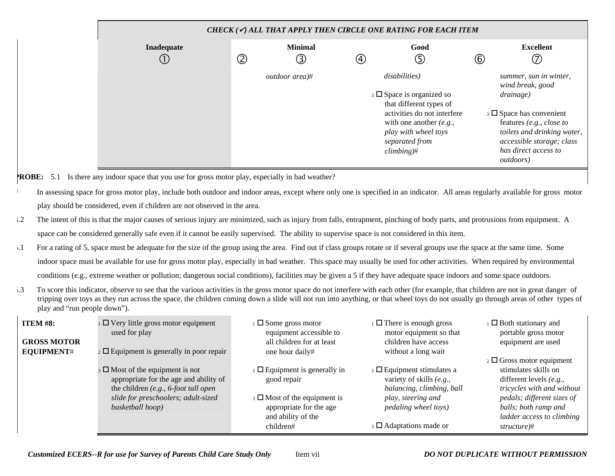| CHECK ( $\checkmark$ ) ALL THAT APPLY THEN CIRCLE ONE RATING FOR EACH ITEM |               |                        |               |                                                                                                                                                                                                 |                |                                                                                                                                                                                                                             |  |  |
|----------------------------------------------------------------------------|---------------|------------------------|---------------|-------------------------------------------------------------------------------------------------------------------------------------------------------------------------------------------------|----------------|-----------------------------------------------------------------------------------------------------------------------------------------------------------------------------------------------------------------------------|--|--|
| Inadequate<br>J.                                                           | $^\copyright$ | <b>Minimal</b><br>3)   | $\circled{4}$ | Good<br>⑤                                                                                                                                                                                       | $\circledcirc$ | <b>Excellent</b><br>7                                                                                                                                                                                                       |  |  |
|                                                                            |               | <i>outdoor area</i> )# |               | disabilities)<br>$\Box$ Space is organized so<br>that different types of<br>activities do not interfere<br>with one another $(e.g.,$<br>play with wheel toys<br>separated from<br>$climbing)\#$ |                | summer, sun in winter,<br>wind break, good<br>drainage)<br>$\Box$ Space has convenient<br>features (e.g., close to<br>toilets and drinking water,<br>accessible storage; class<br>has direct access to<br><i>outdoors</i> ) |  |  |

**PROBE:** 5.1 Is there any indoor space that you use for gross motor play, especially in bad weather?

- In assessing space for gross motor play, include both outdoor and indoor areas, except where only one is specified in an indicator. All areas regularly available for gross motor play should be considered, even if children are not observed in the area.
- 3.2 The intent of this is that the major causes of serious injury are minimized, such as injury from falls, entrapment, pinching of body parts, and protrusions from equipment. A space can be considered generally safe even if it cannot be easily supervised. The ability to supervise space is not considered in this item.
- 5.1 For a rating of 5, space must be adequate for the size of the group using the area. Find out if class groups rotate or if several groups use the space at the same time. Some indoor space must be available for use for gross motor play, especially in bad weather. This space may usually be used for other activities. When required by environmental conditions (e.g., extreme weather or pollution; dangerous social conditions), facilities may be given a 5 if they have adequate space indoors and some space outdoors.
- 5.3 To score this indicator, observe to see that the various activities in the gross motor space do not interfere with each other (for example, that children are not in great danger of tripping over toys as they run across the space, the children coming down a slide will not run into anything, or that wheel toys do not usually go through areas of other types of play and "run people down").

| <b>ITEM #8:</b><br><b>GROSS MOTOR</b><br>EQUIPMENT# | $\Box$ Very little gross motor equipment<br>used for play<br>$\frac{1}{2}$ $\Box$ Equipment is generally in poor repair        | $\Box$ Some gross motor<br>equipment accessible to<br>all children for at least<br>one hour daily#                       | $\Box$ There is enough gross<br>motor equipment so that<br>children have access<br>without a long wait | $\Box$ Both stationary and<br>portable gross motor<br>equipment are used<br>$\frac{1}{2} \Box$ Gross motor equipment |
|-----------------------------------------------------|--------------------------------------------------------------------------------------------------------------------------------|--------------------------------------------------------------------------------------------------------------------------|--------------------------------------------------------------------------------------------------------|----------------------------------------------------------------------------------------------------------------------|
|                                                     | $_3 \square$ Most of the equipment is not<br>appropriate for the age and ability of<br>the children $(e.g., 6$ -foot tall open | $\overline{2}$ $\Box$ Equipment is generally in<br>good repair                                                           | $\overline{a}$ $\Box$ Equipment stimulates a<br>variety of skills (e.g.,<br>balancing, climbing, ball  | stimulates skills on<br>different levels $(e.g.,$<br>tricycles with and without                                      |
|                                                     | slide for preschoolers; adult-sized<br>basketball hoop)                                                                        | $\overline{\phantom{a}}$ 3 $\Box$ Most of the equipment is<br>appropriate for the age<br>and ability of the<br>children# | play, steering and<br>pedaling wheel toys)<br>$\overline{\phantom{a}}$ 3 $\Box$ Adaptations made or    | pedals; different sizes of<br>balls; both ramp and<br>ladder access to climbing<br>structure)#                       |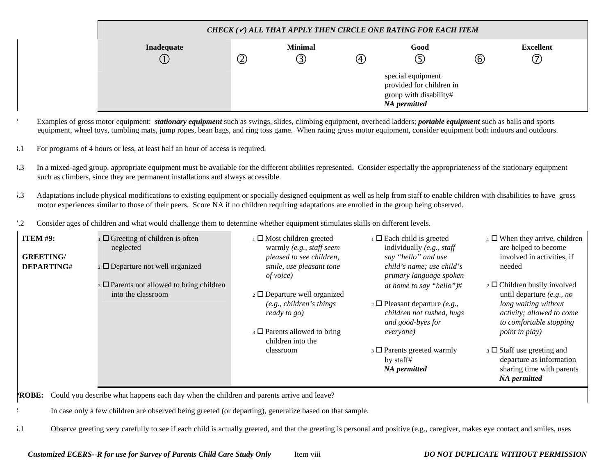| CHECK ( $\checkmark$ ) ALL THAT APPLY THEN CIRCLE ONE RATING FOR EACH ITEM |               |                |     |                                                                                         |     |                  |  |  |
|----------------------------------------------------------------------------|---------------|----------------|-----|-----------------------------------------------------------------------------------------|-----|------------------|--|--|
| Inadequate                                                                 |               | <b>Minimal</b> |     | Good                                                                                    |     | <b>Excellent</b> |  |  |
|                                                                            | $^\copyright$ |                | (4) | 5                                                                                       | (6) | 7)               |  |  |
|                                                                            |               |                |     | special equipment<br>provided for children in<br>group with disability#<br>NA permitted |     |                  |  |  |

- # Examples of gross motor equipment: *stationary equipment* such as swings, slides, climbing equipment, overhead ladders; *portable equipment* such as balls and sports equipment, wheel toys, tumbling mats, jump ropes, bean bags, and ring toss game. When rating gross motor equipment, consider equipment both indoors and outdoors.
- 3.1 For programs of 4 hours or less, at least half an hour of access is required.
- 3.3 In a mixed-aged group, appropriate equipment must be available for the different abilities represented. Consider especially the appropriateness of the stationary equipment such as climbers, since they are permanent installations and always accessible.
- 5.3 Adaptations include physical modifications to existing equipment or specially designed equipment as well as help from staff to enable children with disabilities to have gross motor experiences similar to those of their peers. Score NA if no children requiring adaptations are enrolled in the group being observed.
- 7.2 Consider ages of children and what would challenge them to determine whether equipment stimulates skills on different levels.

| <b>ITEM #9:</b><br><b>GREETING/</b><br><b>DEPARTING#</b> | $\Box$ Greeting of children is often<br>neglected<br>$_2$ $\Box$ Departure not well organized | $\Box$ Most children greeted<br>warmly (e.g., staff seem<br>pleased to see children,<br>smile, use pleasant tone | $\Box$ Each child is greeted<br>individually $(e.g., staff)$<br>say "hello" and use<br>child's name; use child's | $\perp$ When they arrive, children<br>are helped to become<br>involved in activities, if<br>needed                                |
|----------------------------------------------------------|-----------------------------------------------------------------------------------------------|------------------------------------------------------------------------------------------------------------------|------------------------------------------------------------------------------------------------------------------|-----------------------------------------------------------------------------------------------------------------------------------|
|                                                          |                                                                                               | of voice)                                                                                                        | primary language spoken                                                                                          |                                                                                                                                   |
|                                                          | $\Box$ Parents not allowed to bring children                                                  |                                                                                                                  | at home to say "hello")#                                                                                         | $\frac{1}{2}$ Children busily involved                                                                                            |
|                                                          | into the classroom                                                                            | $\alpha$ Departure well organized                                                                                |                                                                                                                  | until departure $(e.g., no)$                                                                                                      |
|                                                          |                                                                                               | (e.g., children's things)<br>ready to go)                                                                        | $\alpha$ $\Box$ Pleasant departure (e.g.,<br>children not rushed, hugs<br>and good-byes for                      | long waiting without<br>activity; allowed to come<br>to comfortable stopping                                                      |
|                                                          |                                                                                               | $\beta$ D Parents allowed to bring<br>children into the                                                          | everyone)                                                                                                        | <i>point in play</i> )                                                                                                            |
|                                                          |                                                                                               | classroom                                                                                                        | $\Box$ Parents greeted warmly<br>by staff#<br>NA permitted                                                       | $\overline{\phantom{a}}$ 3 $\Box$ Staff use greeting and<br>departure as information<br>sharing time with parents<br>NA permitted |

**PROBE:** Could you describe what happens each day when the children and parents arrive and leave?

In case only a few children are observed being greeted (or departing), generalize based on that sample.

5.1 Observe greeting very carefully to see if each child is actually greeted, and that the greeting is personal and positive (e.g., caregiver, makes eye contact and smiles, uses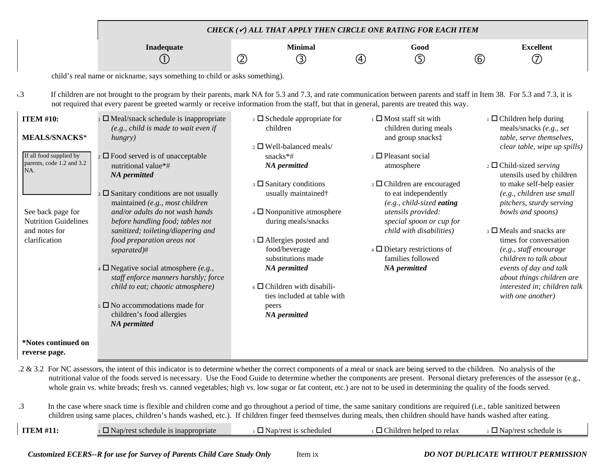|                                                                                                                                                                                               | CHECK ( $\checkmark$ ) ALL THAT APPLY THEN CIRCLE ONE RATING FOR EACH ITEM                                                                                                                                                                                                                                                                                                                                                                                                                                                                                                                                                                  |                |                                                                                                                                                                                                                                                                                                                                                                                                                                                                                                |             |                                                                                                                                                                                                                                                                                                                                                                                          |              |                                                                                                                                                                                                                                                                                                                                                                                                                                                                                                                            |
|-----------------------------------------------------------------------------------------------------------------------------------------------------------------------------------------------|---------------------------------------------------------------------------------------------------------------------------------------------------------------------------------------------------------------------------------------------------------------------------------------------------------------------------------------------------------------------------------------------------------------------------------------------------------------------------------------------------------------------------------------------------------------------------------------------------------------------------------------------|----------------|------------------------------------------------------------------------------------------------------------------------------------------------------------------------------------------------------------------------------------------------------------------------------------------------------------------------------------------------------------------------------------------------------------------------------------------------------------------------------------------------|-------------|------------------------------------------------------------------------------------------------------------------------------------------------------------------------------------------------------------------------------------------------------------------------------------------------------------------------------------------------------------------------------------------|--------------|----------------------------------------------------------------------------------------------------------------------------------------------------------------------------------------------------------------------------------------------------------------------------------------------------------------------------------------------------------------------------------------------------------------------------------------------------------------------------------------------------------------------------|
|                                                                                                                                                                                               | Inadequate<br>(1)                                                                                                                                                                                                                                                                                                                                                                                                                                                                                                                                                                                                                           | $^{\circledR}$ | <b>Minimal</b><br>③                                                                                                                                                                                                                                                                                                                                                                                                                                                                            | $\circledA$ | Good<br>⑤                                                                                                                                                                                                                                                                                                                                                                                | $^\circledR$ | <b>Excellent</b><br>$\circled7$                                                                                                                                                                                                                                                                                                                                                                                                                                                                                            |
|                                                                                                                                                                                               | child's real name or nickname, says something to child or asks something).                                                                                                                                                                                                                                                                                                                                                                                                                                                                                                                                                                  |                |                                                                                                                                                                                                                                                                                                                                                                                                                                                                                                |             |                                                                                                                                                                                                                                                                                                                                                                                          |              |                                                                                                                                                                                                                                                                                                                                                                                                                                                                                                                            |
| $\cdot \cdot$ 3                                                                                                                                                                               | If children are not brought to the program by their parents, mark NA for 5.3 and 7.3, and rate communication between parents and staff in Item 38. For 5.3 and 7.3, it is<br>not required that every parent be greeted warmly or receive information from the staff, but that in general, parents are treated this way.                                                                                                                                                                                                                                                                                                                     |                |                                                                                                                                                                                                                                                                                                                                                                                                                                                                                                |             |                                                                                                                                                                                                                                                                                                                                                                                          |              |                                                                                                                                                                                                                                                                                                                                                                                                                                                                                                                            |
| <b>ITEM #10:</b><br><b>MEALS/SNACKS*</b><br>If all food supplied by<br>parents, code 1.2 and 3.2<br>NA.<br>See back page for<br><b>Nutrition Guidelines</b><br>and notes for<br>clarification | $\Box$ Meal/snack schedule is inappropriate<br>(e.g., child is made to wait even if)<br>hungry)<br>$\frac{1}{2}$ $\Box$ Food served is of unacceptable<br>nutritional value*#<br>NA permitted<br>$\square$ Sanitary conditions are not usually<br>maintained (e.g., most children<br>and/or adults do not wash hands<br>before handling food; tables not<br>sanitized; toileting/diapering and<br>food preparation areas not<br>separated)#<br>$\Box$ Negative social atmosphere (e.g.,<br>staff enforce manners harshly; force<br>child to eat; chaotic atmosphere)<br>$5 \square$ No accommodations made for<br>children's food allergies |                | $\perp$ $\square$ Schedule appropriate for<br>children<br>$_2$ $\square$ Well-balanced meals/<br>snacks*#<br>NA permitted<br>$\Box$ Sanitary conditions<br>usually maintained <sup>+</sup><br>$\overline{4}$ $\Box$ Nonpunitive atmosphere<br>during meals/snacks<br>$\overline{\phantom{a}}$ 5 $\Box$ Allergies posted and<br>food/beverage<br>substitutions made<br>NA permitted<br>$\overline{\phantom{a}}$ Children with disabili-<br>ties included at table with<br>peers<br>NA permitted |             | $\Box$ Most staff sit with<br>children during meals<br>and group snacks:<br>$\overline{2}$ <b>D</b> Pleasant social<br>atmosphere<br>$\Box$ Children are encouraged<br>to eat independently<br>$(e.g., child-sized eating)$<br>utensils provided:<br>special spoon or cup for<br>child with disabilities)<br>$\overline{4}$ Dietary restrictions of<br>families followed<br>NA permitted |              | $\Box$ Children help during<br>meals/snacks (e.g., set<br>table, serve themselves,<br>clear table, wipe up spills)<br>2 $\Box$ Child-sized serving<br>utensils used by children<br>to make self-help easier<br>(e.g., children use small<br>pitchers, sturdy serving<br>bowls and spoons)<br>$\beta$ $\Box$ Meals and snacks are<br>times for conversation<br>(e.g., staff encourage<br>children to talk about<br>events of day and talk<br>about things children are<br>interested in; children talk<br>with one another) |
| *Notes continued on<br>reverse page.                                                                                                                                                          | NA permitted                                                                                                                                                                                                                                                                                                                                                                                                                                                                                                                                                                                                                                |                |                                                                                                                                                                                                                                                                                                                                                                                                                                                                                                |             |                                                                                                                                                                                                                                                                                                                                                                                          |              |                                                                                                                                                                                                                                                                                                                                                                                                                                                                                                                            |
|                                                                                                                                                                                               | .2 & 3.2 For NC assessors, the intent of this indicator is to determine whether the correct components of a meal or snack are being served to the children. No analysis of the<br>nutritional value of the foods served is necessary. Use the Food Guide to determine whether the components are present. Personal dietary preferences of the assessor (e.g.,<br>whole grain vs. white breads; fresh vs. canned vegetables; high vs. low sugar or fat content, etc.) are not to be used in determining the quality of the foods served.                                                                                                     |                |                                                                                                                                                                                                                                                                                                                                                                                                                                                                                                |             |                                                                                                                                                                                                                                                                                                                                                                                          |              |                                                                                                                                                                                                                                                                                                                                                                                                                                                                                                                            |
| .3                                                                                                                                                                                            | In the case where snack time is flexible and children come and go throughout a period of time, the same sanitary conditions are required (i.e., table sanitized between<br>children using same places, children's hands washed, etc.). If children finger feed themselves during meals, then children should have hands washed after eating.                                                                                                                                                                                                                                                                                                |                |                                                                                                                                                                                                                                                                                                                                                                                                                                                                                                |             |                                                                                                                                                                                                                                                                                                                                                                                          |              |                                                                                                                                                                                                                                                                                                                                                                                                                                                                                                                            |
| <b>ITEM #11:</b>                                                                                                                                                                              | $\Box$ Nap/rest schedule is inappropriate                                                                                                                                                                                                                                                                                                                                                                                                                                                                                                                                                                                                   |                | $\Box$ Nap/rest is scheduled                                                                                                                                                                                                                                                                                                                                                                                                                                                                   |             | $\Box$ Children helped to relax                                                                                                                                                                                                                                                                                                                                                          |              | $\Box$ Nap/rest schedule is                                                                                                                                                                                                                                                                                                                                                                                                                                                                                                |
|                                                                                                                                                                                               |                                                                                                                                                                                                                                                                                                                                                                                                                                                                                                                                                                                                                                             |                |                                                                                                                                                                                                                                                                                                                                                                                                                                                                                                |             |                                                                                                                                                                                                                                                                                                                                                                                          |              |                                                                                                                                                                                                                                                                                                                                                                                                                                                                                                                            |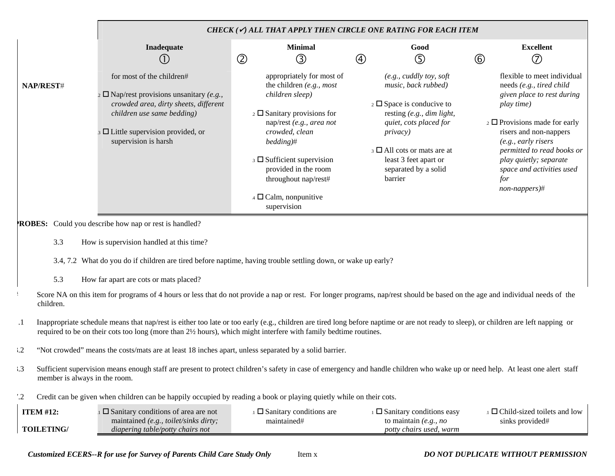|           |                                                                                                                                                                                                                        | CHECK ( $\checkmark$ ) ALL THAT APPLY THEN CIRCLE ONE RATING FOR EACH ITEM                                                                                                                                                                                                                                                                      |                                                                                                                                                                                                                                                                                 |                                                                                                                                                                                                                                                                                                                 |
|-----------|------------------------------------------------------------------------------------------------------------------------------------------------------------------------------------------------------------------------|-------------------------------------------------------------------------------------------------------------------------------------------------------------------------------------------------------------------------------------------------------------------------------------------------------------------------------------------------|---------------------------------------------------------------------------------------------------------------------------------------------------------------------------------------------------------------------------------------------------------------------------------|-----------------------------------------------------------------------------------------------------------------------------------------------------------------------------------------------------------------------------------------------------------------------------------------------------------------|
|           | Inadequate<br>(1)                                                                                                                                                                                                      | <b>Minimal</b><br>$\circled{2}$<br>③                                                                                                                                                                                                                                                                                                            | Good<br>⑤<br>$\circled{4}$                                                                                                                                                                                                                                                      | <b>Excellent</b><br>$^{\circledR}$<br>$\left( 7\right)$                                                                                                                                                                                                                                                         |
| NAP/REST# | for most of the children#<br>$\alpha$ D Nap/rest provisions unsanitary (e.g.,<br>crowded area, dirty sheets, different<br>children use same bedding)<br>$\Box$ Little supervision provided, or<br>supervision is harsh | appropriately for most of<br>the children $(e.g., most)$<br>children sleep)<br>$\frac{1}{2}$ Sanitary provisions for<br>nap/rest (e.g., area not<br>crowded, clean<br>$bedding)$ #<br>$\overline{\phantom{a}}$ Sufficient supervision<br>provided in the room<br>throughout nap/rest#<br>$\overline{4}$ $\Box$ Calm, nonpunitive<br>supervision | (e.g., cuddly toy, soft<br>music, back rubbed)<br>$\frac{1}{2}$ $\Box$ Space is conducive to<br>resting $(e.g., dim light,$<br>quiet, cots placed for<br><i>privacy</i> )<br>$\beta$ $\Box$ All cots or mats are at<br>least 3 feet apart or<br>separated by a solid<br>barrier | flexible to meet individual<br>needs (e.g., tired child<br>given place to rest during<br>play time)<br>$\frac{1}{2}$ Provisions made for early<br>risers and non-nappers<br>(e.g., early risers<br>permitted to read books or<br>play quietly; separate<br>space and activities used<br>for<br>$non-nappers)$ # |
|           | <b>ROBES:</b> Could you describe how nap or rest is handled?                                                                                                                                                           |                                                                                                                                                                                                                                                                                                                                                 |                                                                                                                                                                                                                                                                                 |                                                                                                                                                                                                                                                                                                                 |
| 3.3       | How is supervision handled at this time?                                                                                                                                                                               |                                                                                                                                                                                                                                                                                                                                                 |                                                                                                                                                                                                                                                                                 |                                                                                                                                                                                                                                                                                                                 |
|           | 3.4, 7.2 What do you do if children are tired before naptime, having trouble settling down, or wake up early?                                                                                                          |                                                                                                                                                                                                                                                                                                                                                 |                                                                                                                                                                                                                                                                                 |                                                                                                                                                                                                                                                                                                                 |
| 5.3       | How far apart are cots or mats placed?                                                                                                                                                                                 |                                                                                                                                                                                                                                                                                                                                                 |                                                                                                                                                                                                                                                                                 |                                                                                                                                                                                                                                                                                                                 |
| children. | Score NA on this item for programs of 4 hours or less that do not provide a nap or rest. For longer programs, nap/rest should be based on the age and individual needs of the                                          |                                                                                                                                                                                                                                                                                                                                                 |                                                                                                                                                                                                                                                                                 |                                                                                                                                                                                                                                                                                                                 |

- .1 Inappropriate schedule means that nap/rest is either too late or too early (e.g., children are tired long before naptime or are not ready to sleep), or children are left napping or required to be on their cots too long (more than 2½ hours), which might interfere with family bedtime routines.
- 3.2 "Not crowded" means the costs/mats are at least 18 inches apart, unless separated by a solid barrier.
- 3.3 Sufficient supervision means enough staff are present to protect children's safety in case of emergency and handle children who wake up or need help. At least one alert staff member is always in the room.
- 7.2 Credit can be given when children can be happily occupied by reading a book or playing quietly while on their cots.

| <b>ITEM</b> #12:  | $\square$ Sanitary conditions of area are not | $\square$ Sanitary conditions are | $\square$ Sanitary conditions easy | $\Box$ Child-sized toilets and low |
|-------------------|-----------------------------------------------|-----------------------------------|------------------------------------|------------------------------------|
|                   | maintained (e.g., toilet/sinks dirty;         | maintained#                       | to maintain <i>(e.g., no</i>       | sinks provided#                    |
| <b>TOILETING/</b> | diapering table/potty chairs not              |                                   | <i>potty chairs used, warm</i>     |                                    |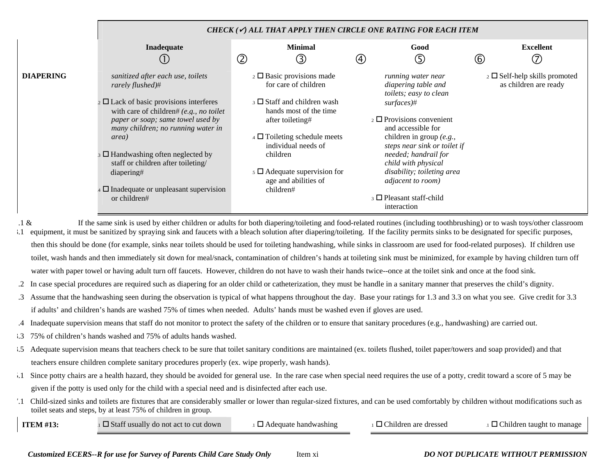|                                                                                                                                                                                                                                                                                                                                                                                                                                                                                                                                                                                                                                                                                                                                                                |                                                                                                                                                                                                                                                                                                                                                                                                                                                                                                                                                                                                                                                                         |                                                                                                                                                                                                                                                                                                                             | CHECK $(\checkmark)$ all that apply then circle one rating for each item                                                                                                                                                                                                                                                                                                       |                                                                  |  |  |
|----------------------------------------------------------------------------------------------------------------------------------------------------------------------------------------------------------------------------------------------------------------------------------------------------------------------------------------------------------------------------------------------------------------------------------------------------------------------------------------------------------------------------------------------------------------------------------------------------------------------------------------------------------------------------------------------------------------------------------------------------------------|-------------------------------------------------------------------------------------------------------------------------------------------------------------------------------------------------------------------------------------------------------------------------------------------------------------------------------------------------------------------------------------------------------------------------------------------------------------------------------------------------------------------------------------------------------------------------------------------------------------------------------------------------------------------------|-----------------------------------------------------------------------------------------------------------------------------------------------------------------------------------------------------------------------------------------------------------------------------------------------------------------------------|--------------------------------------------------------------------------------------------------------------------------------------------------------------------------------------------------------------------------------------------------------------------------------------------------------------------------------------------------------------------------------|------------------------------------------------------------------|--|--|
|                                                                                                                                                                                                                                                                                                                                                                                                                                                                                                                                                                                                                                                                                                                                                                | Inadequate<br>(1)                                                                                                                                                                                                                                                                                                                                                                                                                                                                                                                                                                                                                                                       | <b>Minimal</b><br>$^{\circledR}$<br>③                                                                                                                                                                                                                                                                                       | Good<br>⑤<br>$\circled{4}$                                                                                                                                                                                                                                                                                                                                                     | <b>Excellent</b><br>$^{\circledR}$<br>$\circled7$                |  |  |
| <b>DIAPERING</b>                                                                                                                                                                                                                                                                                                                                                                                                                                                                                                                                                                                                                                                                                                                                               | sanitized after each use, toilets<br>rarely flushed)#<br>$_2 \square$ Lack of basic provisions interferes<br>with care of children# (e.g., no toilet<br>paper or soap; same towel used by<br>many children; no running water in<br>area)<br>$\overline{\mathcal{A}}$ Handwashing often neglected by<br>staff or children after toileting/<br>diapering#<br>$\Box$ Inadequate or unpleasant supervision<br>or children#                                                                                                                                                                                                                                                  | $\frac{1}{2} \Box$ Basic provisions made<br>for care of children<br>$\beta$ Staff and children wash<br>hands most of the time<br>after toileting#<br>$\overline{4}$ $\overline{ }$ Toileting schedule meets<br>individual needs of<br>children<br>$5 \square$ Adequate supervision for<br>age and abilities of<br>children# | running water near<br>diapering table and<br>toilets; easy to clean<br>$surfaces$ <sup>#</sup><br>$\frac{1}{2} \Box$ Provisions convenient<br>and accessible for<br>children in group $(e.g.,$<br>steps near sink or toilet if<br>needed; handrail for<br>child with physical<br>disability; toileting area<br>adjacent to room)<br>$\Box$ Pleasant staff-child<br>interaction | $\frac{1}{2}$ Self-help skills promoted<br>as children are ready |  |  |
| $.1 \&$<br>If the same sink is used by either children or adults for both diapering/toileting and food-related routines (including toothbrushing) or to wash toys/other classroom<br>equipment, it must be sanitized by spraying sink and faucets with a bleach solution after diapering/toileting. If the facility permits sinks to be designated for specific purposes,<br>$\cdot$ 1<br>then this should be done (for example, sinks near toilets should be used for toileting handwashing, while sinks in classroom are used for food-related purposes). If children use<br>toilet, wash hands and then immediately sit down for meal/snack, contamination of children's hands at toileting sink must be minimized, for example by having children turn off |                                                                                                                                                                                                                                                                                                                                                                                                                                                                                                                                                                                                                                                                         |                                                                                                                                                                                                                                                                                                                             |                                                                                                                                                                                                                                                                                                                                                                                |                                                                  |  |  |
| $\cdot$ 3                                                                                                                                                                                                                                                                                                                                                                                                                                                                                                                                                                                                                                                                                                                                                      | water with paper towel or having adult turn off faucets. However, children do not have to wash their hands twice--once at the toilet sink and once at the food sink.<br>.2 In case special procedures are required such as diapering for an older child or catheterization, they must be handle in a sanitary manner that preserves the child's dignity.<br>Assume that the handwashing seen during the observation is typical of what happens throughout the day. Base your ratings for 1.3 and 3.3 on what you see. Give credit for 3.3<br>if adults' and children's hands are washed 75% of times when needed. Adults' hands must be washed even if gloves are used. |                                                                                                                                                                                                                                                                                                                             |                                                                                                                                                                                                                                                                                                                                                                                |                                                                  |  |  |

- .4 Inadequate supervision means that staff do not monitor to protect the safety of the children or to ensure that sanitary procedures (e.g., handwashing) are carried out.
- 3.3 75% of children's hands washed and 75% of adults hands washed.
- 3.5 Adequate supervision means that teachers check to be sure that toilet sanitary conditions are maintained (ex. toilets flushed, toilet paper/towers and soap provided) and that teachers ensure children complete sanitary procedures properly (ex. wipe properly, wash hands).
- 5.1 Since potty chairs are a health hazard, they should be avoided for general use. In the rare case when special need requires the use of a potty, credit toward a score of 5 may be given if the potty is used only for the child with a special need and is disinfected after each use.
- 7.1 Child-sized sinks and toilets are fixtures that are considerably smaller or lower than regular-sized fixtures, and can be used comfortably by children without modifications such as toilet seats and steps, by at least 75% of children in group.  $\blacksquare$

| <b>ITEM #13:</b> | $\Box$ Staff usually do not act to cut down | $\Box$ Adequate handwashing | $\Box$ Children are dressed | $\Box$ Children taught to manage |
|------------------|---------------------------------------------|-----------------------------|-----------------------------|----------------------------------|
|                  |                                             |                             |                             |                                  |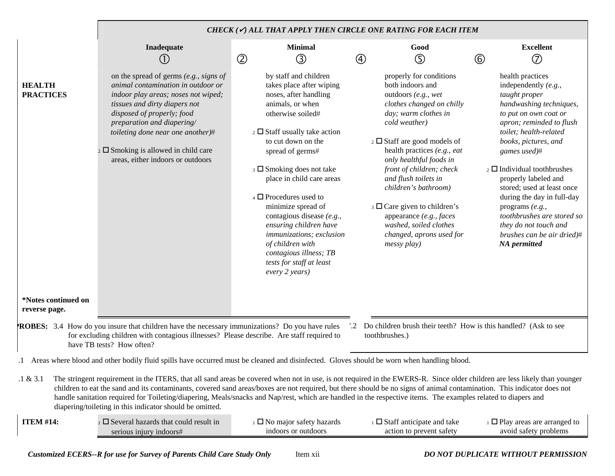|                                                                                                                                                                                                                                                                                                                                                                                                                                                                                                                                                                                               |                                                                                                                                                                                                                                                                                                                                                        | CHECK ( $\checkmark$ ) ALL THAT APPLY THEN CIRCLE ONE RATING FOR EACH ITEM                                                                                                                                                                                                                                                                                                                                                                                                                              |                                                                                                                                                                                                                                                                                                                                                                                                                                                          |                                                                                                                                                                                                                                                                                                                                                                                                                                                                             |  |  |  |
|-----------------------------------------------------------------------------------------------------------------------------------------------------------------------------------------------------------------------------------------------------------------------------------------------------------------------------------------------------------------------------------------------------------------------------------------------------------------------------------------------------------------------------------------------------------------------------------------------|--------------------------------------------------------------------------------------------------------------------------------------------------------------------------------------------------------------------------------------------------------------------------------------------------------------------------------------------------------|---------------------------------------------------------------------------------------------------------------------------------------------------------------------------------------------------------------------------------------------------------------------------------------------------------------------------------------------------------------------------------------------------------------------------------------------------------------------------------------------------------|----------------------------------------------------------------------------------------------------------------------------------------------------------------------------------------------------------------------------------------------------------------------------------------------------------------------------------------------------------------------------------------------------------------------------------------------------------|-----------------------------------------------------------------------------------------------------------------------------------------------------------------------------------------------------------------------------------------------------------------------------------------------------------------------------------------------------------------------------------------------------------------------------------------------------------------------------|--|--|--|
|                                                                                                                                                                                                                                                                                                                                                                                                                                                                                                                                                                                               | Inadequate<br>(1)                                                                                                                                                                                                                                                                                                                                      | <b>Minimal</b><br>$^\copyright$<br>③                                                                                                                                                                                                                                                                                                                                                                                                                                                                    | Good<br>⑤<br>$\circledA$                                                                                                                                                                                                                                                                                                                                                                                                                                 | <b>Excellent</b><br>$\circledcirc$<br>$^\circledR$                                                                                                                                                                                                                                                                                                                                                                                                                          |  |  |  |
| <b>HEALTH</b><br><b>PRACTICES</b>                                                                                                                                                                                                                                                                                                                                                                                                                                                                                                                                                             | on the spread of germs $(e.g., signs of)$<br>animal contamination in outdoor or<br>indoor play areas; noses not wiped;<br>tissues and dirty diapers not<br>disposed of properly; food<br>preparation and diapering/<br>toileting done near one another)#<br>$\frac{1}{2}$ $\Box$ Smoking is allowed in child care<br>areas, either indoors or outdoors | by staff and children<br>takes place after wiping<br>noses, after handling<br>animals, or when<br>otherwise soiled#<br>$\frac{1}{2}$ Staff usually take action<br>to cut down on the<br>spread of germs#<br>3 Smoking does not take<br>place in child care areas<br>$_4$ $\Box$ Procedures used to<br>minimize spread of<br>contagious disease (e.g.,<br>ensuring children have<br>immunizations; exclusion<br>of children with<br>contagious illness; TB<br>tests for staff at least<br>every 2 years) | properly for conditions<br>both indoors and<br>outdoors (e.g., wet<br>clothes changed on chilly<br>day; warm clothes in<br>cold weather)<br>$\frac{1}{2}$ Staff are good models of<br>health practices (e.g., eat<br>only healthful foods in<br>front of children; check<br>and flush toilets in<br>children's bathroom)<br>3 □ Care given to children's<br>appearance (e.g., faces<br>washed, soiled clothes<br>changed, aprons used for<br>messy play) | health practices<br>independently $(e.g.,$<br>taught proper<br>handwashing techniques,<br>to put on own coat or<br>apron; reminded to flush<br>toilet; health-related<br>books, pictures, and<br>games used)#<br>$\frac{1}{2}$ Individual toothbrushes<br>properly labeled and<br>stored; used at least once<br>during the day in full-day<br>programs $(e.g.,$<br>toothbrushes are stored so<br>they do not touch and<br>brushes can be air dried)#<br><b>NA</b> permitted |  |  |  |
| *Notes continued on<br>reverse page.                                                                                                                                                                                                                                                                                                                                                                                                                                                                                                                                                          |                                                                                                                                                                                                                                                                                                                                                        |                                                                                                                                                                                                                                                                                                                                                                                                                                                                                                         |                                                                                                                                                                                                                                                                                                                                                                                                                                                          |                                                                                                                                                                                                                                                                                                                                                                                                                                                                             |  |  |  |
| <b>ROBES:</b> 3.4 How do you insure that children have the necessary immunizations? Do you have rules<br>'.2 Do children brush their teeth? How is this handled? (Ask to see<br>for excluding children with contagious illnesses? Please describe. Are staff required to<br>toothbrushes.)<br>have TB tests? How often?                                                                                                                                                                                                                                                                       |                                                                                                                                                                                                                                                                                                                                                        |                                                                                                                                                                                                                                                                                                                                                                                                                                                                                                         |                                                                                                                                                                                                                                                                                                                                                                                                                                                          |                                                                                                                                                                                                                                                                                                                                                                                                                                                                             |  |  |  |
|                                                                                                                                                                                                                                                                                                                                                                                                                                                                                                                                                                                               | .1 Areas where blood and other bodily fluid spills have occurred must be cleaned and disinfected. Gloves should be worn when handling blood.                                                                                                                                                                                                           |                                                                                                                                                                                                                                                                                                                                                                                                                                                                                                         |                                                                                                                                                                                                                                                                                                                                                                                                                                                          |                                                                                                                                                                                                                                                                                                                                                                                                                                                                             |  |  |  |
| The stringent requirement in the ITERS, that all sand areas be covered when not in use, is not required in the EWERS-R. Since older children are less likely than younger<br>.1 & 3.1<br>children to eat the sand and its contaminants, covered sand areas/boxes are not required, but there should be no signs of animal contamination. This indicator does not<br>handle sanitation required for Toileting/diapering, Meals/snacks and Nap/rest, which are handled in the respective items. The examples related to diapers and<br>diapering/toileting in this indicator should be omitted. |                                                                                                                                                                                                                                                                                                                                                        |                                                                                                                                                                                                                                                                                                                                                                                                                                                                                                         |                                                                                                                                                                                                                                                                                                                                                                                                                                                          |                                                                                                                                                                                                                                                                                                                                                                                                                                                                             |  |  |  |
| <b>ITEM #14:</b>                                                                                                                                                                                                                                                                                                                                                                                                                                                                                                                                                                              | $\Box$ Several hazards that could result in<br>serious injury indoors#                                                                                                                                                                                                                                                                                 | $\Box$ No major safety hazards<br>indoors or outdoors                                                                                                                                                                                                                                                                                                                                                                                                                                                   | $\Box$ Staff anticipate and take<br>action to prevent safety                                                                                                                                                                                                                                                                                                                                                                                             | $\Box$ Play areas are arranged to<br>avoid safety problems                                                                                                                                                                                                                                                                                                                                                                                                                  |  |  |  |

*Customized ECERS--R for use for Survey of Parents Child Care Study Only* Item xii *DO NOT DUPLICATE WITHOUT PERMISSION*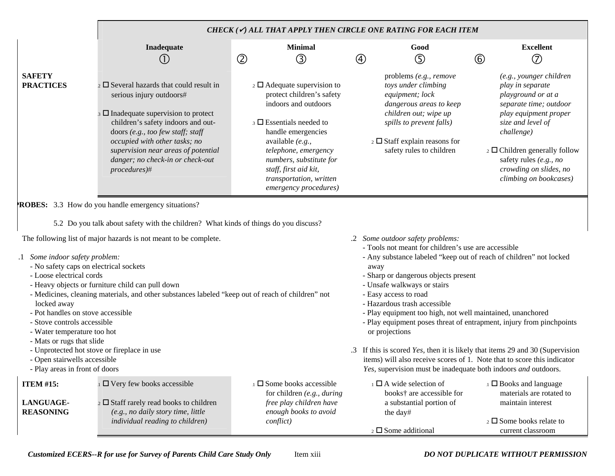|                                                                                                                                                                                                                                                                                                                                                                                                                                                                                                                                                                                                                                                                                                                                                                                                                                                                                                                                                                                                                                                                                                                                                                                                                                        |                                                                                                                                                                                                                                                                                                                                   | CHECK $(\checkmark)$ all that apply then circle one rating for each item                                                                                                                                                                                                                                    |             |                                                                                                                                                                                                                         |                |                                                                                                                                                                                                                                                                                  |
|----------------------------------------------------------------------------------------------------------------------------------------------------------------------------------------------------------------------------------------------------------------------------------------------------------------------------------------------------------------------------------------------------------------------------------------------------------------------------------------------------------------------------------------------------------------------------------------------------------------------------------------------------------------------------------------------------------------------------------------------------------------------------------------------------------------------------------------------------------------------------------------------------------------------------------------------------------------------------------------------------------------------------------------------------------------------------------------------------------------------------------------------------------------------------------------------------------------------------------------|-----------------------------------------------------------------------------------------------------------------------------------------------------------------------------------------------------------------------------------------------------------------------------------------------------------------------------------|-------------------------------------------------------------------------------------------------------------------------------------------------------------------------------------------------------------------------------------------------------------------------------------------------------------|-------------|-------------------------------------------------------------------------------------------------------------------------------------------------------------------------------------------------------------------------|----------------|----------------------------------------------------------------------------------------------------------------------------------------------------------------------------------------------------------------------------------------------------------------------------------|
|                                                                                                                                                                                                                                                                                                                                                                                                                                                                                                                                                                                                                                                                                                                                                                                                                                                                                                                                                                                                                                                                                                                                                                                                                                        | Inadequate<br>(1)                                                                                                                                                                                                                                                                                                                 | <b>Minimal</b><br>$^{\circledR}$<br>③                                                                                                                                                                                                                                                                       | $\circledA$ | Good<br>⑤                                                                                                                                                                                                               | $\circledcirc$ | <b>Excellent</b><br>7                                                                                                                                                                                                                                                            |
| <b>SAFETY</b><br><b>PRACTICES</b>                                                                                                                                                                                                                                                                                                                                                                                                                                                                                                                                                                                                                                                                                                                                                                                                                                                                                                                                                                                                                                                                                                                                                                                                      | $\frac{1}{2}$ Several hazards that could result in<br>serious injury outdoors#<br>$\Box$ Inadequate supervision to protect<br>children's safety indoors and out-<br>doors (e.g., too few staff; staff<br>occupied with other tasks; no<br>supervision near areas of potential<br>danger; no check-in or check-out<br>procedures)# | $\overline{2}$ $\Box$ Adequate supervision to<br>protect children's safety<br>indoors and outdoors<br>$\Box$ Essentials needed to<br>handle emergencies<br>available (e.g.,<br>telephone, emergency<br>numbers, substitute for<br>staff, first aid kit,<br>transportation, written<br>emergency procedures) |             | problems (e.g., remove<br>toys under climbing<br>equipment; lock<br>dangerous areas to keep<br>children out; wipe up<br>spills to prevent falls)<br>$\frac{1}{2}$ Staff explain reasons for<br>safety rules to children |                | (e.g., younger children<br>play in separate<br>playground or at a<br>separate time; outdoor<br>play equipment proper<br>size and level of<br>challenge)<br>$\frac{1}{2}$ Children generally follow<br>safety rules (e.g., no<br>crowding on slides, no<br>climbing on bookcases) |
| <b>ROBES:</b> 3.3 How do you handle emergency situations?<br>5.2 Do you talk about safety with the children? What kinds of things do you discuss?<br>The following list of major hazards is not meant to be complete.<br>.2 Some outdoor safety problems:<br>- Tools not meant for children's use are accessible<br>.1 Some indoor safety problem:<br>- Any substance labeled "keep out of reach of children" not locked<br>- No safety caps on electrical sockets<br>away<br>- Loose electrical cords<br>- Sharp or dangerous objects present<br>- Heavy objects or furniture child can pull down<br>- Unsafe walkways or stairs<br>- Medicines, cleaning materials, and other substances labeled "keep out of reach of children" not<br>- Easy access to road<br>- Hazardous trash accessible<br>locked away<br>- Pot handles on stove accessible<br>- Play equipment too high, not well maintained, unanchored<br>- Stove controls accessible<br>- Play equipment poses threat of entrapment, injury from pinchpoints<br>- Water temperature too hot<br>or projections<br>- Mats or rugs that slide<br>- Unprotected hot stove or fireplace in use<br>.3 If this is scored Yes, then it is likely that items 29 and 30 (Supervision |                                                                                                                                                                                                                                                                                                                                   |                                                                                                                                                                                                                                                                                                             |             |                                                                                                                                                                                                                         |                |                                                                                                                                                                                                                                                                                  |
| - Open stairwells accessible<br>- Play areas in front of doors                                                                                                                                                                                                                                                                                                                                                                                                                                                                                                                                                                                                                                                                                                                                                                                                                                                                                                                                                                                                                                                                                                                                                                         |                                                                                                                                                                                                                                                                                                                                   |                                                                                                                                                                                                                                                                                                             |             | Yes, supervision must be inadequate both indoors and outdoors.                                                                                                                                                          |                | items) will also receive scores of 1. Note that to score this indicator                                                                                                                                                                                                          |
| <b>ITEM #15:</b><br>LANGUAGE-<br><b>REASONING</b>                                                                                                                                                                                                                                                                                                                                                                                                                                                                                                                                                                                                                                                                                                                                                                                                                                                                                                                                                                                                                                                                                                                                                                                      | $\Box$ Very few books accessible<br>$\frac{1}{2}$ Staff rarely read books to children<br>(e.g., no daily story time, little                                                                                                                                                                                                       | $\Box$ Some books accessible<br>for children $(e.g., during)$<br>free play children have<br>enough books to avoid                                                                                                                                                                                           | the day#    | $\Box$ A wide selection of<br>books† are accessible for<br>a substantial portion of                                                                                                                                     |                | $\Box$ Books and language<br>materials are rotated to<br>maintain interest                                                                                                                                                                                                       |
|                                                                                                                                                                                                                                                                                                                                                                                                                                                                                                                                                                                                                                                                                                                                                                                                                                                                                                                                                                                                                                                                                                                                                                                                                                        | individual reading to children)                                                                                                                                                                                                                                                                                                   | conflict)                                                                                                                                                                                                                                                                                                   |             | $_2$ $\square$ Some additional                                                                                                                                                                                          |                | $\frac{1}{2}$ Some books relate to<br>current classroom                                                                                                                                                                                                                          |

*Customized ECERS--R for use for Survey of Parents Child Care Study Only* Item xiii *DO NOT DUPLICATE WITHOUT PERMISSION*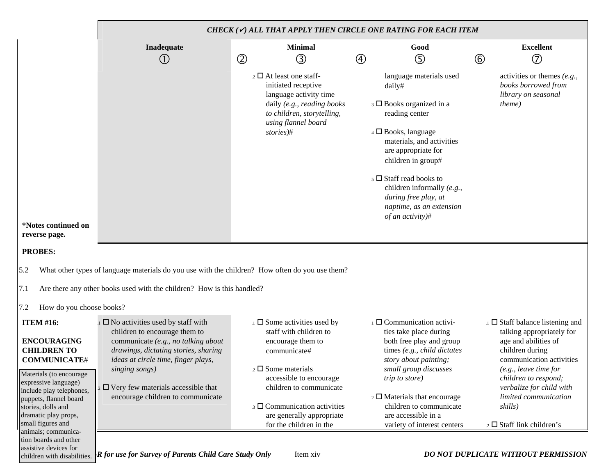|                                                                                                                                                                                                                                                                 |                                                                                                                                                                                                                                                                                                            |                |                                                                                                                                                                                                                                                                                 |             | CHECK $(\checkmark)$ all that apply then circle one rating for each item                                                                                                                                                                                                                                                                           |                |                                                                                                                                                                                                                                                                                                |
|-----------------------------------------------------------------------------------------------------------------------------------------------------------------------------------------------------------------------------------------------------------------|------------------------------------------------------------------------------------------------------------------------------------------------------------------------------------------------------------------------------------------------------------------------------------------------------------|----------------|---------------------------------------------------------------------------------------------------------------------------------------------------------------------------------------------------------------------------------------------------------------------------------|-------------|----------------------------------------------------------------------------------------------------------------------------------------------------------------------------------------------------------------------------------------------------------------------------------------------------------------------------------------------------|----------------|------------------------------------------------------------------------------------------------------------------------------------------------------------------------------------------------------------------------------------------------------------------------------------------------|
|                                                                                                                                                                                                                                                                 | Inadequate<br>$\bigcirc$                                                                                                                                                                                                                                                                                   | $^{\circledR}$ | <b>Minimal</b><br>③                                                                                                                                                                                                                                                             | $\circledA$ | Good<br>⑤                                                                                                                                                                                                                                                                                                                                          | $^{\circledR}$ | <b>Excellent</b><br>$\circledcirc$                                                                                                                                                                                                                                                             |
| *Notes continued on<br>reverse page.                                                                                                                                                                                                                            |                                                                                                                                                                                                                                                                                                            |                | $\frac{1}{2}$ $\Box$ At least one staff-<br>initiated receptive<br>language activity time<br>daily (e.g., reading books<br>to children, storytelling,<br>using flannel board<br>stories)#                                                                                       |             | language materials used<br>daily#<br>$\Box$ Books organized in a<br>reading center<br>4 □ Books, language<br>materials, and activities<br>are appropriate for<br>children in group#<br>$\overline{\phantom{a}}$ 5 $\Box$ Staff read books to<br>children informally (e.g.,<br>during free play, at<br>naptime, as an extension<br>of an activity)# |                | activities or themes $(e.g.,$<br>books borrowed from<br>library on seasonal<br><i>theme</i> )                                                                                                                                                                                                  |
| <b>PROBES:</b>                                                                                                                                                                                                                                                  |                                                                                                                                                                                                                                                                                                            |                |                                                                                                                                                                                                                                                                                 |             |                                                                                                                                                                                                                                                                                                                                                    |                |                                                                                                                                                                                                                                                                                                |
| 5.2<br>7.1                                                                                                                                                                                                                                                      | What other types of language materials do you use with the children? How often do you use them?<br>Are there any other books used with the children? How is this handled?                                                                                                                                  |                |                                                                                                                                                                                                                                                                                 |             |                                                                                                                                                                                                                                                                                                                                                    |                |                                                                                                                                                                                                                                                                                                |
| 7.2<br>How do you choose books?                                                                                                                                                                                                                                 |                                                                                                                                                                                                                                                                                                            |                |                                                                                                                                                                                                                                                                                 |             |                                                                                                                                                                                                                                                                                                                                                    |                |                                                                                                                                                                                                                                                                                                |
| <b>ITEM #16:</b><br><b>ENCOURAGING</b><br><b>CHILDREN TO</b><br><b>COMMUNICATE#</b><br>Materials (to encourage<br>expressive language)<br>include play telephones,<br>puppets, flannel board<br>stories, dolls and<br>dramatic play props,<br>small figures and | $\square$ No activities used by staff with<br>children to encourage them to<br>communicate (e.g., no talking about<br>drawings, dictating stories, sharing<br>ideas at circle time, finger plays,<br>singing songs)<br>$_2$ $\Box$ Very few materials accessible that<br>encourage children to communicate |                | $\Box$ Some activities used by<br>staff with children to<br>encourage them to<br>communicate#<br>$_2$ $\square$ Some materials<br>accessible to encourage<br>children to communicate<br>$\Box$ Communication activities<br>are generally appropriate<br>for the children in the |             | $\Box$ Communication activi-<br>ties take place during<br>both free play and group<br>times (e.g., child dictates<br>story about painting;<br>small group discusses<br><i>trip to store</i> )<br>$\frac{1}{2}$ Materials that encourage<br>children to communicate<br>are accessible in a<br>variety of interest centers                           |                | $\Box$ Staff balance listening and<br>talking appropriately for<br>age and abilities of<br>children during<br>communication activities<br>(e.g., leave time for<br>children to respond;<br>verbalize for child with<br>limited communication<br>skills)<br>$\frac{1}{2}$ Staff link children's |
| animals; communica-<br>tion boards and other<br>assistive devices for<br>children with disabilities.                                                                                                                                                            | <b>R</b> for use for Survey of Parents Child Care Study Only                                                                                                                                                                                                                                               |                | Item xiv                                                                                                                                                                                                                                                                        |             |                                                                                                                                                                                                                                                                                                                                                    |                | <b>DO NOT DUPLICATE WITHOUT PERMISSION</b>                                                                                                                                                                                                                                                     |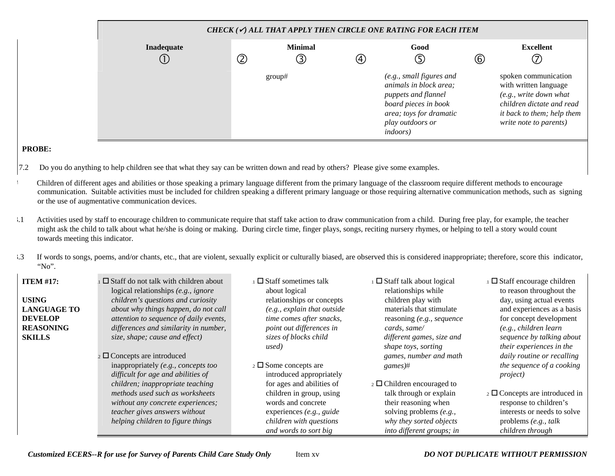|                 | CHECK ( $\checkmark$ ) ALL THAT APPLY THEN CIRCLE ONE RATING FOR EACH ITEM |                     |                   |                                                                                                                                                                      |                                   |                                                                                                                                                              |  |  |  |  |  |
|-----------------|----------------------------------------------------------------------------|---------------------|-------------------|----------------------------------------------------------------------------------------------------------------------------------------------------------------------|-----------------------------------|--------------------------------------------------------------------------------------------------------------------------------------------------------------|--|--|--|--|--|
| Inadequate<br>∪ | ②                                                                          | <b>Minimal</b><br>③ | $\left( 4\right)$ | Good<br>⑤                                                                                                                                                            | $_{\textcircled{\scriptsize{6}}}$ | <b>Excellent</b><br>⑦                                                                                                                                        |  |  |  |  |  |
|                 |                                                                            | group#              |                   | (e.g., small figures and<br>animals in block area;<br>puppets and flannel<br>board pieces in book<br>area; toys for dramatic<br>play outdoors or<br><i>indoors</i> ) |                                   | spoken communication<br>with written language<br>(e.g., write down what<br>children dictate and read<br>it back to them; help them<br>write note to parents) |  |  |  |  |  |

## **PROBE:**

- 7.2 Do you do anything to help children see that what they say can be written down and read by others? Please give some examples.
- # Children of different ages and abilities or those speaking a primary language different from the primary language of the classroom require different methods to encourage communication. Suitable activities must be included for children speaking a different primary language or those requiring alternative communication methods, such as signing or the use of augmentative communication devices.
- 3.1 Activities used by staff to encourage children to communicate require that staff take action to draw communication from a child. During free play, for example, the teacher might ask the child to talk about what he/she is doing or making. During circle time, finger plays, songs, reciting nursery rhymes, or helping to tell a story would count towards meeting this indicator.
- <sup>3.3</sup> If words to songs, poems, and/or chants, etc., that are violent, sexually explicit or culturally biased, are observed this is considered inappropriate; therefore, score this indicator, "No".

| <b>ITEM #17:</b><br><b>USING</b><br><b>LANGUAGE TO</b><br><b>DEVELOP</b><br><b>REASONING</b><br><b>SKILLS</b> | $\Box$ Staff do not talk with children about<br>logical relationships (e.g., ignore<br>children's questions and curiosity<br>about why things happen, do not call<br>attention to sequence of daily events,<br>differences and similarity in number,<br>size, shape; cause and effect) | $\perp$ Staff sometimes talk<br>about logical<br>relationships or concepts<br>(e.g., explain that outside<br>time comes after snacks,<br>point out differences in<br>sizes of blocks child<br>used) | $\Box$ Staff talk about logical<br>relationships while<br>children play with<br>materials that stimulate<br>reasoning (e.g., sequence<br>cards, same/<br>different games, size and<br>shape toys, sorting | $\Box$ Staff encourage children<br>to reason throughout the<br>day, using actual events<br>and experiences as a basis<br>for concept development<br>(e.g., children learn)<br>sequence by talking about<br>their experiences in the |
|---------------------------------------------------------------------------------------------------------------|----------------------------------------------------------------------------------------------------------------------------------------------------------------------------------------------------------------------------------------------------------------------------------------|-----------------------------------------------------------------------------------------------------------------------------------------------------------------------------------------------------|-----------------------------------------------------------------------------------------------------------------------------------------------------------------------------------------------------------|-------------------------------------------------------------------------------------------------------------------------------------------------------------------------------------------------------------------------------------|
|                                                                                                               | $\sim$ $\Box$ Concepts are introduced                                                                                                                                                                                                                                                  |                                                                                                                                                                                                     | games, number and math                                                                                                                                                                                    | daily routine or recalling                                                                                                                                                                                                          |
|                                                                                                               | inappropriately (e.g., concepts too<br>difficult for age and abilities of                                                                                                                                                                                                              | $\frac{1}{2}$ Some concepts are<br>introduced appropriately                                                                                                                                         | games#                                                                                                                                                                                                    | the sequence of a cooking<br><i>project</i> )                                                                                                                                                                                       |
|                                                                                                               | children; inappropriate teaching                                                                                                                                                                                                                                                       | for ages and abilities of                                                                                                                                                                           | $\overline{2}$ Children encouraged to                                                                                                                                                                     |                                                                                                                                                                                                                                     |
|                                                                                                               | methods used such as worksheets                                                                                                                                                                                                                                                        | children in group, using                                                                                                                                                                            | talk through or explain                                                                                                                                                                                   | $\frac{1}{2}$ Concepts are introduced in                                                                                                                                                                                            |
|                                                                                                               | without any concrete experiences;                                                                                                                                                                                                                                                      | words and concrete                                                                                                                                                                                  | their reasoning when                                                                                                                                                                                      | response to children's                                                                                                                                                                                                              |
|                                                                                                               | teacher gives answers without                                                                                                                                                                                                                                                          | experiences (e.g., guide                                                                                                                                                                            | solving problems $(e.g.,$                                                                                                                                                                                 | interests or needs to solve                                                                                                                                                                                                         |
|                                                                                                               | helping children to figure things                                                                                                                                                                                                                                                      | children with questions                                                                                                                                                                             | why they sorted objects                                                                                                                                                                                   | problems $(e.g., talk)$                                                                                                                                                                                                             |
|                                                                                                               |                                                                                                                                                                                                                                                                                        | and words to sort big                                                                                                                                                                               | into different groups; in                                                                                                                                                                                 | children through                                                                                                                                                                                                                    |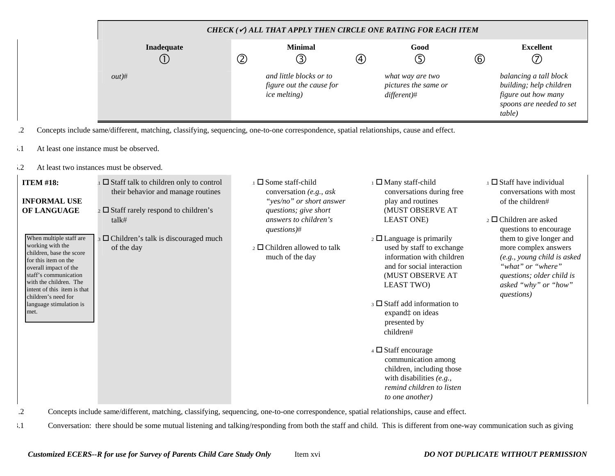| CHECK ( $\checkmark$ ) ALL THAT APPLY THEN CIRCLE ONE RATING FOR EACH ITEM |   |                                                                             |   |                                                           |             |                                                                                                                |  |  |
|----------------------------------------------------------------------------|---|-----------------------------------------------------------------------------|---|-----------------------------------------------------------|-------------|----------------------------------------------------------------------------------------------------------------|--|--|
| Inadequate<br>◡                                                            | ② | <b>Minimal</b><br>③                                                         | ④ | Good<br>$\mathbb{G}$                                      | $\circledB$ | <b>Excellent</b><br>(7                                                                                         |  |  |
| out#                                                                       |   | and little blocks or to<br>figure out the cause for<br><i>ice melting</i> ) |   | what way are two<br>pictures the same or<br>differential# |             | balancing a tall block<br>building; help children<br>figure out how many<br>spoons are needed to set<br>table) |  |  |

.2 Concepts include same/different, matching, classifying, sequencing, one-to-one correspondence, spatial relationships, cause and effect.

- 5.1 At least one instance must be observed.
- 5.2 At least two instances must be observed.

| <b>ITEM #18:</b><br><b>INFORMAL USE</b><br>OF LANGUAGE<br>When multiple staff are<br>working with the<br>children, base the score                                                         | $\Box$ Staff talk to children only to control<br>their behavior and manage routines<br>$_2 \square$ Staff rarely respond to children's<br>talk#<br>$\overline{\phantom{a}}$ Children's talk is discouraged much<br>of the day | $\Box$ Some staff-child<br>conversation (e.g., ask<br>"yes/no" or short answer<br>questions; give short<br>answers to children's<br>$questions)$ #<br>$\overline{2}$ Children allowed to talk | $\perp$ Many staff-child<br>conversations during free<br>play and routines<br>(MUST OBSERVE AT<br><b>LEAST ONE)</b><br>$\frac{1}{2}$ Language is primarily<br>used by staff to exchange | $\Box$ Staff have individual<br>conversations with most<br>of the children#<br>$\overline{2}$ $\Box$ Children are asked<br>questions to encourage<br>them to give longer and<br>more complex answers |
|-------------------------------------------------------------------------------------------------------------------------------------------------------------------------------------------|-------------------------------------------------------------------------------------------------------------------------------------------------------------------------------------------------------------------------------|-----------------------------------------------------------------------------------------------------------------------------------------------------------------------------------------------|-----------------------------------------------------------------------------------------------------------------------------------------------------------------------------------------|------------------------------------------------------------------------------------------------------------------------------------------------------------------------------------------------------|
| for this item on the<br>overall impact of the<br>staff's communication<br>with the children. The<br>intent of this item is that<br>children's need for<br>language stimulation is<br>met. |                                                                                                                                                                                                                               | much of the day                                                                                                                                                                               | information with children<br>and for social interaction<br>(MUST OBSERVE AT<br><b>LEAST TWO</b><br>$\beta$ Staff add information to<br>expand: on ideas<br>presented by<br>children#    | (e.g., young child is asked<br>"what" or "where"<br>questions; older child is<br>asked "why" or "how"<br>questions)                                                                                  |
|                                                                                                                                                                                           |                                                                                                                                                                                                                               |                                                                                                                                                                                               | $\overline{4}$ $\Box$ Staff encourage<br>communication among<br>children, including those<br>with disabilities $(e.g.,$<br>remind children to listen<br>to one another)                 |                                                                                                                                                                                                      |

.2 Concepts include same/different, matching, classifying, sequencing, one-to-one correspondence, spatial relationships, cause and effect.

3.1 Conversation: there should be some mutual listening and talking/responding from both the staff and child. This is different from one-way communication such as giving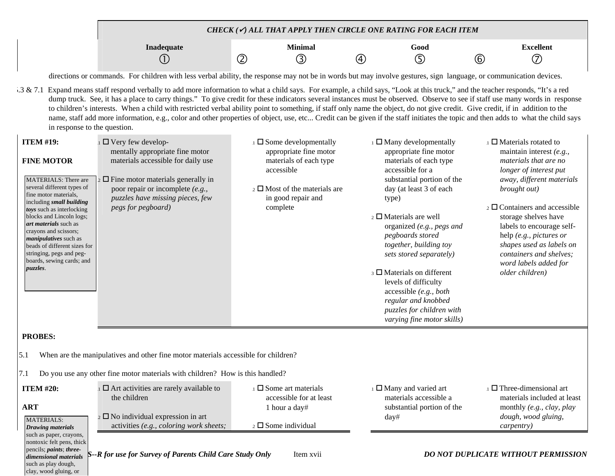|                                                                                                                                                                                                                                                                                                          |                                                                                                                                                                                                                                                                                                                                                                                                                                                                                                                                                                                                                                                                                                                                                                                                                                                                                                                                                                                                                                                             |                |                                                                                                                |                   | CHECK $(\checkmark)$ all that apply then circle one rating for each item                                                                                                                                                                                                                                                                                        |             |                                                                                                                                                                                                                                                    |
|----------------------------------------------------------------------------------------------------------------------------------------------------------------------------------------------------------------------------------------------------------------------------------------------------------|-------------------------------------------------------------------------------------------------------------------------------------------------------------------------------------------------------------------------------------------------------------------------------------------------------------------------------------------------------------------------------------------------------------------------------------------------------------------------------------------------------------------------------------------------------------------------------------------------------------------------------------------------------------------------------------------------------------------------------------------------------------------------------------------------------------------------------------------------------------------------------------------------------------------------------------------------------------------------------------------------------------------------------------------------------------|----------------|----------------------------------------------------------------------------------------------------------------|-------------------|-----------------------------------------------------------------------------------------------------------------------------------------------------------------------------------------------------------------------------------------------------------------------------------------------------------------------------------------------------------------|-------------|----------------------------------------------------------------------------------------------------------------------------------------------------------------------------------------------------------------------------------------------------|
|                                                                                                                                                                                                                                                                                                          | Inadequate                                                                                                                                                                                                                                                                                                                                                                                                                                                                                                                                                                                                                                                                                                                                                                                                                                                                                                                                                                                                                                                  |                | <b>Minimal</b>                                                                                                 |                   | Good                                                                                                                                                                                                                                                                                                                                                            |             | <b>Excellent</b>                                                                                                                                                                                                                                   |
|                                                                                                                                                                                                                                                                                                          |                                                                                                                                                                                                                                                                                                                                                                                                                                                                                                                                                                                                                                                                                                                                                                                                                                                                                                                                                                                                                                                             | $^{\circledR}$ | ③                                                                                                              | $\left( 4\right)$ | ⑤                                                                                                                                                                                                                                                                                                                                                               | $\circled6$ | (7)                                                                                                                                                                                                                                                |
| $.3 \& 7.1$<br>in response to the question.<br><b>ITEM #19:</b><br><b>FINE MOTOR</b><br><b>MATERIALS: There are</b><br>several different types of                                                                                                                                                        | directions or commands. For children with less verbal ability, the response may not be in words but may involve gestures, sign language, or communication devices.<br>Expand means staff respond verbally to add more information to what a child says. For example, a child says, "Look at this truck," and the teacher responds, "It's a red<br>dump truck. See, it has a place to carry things." To give credit for these indicators several instances must be observed. Observe to see if staff use many words in response<br>to children's interests. When a child with restricted verbal ability point to something, if staff only name the object, do not give credit. Give credit, if in addition to the<br>name, staff add more information, e.g., color and other properties of object, use, etc Credit can be given if the staff initiates the topic and then adds to what the child says<br>$\Box$ Very few develop-<br>mentally appropriate fine motor<br>materials accessible for daily use<br>$_2 \square$ Fine motor materials generally in |                | $\Box$ Some developmentally<br>appropriate fine motor<br>materials of each type<br>accessible                  |                   | $\Box$ Many developmentally<br>appropriate fine motor<br>materials of each type<br>accessible for a<br>substantial portion of the                                                                                                                                                                                                                               |             | $\Box$ Materials rotated to<br>maintain interest $(e.g.,$<br>materials that are no<br>longer of interest put<br>away, different materials                                                                                                          |
| fine motor materials,<br>including small building<br>toys such as interlocking<br>blocks and Lincoln logs;<br>art materials such as<br>crayons and scissors;<br><i>manipulatives</i> such as<br>beads of different sizes for<br>stringing, pegs and peg-<br>boards, sewing cards; and<br><i>puzzles.</i> | poor repair or incomplete (e.g.,<br>puzzles have missing pieces, few<br>pegs for pegboard)                                                                                                                                                                                                                                                                                                                                                                                                                                                                                                                                                                                                                                                                                                                                                                                                                                                                                                                                                                  |                | $\frac{1}{2}$ Most of the materials are<br>in good repair and<br>complete                                      |                   | day (at least 3 of each<br>type)<br>$\overline{2}$ $\Box$ Materials are well<br>organized (e.g., pegs and<br>pegboards stored<br>together, building toy<br>sets stored separately)<br>$\beta$ $\Box$ Materials on different<br>levels of difficulty<br>accessible (e.g., both<br>regular and knobbed<br>puzzles for children with<br>varying fine motor skills) |             | brought out)<br>$\overline{2}$ $\Box$ Containers and accessible<br>storage shelves have<br>labels to encourage self-<br>help (e.g., pictures or<br>shapes used as labels on<br>containers and shelves;<br>word labels added for<br>older children) |
| <b>PROBES:</b>                                                                                                                                                                                                                                                                                           |                                                                                                                                                                                                                                                                                                                                                                                                                                                                                                                                                                                                                                                                                                                                                                                                                                                                                                                                                                                                                                                             |                |                                                                                                                |                   |                                                                                                                                                                                                                                                                                                                                                                 |             |                                                                                                                                                                                                                                                    |
| 5.1                                                                                                                                                                                                                                                                                                      | When are the manipulatives and other fine motor materials accessible for children?                                                                                                                                                                                                                                                                                                                                                                                                                                                                                                                                                                                                                                                                                                                                                                                                                                                                                                                                                                          |                |                                                                                                                |                   |                                                                                                                                                                                                                                                                                                                                                                 |             |                                                                                                                                                                                                                                                    |
| 7.1                                                                                                                                                                                                                                                                                                      | Do you use any other fine motor materials with children? How is this handled?                                                                                                                                                                                                                                                                                                                                                                                                                                                                                                                                                                                                                                                                                                                                                                                                                                                                                                                                                                               |                |                                                                                                                |                   |                                                                                                                                                                                                                                                                                                                                                                 |             |                                                                                                                                                                                                                                                    |
| <b>ITEM #20:</b><br><b>ART</b><br><b>MATERIALS:</b>                                                                                                                                                                                                                                                      | $\Box$ Art activities are rarely available to<br>the children<br>$\sim$ $\Box$ No individual expression in art<br>activities (e.g., coloring work sheets;                                                                                                                                                                                                                                                                                                                                                                                                                                                                                                                                                                                                                                                                                                                                                                                                                                                                                                   |                | $\Box$ Some art materials<br>accessible for at least<br>1 hour a day#<br>$\overline{2}$ $\Box$ Some individual |                   | $\Box$ Many and varied art<br>materials accessible a<br>substantial portion of the<br>day#                                                                                                                                                                                                                                                                      |             | $\Box$ Three-dimensional art<br>materials included at least<br>monthly (e.g., clay, play<br>dough, wood gluing,<br><i>carpentry</i> )                                                                                                              |
| <b>Drawing materials</b><br>such as paper, crayons,<br>nontoxic felt pens, thick<br>pencils; paints; three-<br>dimensional materials<br>such as play dough,<br>clay, wood gluing, or                                                                                                                     | S--R for use for Survey of Parents Child Care Study Only                                                                                                                                                                                                                                                                                                                                                                                                                                                                                                                                                                                                                                                                                                                                                                                                                                                                                                                                                                                                    |                | Item xvii                                                                                                      |                   |                                                                                                                                                                                                                                                                                                                                                                 |             | DO NOT DUPLICATE WITHOUT PERMISSION                                                                                                                                                                                                                |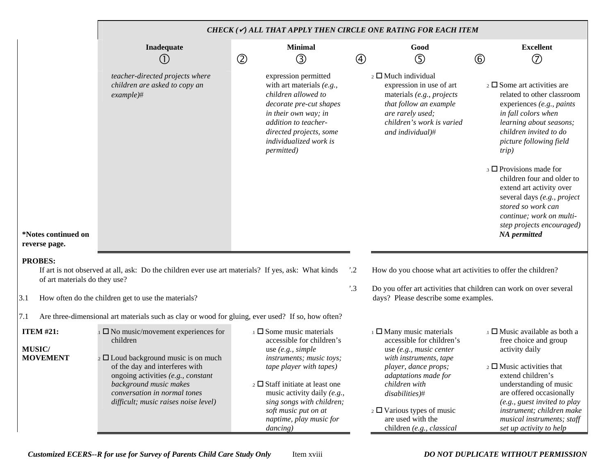|                                                      |                                                                                                                                                                                                                                                                                         | CHECK ( $\checkmark$ ) ALL THAT APPLY THEN CIRCLE ONE RATING FOR EACH ITEM                                                                                                                                                                                                                                      |                 |                                                                                                                                                                                                                                                                                                   |                |                                                                                                                                                                                                                                                                                                                     |  |  |  |  |
|------------------------------------------------------|-----------------------------------------------------------------------------------------------------------------------------------------------------------------------------------------------------------------------------------------------------------------------------------------|-----------------------------------------------------------------------------------------------------------------------------------------------------------------------------------------------------------------------------------------------------------------------------------------------------------------|-----------------|---------------------------------------------------------------------------------------------------------------------------------------------------------------------------------------------------------------------------------------------------------------------------------------------------|----------------|---------------------------------------------------------------------------------------------------------------------------------------------------------------------------------------------------------------------------------------------------------------------------------------------------------------------|--|--|--|--|
|                                                      | Inadequate                                                                                                                                                                                                                                                                              | <b>Minimal</b><br>$^{\circledR}$<br>$\circledS$                                                                                                                                                                                                                                                                 | $\circledA$     | Good<br>⑤                                                                                                                                                                                                                                                                                         | $\circledcirc$ | <b>Excellent</b><br>$^{\circledR}$                                                                                                                                                                                                                                                                                  |  |  |  |  |
|                                                      | teacher-directed projects where<br>children are asked to copy an<br>$example)$ #                                                                                                                                                                                                        | expression permitted<br>with art materials $(e.g.,$<br>children allowed to<br>decorate pre-cut shapes<br>in their own way; in<br>addition to teacher-<br>directed projects, some<br><i>individualized work is</i><br><i>permitted</i> )                                                                         |                 | $\overline{2}$ Much individual<br>expression in use of art<br>materials (e.g., projects<br>that follow an example<br>are rarely used;<br>children's work is varied<br>and individual)#                                                                                                            |                | $\frac{1}{2}$ Some art activities are<br>related to other classroom<br>experiences (e.g., paints<br>in fall colors when<br>learning about seasons;<br>children invited to do<br>picture following field<br><i>trip</i> )                                                                                            |  |  |  |  |
| *Notes continued on<br>reverse page.                 |                                                                                                                                                                                                                                                                                         |                                                                                                                                                                                                                                                                                                                 |                 |                                                                                                                                                                                                                                                                                                   |                | $\Box$ Provisions made for<br>children four and older to<br>extend art activity over<br>several days (e.g., project<br>stored so work can<br>continue; work on multi-<br>step projects encouraged)<br><b>NA</b> permitted                                                                                           |  |  |  |  |
| <b>PROBES:</b><br>of art materials do they use?      | If art is not observed at all, ask: Do the children ever use art materials? If yes, ask: What kinds                                                                                                                                                                                     |                                                                                                                                                                                                                                                                                                                 | $\cdot \cdot 2$ | How do you choose what art activities to offer the children?                                                                                                                                                                                                                                      |                |                                                                                                                                                                                                                                                                                                                     |  |  |  |  |
| 3.1                                                  | How often do the children get to use the materials?                                                                                                                                                                                                                                     |                                                                                                                                                                                                                                                                                                                 | $^{\prime}.3$   | Do you offer art activities that children can work on over several<br>days? Please describe some examples.                                                                                                                                                                                        |                |                                                                                                                                                                                                                                                                                                                     |  |  |  |  |
| 7.1                                                  | Are three-dimensional art materials such as clay or wood for gluing, ever used? If so, how often?                                                                                                                                                                                       |                                                                                                                                                                                                                                                                                                                 |                 |                                                                                                                                                                                                                                                                                                   |                |                                                                                                                                                                                                                                                                                                                     |  |  |  |  |
| <b>ITEM #21:</b><br><b>MUSIC/</b><br><b>MOVEMENT</b> | $\Box$ No music/movement experiences for<br>children<br>$\frac{1}{2}$ $\Box$ Loud background music is on much<br>of the day and interferes with<br>ongoing activities (e.g., constant<br>background music makes<br>conversation in normal tones<br>difficult; music raises noise level) | $\Box$ Some music materials<br>accessible for children's<br>use $(e.g., simple)$<br>instruments; music toys;<br>tape player with tapes)<br>$\frac{1}{2}$ Staff initiate at least one<br>music activity daily (e.g.,<br>sing songs with children;<br>soft music put on at<br>naptime, play music for<br>dancing) |                 | $\Box$ Many music materials<br>accessible for children's<br>use (e.g., music center<br>with instruments, tape<br>player, dance props;<br>adaptations made for<br>children with<br>disabilities)#<br>$\frac{1}{2}$ $\Box$ Various types of music<br>are used with the<br>children (e.g., classical |                | $\Box$ Music available as both a<br>free choice and group<br>activity daily<br>$\frac{1}{2}$ Music activities that<br>extend children's<br>understanding of music<br>are offered occasionally<br>(e.g., guest invited to play<br>instrument; children make<br>musical instruments; staff<br>set up activity to help |  |  |  |  |

*Customized ECERS--R for use for Survey of Parents Child Care Study Only* Item xviii *DO NOT DUPLICATE WITHOUT PERMISSION*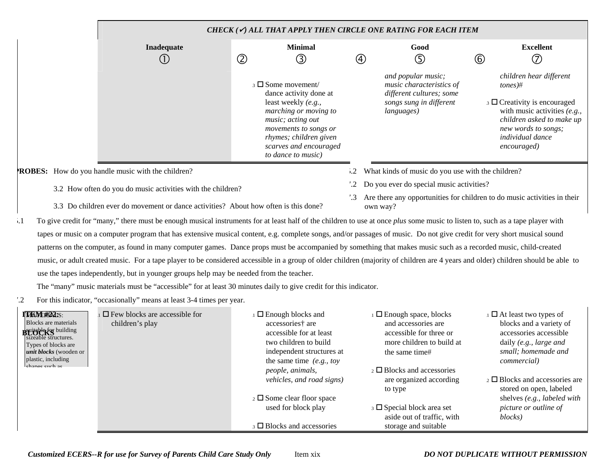|                                                             |               |                                                                                                                                                                                                                          |            | CHECK $(\checkmark)$ all that apply then circle one rating for each item                                            |            |                                                                                                                                                                                                   |
|-------------------------------------------------------------|---------------|--------------------------------------------------------------------------------------------------------------------------------------------------------------------------------------------------------------------------|------------|---------------------------------------------------------------------------------------------------------------------|------------|---------------------------------------------------------------------------------------------------------------------------------------------------------------------------------------------------|
| Inadequate                                                  |               | <b>Minimal</b>                                                                                                                                                                                                           |            | Good                                                                                                                |            | <b>Excellent</b>                                                                                                                                                                                  |
|                                                             | $^\copyright$ | ③                                                                                                                                                                                                                        |            | (5)<br>$\begin{array}{c} \textcircled{\small 4} \end{array}$                                                        | $^{\circ}$ | T                                                                                                                                                                                                 |
|                                                             |               | $\beta$ Some movement/<br>dance activity done at<br>least weekly (e.g.,<br>marching or moving to<br>music; acting out<br>movements to songs or<br>rhymes; children given<br>scarves and encouraged<br>to dance to music) |            | and popular music;<br>music characteristics of<br>different cultures; some<br>songs sung in different<br>languages) |            | children hear different<br>$tones)$ #<br>$\Box$ Creativity is encouraged<br>with music activities $(e.g.,$<br>children asked to make up<br>new words to songs;<br>individual dance<br>encouraged) |
| <b>ROBES:</b> How do you handle music with the children?    |               |                                                                                                                                                                                                                          | $\cdot$ 2  | What kinds of music do you use with the children?                                                                   |            |                                                                                                                                                                                                   |
| 3.2 How often do you do music activities with the children? |               |                                                                                                                                                                                                                          |            | Do you ever do special music activities?                                                                            |            |                                                                                                                                                                                                   |
|                                                             |               |                                                                                                                                                                                                                          | $\cdot$ .3 | Are there any opportunities for children to do music activities in their                                            |            |                                                                                                                                                                                                   |

- 3.3 Do children ever do movement or dance activities? About how often is this done?
- 5.1 To give credit for "many," there must be enough musical instruments for at least half of the children to use at once *plus* some music to listen to, such as a tape player with tapes or music on a computer program that has extensive musical content, e.g. complete songs, and/or passages of music. Do not give credit for very short musical sound patterns on the computer, as found in many computer games. Dance props must be accompanied by something that makes music such as a recorded music, child-created music, or adult created music. For a tape player to be considered accessible in a group of older children (majority of children are 4 years and older) children should be able to use the tapes independently, but in younger groups help may be needed from the teacher.

own way?

The "many" music materials must be "accessible" for at least 30 minutes daily to give credit for this indicator.

7.2 For this indicator, "occasionally" means at least 3-4 times per year.

| <b>TYAVERIAS:</b><br>Blocks are materials                                                              | $\Box$ Few blocks are accessible for<br>children's play | $\Box$ Enough blocks and<br>accessories† are                                  | $\Box$ Enough space, blocks<br>and accessories are                      | $\Box$ $\Box$ At least two types of<br>blocks and a variety of                           |
|--------------------------------------------------------------------------------------------------------|---------------------------------------------------------|-------------------------------------------------------------------------------|-------------------------------------------------------------------------|------------------------------------------------------------------------------------------|
| <b>BLOUGE</b> building<br>sizeable structures.<br>Types of blocks are<br><i>unit blocks</i> (wooden or |                                                         | accessible for at least<br>two children to build<br>independent structures at | accessible for three or<br>more children to build at<br>the same time#  | accessories accessible<br>daily (e.g., large and<br>small; homemade and                  |
| plastic, including<br>change cuch ac                                                                   |                                                         | the same time $(e.g., toy)$<br>people, animals,<br>vehicles, and road signs)  | $\alpha$ D Blocks and accessories<br>are organized according<br>to type | <i>commercial</i> )<br>$_2$ $\Box$ Blocks and accessories are<br>stored on open, labeled |
|                                                                                                        |                                                         | $\frac{1}{2}$ Some clear floor space<br>used for block play                   | $\Box$ Special block area set                                           | shelves (e.g., labeled with<br>picture or outline of                                     |
|                                                                                                        |                                                         | $\beta$ $\Box$ Blocks and accessories                                         | aside out of traffic, with<br>storage and suitable                      | blocks)                                                                                  |

*Customized ECERS--R for use for Survey of Parents Child Care Study Only* Item xix *DO NOT DUPLICATE WITHOUT PERMISSION*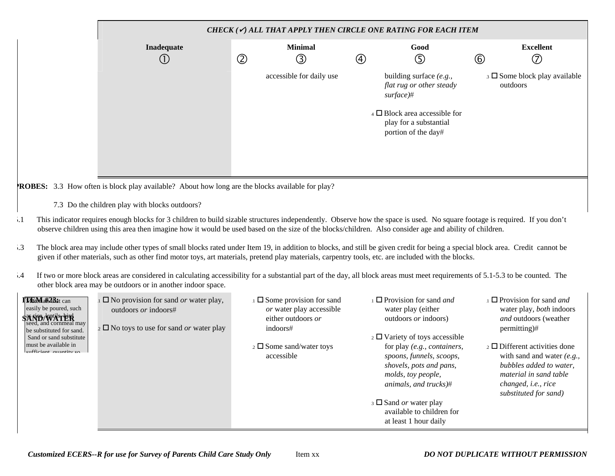|                 |                |                          |            | CHECK $(\checkmark)$ all that apply then circle one rating for each item               |                |                                              |
|-----------------|----------------|--------------------------|------------|----------------------------------------------------------------------------------------|----------------|----------------------------------------------|
| Inadequate<br>Œ | $^{\circledR}$ | <b>Minimal</b><br>③      | $\bigcirc$ | Good<br>$\circledS$                                                                    | $\circledcirc$ | <b>Excellent</b><br>$^\circledR$             |
|                 |                | accessible for daily use |            | building surface (e.g.,<br>flat rug or other steady<br>surface)#                       |                | $\Box$ Some block play available<br>outdoors |
|                 |                |                          |            | $_4$ $\Box$ Block area accessible for<br>play for a substantial<br>portion of the day# |                |                                              |
|                 |                |                          |            |                                                                                        |                |                                              |

7.3 Do the children play with blocks outdoors?

- 5.1 This indicator requires enough blocks for 3 children to build sizable structures independently. Observe how the space is used. No square footage is required. If you don't observe children using this area then imagine how it would be used based on the size of the blocks/children. Also consider age and ability of children.
- 5.3 The block area may include other types of small blocks rated under Item 19, in addition to blocks, and still be given credit for being a special block area. Credit cannot be given if other materials, such as other find motor toys, art materials, pretend play materials, carpentry tools, etc. are included with the blocks.
- 5.4 If two or more block areas are considered in calculating accessibility for a substantial part of the day, all block areas must meet requirements of 5.1-5.3 to be counted. The other block area may be outdoors or in another indoor space.

| l MacMatt <sup>2</sup> ibat can<br>easily be poured, such<br><b>SAND/WATER</b><br>seed, and cornmeal may<br>be substituted for sand.<br>Sand or sand substitute | $\square$ No provision for sand <i>or</i> water play,<br>outdoors <i>or</i> indoors#<br>$\frac{1}{2}$ No toys to use for sand <i>or</i> water play | $\Box$ Some provision for sand<br>or water play accessible<br>either outdoors or<br>indoors# | $\Box$ Provision for sand <i>and</i><br>water play (either<br>outdoors <i>or</i> indoors)<br>$\frac{1}{2}$ D Variety of toys accessible | $\Box$ Provision for sand <i>and</i><br>water play, <i>both</i> indoors<br><i>and</i> outdoors (weather<br>permitting)#                                                                   |
|-----------------------------------------------------------------------------------------------------------------------------------------------------------------|----------------------------------------------------------------------------------------------------------------------------------------------------|----------------------------------------------------------------------------------------------|-----------------------------------------------------------------------------------------------------------------------------------------|-------------------------------------------------------------------------------------------------------------------------------------------------------------------------------------------|
| must be available in<br>oufficiant quantity on                                                                                                                  |                                                                                                                                                    | $\frac{1}{2}$ Some sand/water toys<br>accessible                                             | for play (e.g., containers,<br>spoons, funnels, scoops,<br>shovels, pots and pans,<br>molds, toy people,<br>animals, and trucks)#       | $_2$ $\Box$ Different activities done<br>with sand and water $(e.g.,$<br>bubbles added to water.<br>material in sand table<br>changed, <i>i.e.</i> , <i>rice</i><br>substituted for sand) |
|                                                                                                                                                                 |                                                                                                                                                    |                                                                                              | $\Box$ Sand <i>or</i> water play<br>available to children for<br>at least 1 hour daily                                                  |                                                                                                                                                                                           |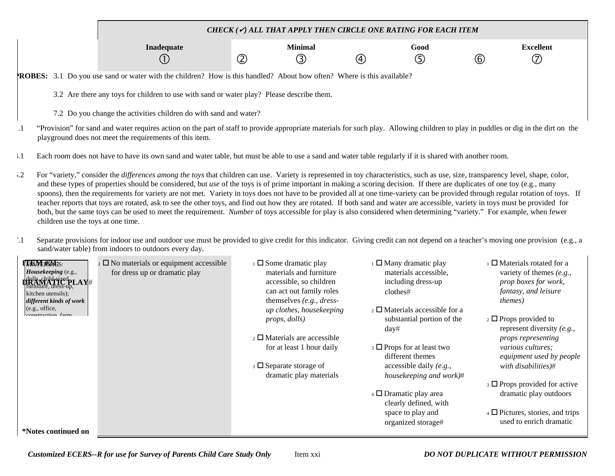|                                                                                                                                                                                                                           |                                                                   |                                 |               | CHECK $(\checkmark)$ all that apply then circle one rating for each item |               |                        |     |                         |  |  |
|---------------------------------------------------------------------------------------------------------------------------------------------------------------------------------------------------------------------------|-------------------------------------------------------------------|---------------------------------|---------------|--------------------------------------------------------------------------|---------------|------------------------|-----|-------------------------|--|--|
|                                                                                                                                                                                                                           |                                                                   | Inadequate<br>$\left( 1\right)$ | $^\copyright$ | <b>Minimal</b><br>(3)                                                    | $\circled{4}$ | Good<br>$\circledcirc$ | (6) | <b>Excellent</b><br>(7) |  |  |
| <b>ROBES:</b> 3.1 Do you use sand or water with the children? How is this handled? About how often? Where is this available?<br>3.2 Are there any toys for children to use with sand or water play? Please describe them. |                                                                   |                                 |               |                                                                          |               |                        |     |                         |  |  |
|                                                                                                                                                                                                                           | 7.2 Do you change the activities children do with sand and water? |                                 |               |                                                                          |               |                        |     |                         |  |  |

- .1 "Provision" for sand and water requires action on the part of staff to provide appropriate materials for such play. Allowing children to play in puddles or dig in the dirt on the playground does not meet the requirements of this item.
- 3.1 Each room does not have to have its own sand and water table, but must be able to use a sand and water table regularly if it is shared with another room.
- 5.2 For "variety," consider the *differences among the toys* that children can use. Variety is represented in toy characteristics, such as use, size, transparency level, shape, color, and these types of properties should be considered, but *use* of the toys is of prime important in making a scoring decision. If there are duplicates of one toy (e.g., many spoons), then the requirements for variety are not met. Variety in toys does not have to be provided all at one time-variety can be provided through regular rotation of toys. If teacher reports that toys are rotated, ask to see the other toys, and find out how they are rotated. If both sand and water are accessible, variety in toys must be provided for both, but the same toys can be used to meet the requirement. *Number* of toys accessible for play is also considered when determining "variety." For example, when fewer children use the toys at one time.
- 7.1 Separate provisions for indoor use and outdoor use must be provided to give credit for this indicator. Giving credit can not depend on a teacher's moving one provision (e.g., a sand/water table) from indoors to outdoors every day.

| <b>TANE#M:S:</b><br>Housekeeping (e.g.,<br>DRANA TiedpLAY#<br>kitchen utensils);<br>different kinds of work | $\square$ No materials or equipment accessible<br>for dress up or dramatic play | $\Box$ Some dramatic play<br>materials and furniture<br>accessible, so children<br>can act out family roles<br>themselves $(e.g., dress-)$ | $\frac{1}{1}$ Many dramatic play<br>materials accessible,<br>including dress-up<br>clothes# | $\Box$ Materials rotated for a<br>variety of themes $(e.g.,$<br>prop boxes for work,<br>fantasy, and leisure<br><i>themes</i> ) |
|-------------------------------------------------------------------------------------------------------------|---------------------------------------------------------------------------------|--------------------------------------------------------------------------------------------------------------------------------------------|---------------------------------------------------------------------------------------------|---------------------------------------------------------------------------------------------------------------------------------|
| (e.g., office,<br>construction form                                                                         |                                                                                 | up clothes, housekeeping<br><i>props, dolls)</i>                                                                                           | $_2 \square$ Materials accessible for a<br>substantial portion of the                       | $\frac{1}{2} \Box$ Props provided to                                                                                            |
|                                                                                                             |                                                                                 |                                                                                                                                            | day#                                                                                        | represent diversity (e.g.,                                                                                                      |
|                                                                                                             |                                                                                 | $_2 \square$ Materials are accessible                                                                                                      |                                                                                             | <i>props representing</i>                                                                                                       |
|                                                                                                             |                                                                                 | for at least 1 hour daily                                                                                                                  | $\overline{\phantom{a}}$ Props for at least two<br>different themes                         | <i>various cultures;</i><br>equipment used by people                                                                            |
|                                                                                                             |                                                                                 | $\overline{\phantom{a}}$ 3 $\Box$ Separate storage of<br>dramatic play materials                                                           | accessible daily $(e.g.,$<br>housekeeping and work)#                                        | with disabilities)#                                                                                                             |
|                                                                                                             |                                                                                 |                                                                                                                                            |                                                                                             | $\Box$ Props provided for active                                                                                                |
|                                                                                                             |                                                                                 |                                                                                                                                            | $\overline{4}$ D Dramatic play area<br>clearly defined, with                                | dramatic play outdoors                                                                                                          |
|                                                                                                             |                                                                                 |                                                                                                                                            | space to play and                                                                           | $\overline{4}$ $\overline{ }$ Pictures, stories, and trips                                                                      |
|                                                                                                             |                                                                                 |                                                                                                                                            | organized storage#                                                                          | used to enrich dramatic                                                                                                         |
| *Notes continued on                                                                                         |                                                                                 |                                                                                                                                            |                                                                                             |                                                                                                                                 |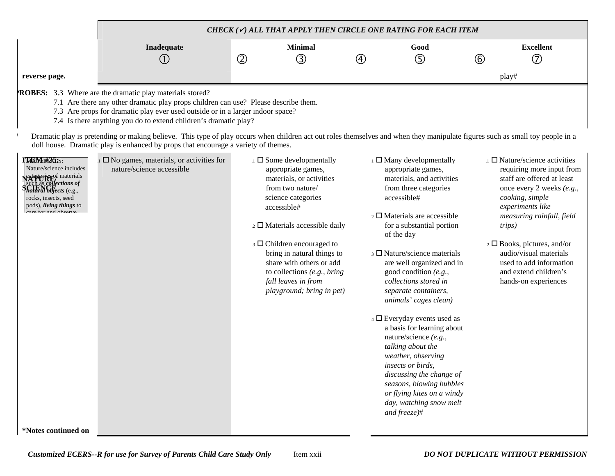|               | CHECK ( $\checkmark$ ) ALL THAT APPLY THEN CIRCLE ONE RATING FOR EACH ITEM |        |                |   |      |   |                        |  |  |  |
|---------------|----------------------------------------------------------------------------|--------|----------------|---|------|---|------------------------|--|--|--|
|               | Inadequate                                                                 | つ<br>ч | <b>Minimal</b> | 4 | Good | ᠖ | <b>Excellent</b><br>′¬ |  |  |  |
| reverse page. |                                                                            |        |                |   |      |   | play#                  |  |  |  |

**PROBES:** 3.3 Where are the dramatic play materials stored?

7.1 Are there any other dramatic play props children can use? Please describe them.

7.3 Are props for dramatic play ever used outside or in a larger indoor space?

7.4 Is there anything you do to extend children's dramatic play?

Dramatic play is pretending or making believe. This type of play occurs when children act out roles themselves and when they manipulate figures such as small toy people in a doll house. Dramatic play is enhanced by props that encourage a variety of themes.

| <b>TAAMERIAS:S:</b><br>Nature/science includes<br>Categoris Fof materials<br>such as <i>collections of</i><br>CIFNCF<br><i>natural objects</i> (e.g.,<br>rocks, insects, seed<br>pods), <i>living things</i> to<br>oare for and observe | $\square$ No games, materials, or activities for<br>nature/science accessible | $\Box$ Some developmentally<br>appropriate games,<br>materials, or activities<br>from two nature/<br>science categories<br>accessible#<br>$\overline{2}$ Materials accessible daily<br>$\overline{\phantom{a}}$ 3 $\Box$ Children encouraged to<br>bring in natural things to<br>share with others or add<br>to collections $(e.g., bring)$<br>fall leaves in from<br>playground; bring in pet) | $\Box$ Many developmentally<br>appropriate games,<br>materials, and activities<br>from three categories<br>accessible#<br>$\overline{2}$ D Materials are accessible<br>for a substantial portion<br>of the day<br>$\beta$ D Nature/science materials<br>are well organized and in<br>good condition $(e.g.,$<br>collections stored in<br>separate containers,<br>animals' cages clean)<br>$\overline{4}$ $\Box$ Everyday events used as<br>a basis for learning about<br>nature/science $(e.g.,$<br>talking about the<br>weather, observing<br><i>insects or birds.</i><br>discussing the change of<br>seasons, blowing bubbles<br>or flying kites on a windy<br>day, watching snow melt<br>and $\frac{f}{e^{t}}$ | $\Box$ Nature/science activities<br>requiring more input from<br>staff are offered at least<br>once every 2 weeks $(e.g.,$<br>cooking, simple<br>experiments like<br>measuring rainfall, field<br><i>trips</i> )<br>$\frac{1}{2} \Box$ Books, pictures, and/or<br>audio/visual materials<br>used to add information<br>and extend children's<br>hands-on experiences |
|-----------------------------------------------------------------------------------------------------------------------------------------------------------------------------------------------------------------------------------------|-------------------------------------------------------------------------------|-------------------------------------------------------------------------------------------------------------------------------------------------------------------------------------------------------------------------------------------------------------------------------------------------------------------------------------------------------------------------------------------------|-------------------------------------------------------------------------------------------------------------------------------------------------------------------------------------------------------------------------------------------------------------------------------------------------------------------------------------------------------------------------------------------------------------------------------------------------------------------------------------------------------------------------------------------------------------------------------------------------------------------------------------------------------------------------------------------------------------------|----------------------------------------------------------------------------------------------------------------------------------------------------------------------------------------------------------------------------------------------------------------------------------------------------------------------------------------------------------------------|
| <i>*Notes continued on</i>                                                                                                                                                                                                              |                                                                               |                                                                                                                                                                                                                                                                                                                                                                                                 |                                                                                                                                                                                                                                                                                                                                                                                                                                                                                                                                                                                                                                                                                                                   |                                                                                                                                                                                                                                                                                                                                                                      |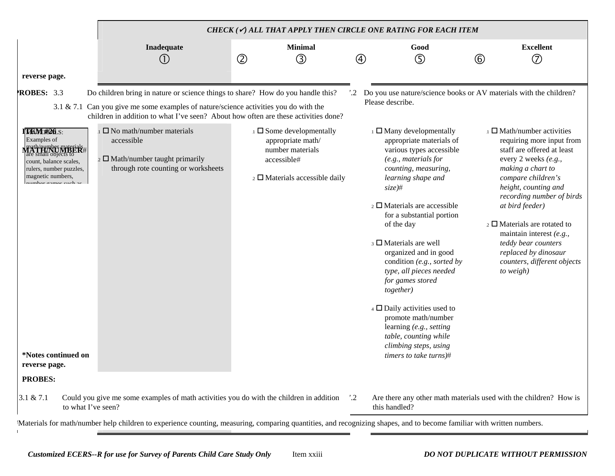|                                                                                                                                                                                                      |                                                                                                                                                                                                                                                               | CHECK $(\checkmark)$ all that apply then circle one rating for each item |                                                                                                                                         |            |                                                                                                                                                                                                                                                                                                                                                                                                                                                                                                                                                                                                      |             |                                                                                                                                                                                                                                                                                                                                                                                                      |  |  |  |  |  |
|------------------------------------------------------------------------------------------------------------------------------------------------------------------------------------------------------|---------------------------------------------------------------------------------------------------------------------------------------------------------------------------------------------------------------------------------------------------------------|--------------------------------------------------------------------------|-----------------------------------------------------------------------------------------------------------------------------------------|------------|------------------------------------------------------------------------------------------------------------------------------------------------------------------------------------------------------------------------------------------------------------------------------------------------------------------------------------------------------------------------------------------------------------------------------------------------------------------------------------------------------------------------------------------------------------------------------------------------------|-------------|------------------------------------------------------------------------------------------------------------------------------------------------------------------------------------------------------------------------------------------------------------------------------------------------------------------------------------------------------------------------------------------------------|--|--|--|--|--|
|                                                                                                                                                                                                      | Inadequate                                                                                                                                                                                                                                                    |                                                                          | <b>Minimal</b>                                                                                                                          |            | Good                                                                                                                                                                                                                                                                                                                                                                                                                                                                                                                                                                                                 |             | <b>Excellent</b>                                                                                                                                                                                                                                                                                                                                                                                     |  |  |  |  |  |
|                                                                                                                                                                                                      | (1)                                                                                                                                                                                                                                                           | $^{\circledR}$                                                           | $\circledS$                                                                                                                             | ④          | ⑤                                                                                                                                                                                                                                                                                                                                                                                                                                                                                                                                                                                                    | $\circled6$ | ි                                                                                                                                                                                                                                                                                                                                                                                                    |  |  |  |  |  |
| reverse page.                                                                                                                                                                                        |                                                                                                                                                                                                                                                               |                                                                          |                                                                                                                                         |            |                                                                                                                                                                                                                                                                                                                                                                                                                                                                                                                                                                                                      |             |                                                                                                                                                                                                                                                                                                                                                                                                      |  |  |  |  |  |
| ROBES: 3.3                                                                                                                                                                                           | Do children bring in nature or science things to share? How do you handle this?<br>3.1 & 7.1 Can you give me some examples of nature/science activities you do with the<br>children in addition to what I've seen? About how often are these activities done? |                                                                          |                                                                                                                                         |            | Do you use nature/science books or AV materials with the children?<br>Please describe.                                                                                                                                                                                                                                                                                                                                                                                                                                                                                                               |             |                                                                                                                                                                                                                                                                                                                                                                                                      |  |  |  |  |  |
| TANE#26.S:<br>Examples of<br><b>Frath/pumber NYBER#</b><br>count, balance scales,<br>rulers, number puzzles,<br>magnetic numbers,<br>www.hore.com.co.cu.ob.c<br>*Notes continued on<br>reverse page. | $\square$ No math/number materials<br>accessible<br>$_2 \square$ Math/number taught primarily<br>through rote counting or worksheets                                                                                                                          |                                                                          | $\Box$ Some developmentally<br>appropriate math/<br>number materials<br>accessible#<br>$\overline{2}$ $\Box$ Materials accessible daily |            | $\Box$ Many developmentally<br>appropriate materials of<br>various types accessible<br>(e.g., materials for<br>counting, measuring,<br>learning shape and<br>$size)$ #<br>$\overline{2}$ Materials are accessible<br>for a substantial portion<br>of the day<br>$\beta$ $\Box$ Materials are well<br>organized and in good<br>condition (e.g., sorted by<br>type, all pieces needed<br>for games stored<br>together)<br>$\overline{4}$ $\Box$ Daily activities used to<br>promote math/number<br>learning (e.g., setting<br>table, counting while<br>climbing steps, using<br>timers to take turns)# |             | $\perp$ Math/number activities<br>requiring more input from<br>staff are offered at least<br>every 2 weeks (e.g.,<br>making a chart to<br>compare children's<br>height, counting and<br>recording number of birds<br>at bird feeder)<br>$_2 \square$ Materials are rotated to<br>maintain interest (e.g.,<br>teddy bear counters<br>replaced by dinosaur<br>counters, different objects<br>to weigh) |  |  |  |  |  |
| <b>PROBES:</b>                                                                                                                                                                                       |                                                                                                                                                                                                                                                               |                                                                          |                                                                                                                                         |            |                                                                                                                                                                                                                                                                                                                                                                                                                                                                                                                                                                                                      |             |                                                                                                                                                                                                                                                                                                                                                                                                      |  |  |  |  |  |
| 3.1 & 7.1<br>to what I've seen?                                                                                                                                                                      | Could you give me some examples of math activities you do with the children in addition<br>Meterials for meth/number help shildren to experience counting measuring comparing quantities and researching shapes, and to become familier with written numbers  |                                                                          |                                                                                                                                         | $\cdot$ .2 | Are there any other math materials used with the children? How is<br>this handled?                                                                                                                                                                                                                                                                                                                                                                                                                                                                                                                   |             |                                                                                                                                                                                                                                                                                                                                                                                                      |  |  |  |  |  |

#Materials for math/number help children to experience counting, measuring, comparing quantities, and recognizing shapes, and to become familiar with written numbers.  $\mathbf{I}$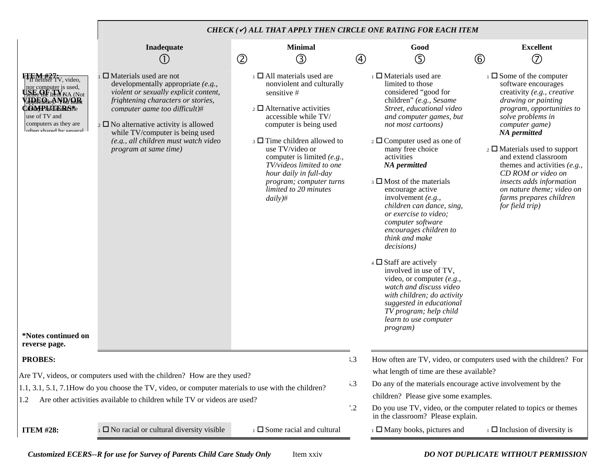|                                                                                                                                                                                                                                                         |                                                                                                                                                                                                                                                                                                                                               | CHECK ( $\checkmark$ ) ALL THAT APPLY THEN CIRCLE ONE RATING FOR EACH ITEM                                                                                                                                                                                                                                                                                                         |             |                                                                                                                                                                                                                                                                                                                                                                                                                                                                                                                                                                                                                                                                                                                                                                            |                                                                                                                                                                                                                                                                                                                                                                                                                                      |
|---------------------------------------------------------------------------------------------------------------------------------------------------------------------------------------------------------------------------------------------------------|-----------------------------------------------------------------------------------------------------------------------------------------------------------------------------------------------------------------------------------------------------------------------------------------------------------------------------------------------|------------------------------------------------------------------------------------------------------------------------------------------------------------------------------------------------------------------------------------------------------------------------------------------------------------------------------------------------------------------------------------|-------------|----------------------------------------------------------------------------------------------------------------------------------------------------------------------------------------------------------------------------------------------------------------------------------------------------------------------------------------------------------------------------------------------------------------------------------------------------------------------------------------------------------------------------------------------------------------------------------------------------------------------------------------------------------------------------------------------------------------------------------------------------------------------------|--------------------------------------------------------------------------------------------------------------------------------------------------------------------------------------------------------------------------------------------------------------------------------------------------------------------------------------------------------------------------------------------------------------------------------------|
|                                                                                                                                                                                                                                                         | Inadequate                                                                                                                                                                                                                                                                                                                                    | <b>Minimal</b>                                                                                                                                                                                                                                                                                                                                                                     |             | Good                                                                                                                                                                                                                                                                                                                                                                                                                                                                                                                                                                                                                                                                                                                                                                       | <b>Excellent</b>                                                                                                                                                                                                                                                                                                                                                                                                                     |
|                                                                                                                                                                                                                                                         | (1)                                                                                                                                                                                                                                                                                                                                           | $^{\circledR}$<br>③                                                                                                                                                                                                                                                                                                                                                                | $\circledA$ | ⑤                                                                                                                                                                                                                                                                                                                                                                                                                                                                                                                                                                                                                                                                                                                                                                          | $\circled7$<br>$\circled6$                                                                                                                                                                                                                                                                                                                                                                                                           |
| $\frac{H}{\text{H}}$ heither TV, video,<br>nor computer is used,<br>secre the litem NA (Not<br><b>ADEQLAND/QR</b><br><b>COMPISKIBRS#</b> e<br>use of TV and<br>computers as they are<br>often shared by several<br>*Notes continued on<br>reverse page. | $\Box$ Materials used are not<br>developmentally appropriate (e.g.,<br>violent or sexually explicit content,<br>frightening characters or stories,<br>computer game too difficult)#<br>$\sim$ 2 $\Box$ No alternative activity is allowed<br>while TV/computer is being used<br>(e.g., all children must watch video<br>program at same time) | $\Box$ All materials used are<br>nonviolent and culturally<br>sensitive #<br>$\alpha$ $\Box$ Alternative activities<br>accessible while TV/<br>computer is being used<br>$\beta$ Time children allowed to<br>use TV/video or<br>computer is limited (e.g.,<br>TV/videos limited to one<br>hour daily in full-day<br>program; computer turns<br>limited to 20 minutes<br>$daily)$ # |             | $\Box$ Materials used are<br>limited to those<br>considered "good for<br>children" (e.g., Sesame<br>Street, educational video<br>and computer games, but<br>not most cartoons)<br>$\frac{1}{2}$ Computer used as one of<br>many free choice<br>activities<br><b>NA</b> permitted<br>$\beta$ $\Box$ Most of the materials<br>encourage active<br>involvement $(e.g.,$<br>children can dance, sing,<br>or exercise to video;<br>computer software<br>encourages children to<br>think and make<br>decisions)<br>$\overline{4}$ $\Box$ Staff are actively<br>involved in use of TV,<br>video, or computer $(e.g.,$<br>watch and discuss video<br>with children; do activity<br>suggested in educational<br>TV program; help child<br>learn to use computer<br><i>program</i> ) | $\Box$ Some of the computer<br>software encourages<br>creativity (e.g., creative<br>drawing or painting<br>program, opportunities to<br>solve problems in<br>computer game)<br><b>NA</b> permitted<br>$\frac{1}{2}$ Materials used to support<br>and extend classroom<br>themes and activities $(e.g.,$<br>CD ROM or video on<br>insects adds information<br>on nature theme; video on<br>farms prepares children<br>for field trip) |
| <b>PROBES:</b>                                                                                                                                                                                                                                          |                                                                                                                                                                                                                                                                                                                                               |                                                                                                                                                                                                                                                                                                                                                                                    | $\ddot{3}$  |                                                                                                                                                                                                                                                                                                                                                                                                                                                                                                                                                                                                                                                                                                                                                                            | How often are TV, video, or computers used with the children? For                                                                                                                                                                                                                                                                                                                                                                    |
|                                                                                                                                                                                                                                                         | Are TV, videos, or computers used with the children? How are they used?                                                                                                                                                                                                                                                                       |                                                                                                                                                                                                                                                                                                                                                                                    |             | what length of time are these available?                                                                                                                                                                                                                                                                                                                                                                                                                                                                                                                                                                                                                                                                                                                                   |                                                                                                                                                                                                                                                                                                                                                                                                                                      |
|                                                                                                                                                                                                                                                         | $1.1, 3.1, 5.1, 7.1$ How do you choose the TV, video, or computer materials to use with the children?                                                                                                                                                                                                                                         |                                                                                                                                                                                                                                                                                                                                                                                    | $\cdot$ .3  | Do any of the materials encourage active involvement by the                                                                                                                                                                                                                                                                                                                                                                                                                                                                                                                                                                                                                                                                                                                |                                                                                                                                                                                                                                                                                                                                                                                                                                      |
| 1.2                                                                                                                                                                                                                                                     | Are other activities available to children while TV or videos are used?                                                                                                                                                                                                                                                                       | $\cdot \cdot 2$                                                                                                                                                                                                                                                                                                                                                                    |             | children? Please give some examples.<br>in the classroom? Please explain.                                                                                                                                                                                                                                                                                                                                                                                                                                                                                                                                                                                                                                                                                                  | Do you use TV, video, or the computer related to topics or themes                                                                                                                                                                                                                                                                                                                                                                    |
| <b>ITEM #28:</b>                                                                                                                                                                                                                                        | $\Box$ No racial or cultural diversity visible                                                                                                                                                                                                                                                                                                | $\Box$ Some racial and cultural                                                                                                                                                                                                                                                                                                                                                    |             | $\Box$ Many books, pictures and                                                                                                                                                                                                                                                                                                                                                                                                                                                                                                                                                                                                                                                                                                                                            | $\Box$ Inclusion of diversity is                                                                                                                                                                                                                                                                                                                                                                                                     |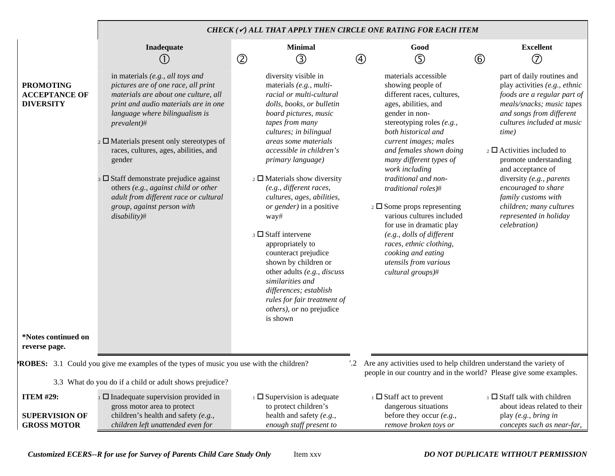|                                                                 |                                                                                                                                                                                                                                                                                                                                                                                                                                                                                                        |                                                                                                                                                                                                                                                                                                                                                                                                                                 | CHECK ( $\checkmark$ ) ALL THAT APPLY THEN CIRCLE ONE RATING FOR EACH ITEM                                                                                                                                                                                                                                                                                                                                                                  |                                                                                                                                                                                                                                                                                                                                                                                                                                                                           |
|-----------------------------------------------------------------|--------------------------------------------------------------------------------------------------------------------------------------------------------------------------------------------------------------------------------------------------------------------------------------------------------------------------------------------------------------------------------------------------------------------------------------------------------------------------------------------------------|---------------------------------------------------------------------------------------------------------------------------------------------------------------------------------------------------------------------------------------------------------------------------------------------------------------------------------------------------------------------------------------------------------------------------------|---------------------------------------------------------------------------------------------------------------------------------------------------------------------------------------------------------------------------------------------------------------------------------------------------------------------------------------------------------------------------------------------------------------------------------------------|---------------------------------------------------------------------------------------------------------------------------------------------------------------------------------------------------------------------------------------------------------------------------------------------------------------------------------------------------------------------------------------------------------------------------------------------------------------------------|
|                                                                 | Inadequate                                                                                                                                                                                                                                                                                                                                                                                                                                                                                             | <b>Minimal</b>                                                                                                                                                                                                                                                                                                                                                                                                                  | Good                                                                                                                                                                                                                                                                                                                                                                                                                                        | <b>Excellent</b>                                                                                                                                                                                                                                                                                                                                                                                                                                                          |
| <b>PROMOTING</b><br><b>ACCEPTANCE OF</b><br><b>DIVERSITY</b>    | (1)<br>in materials (e.g., all toys and<br>pictures are of one race, all print<br>materials are about one culture, all<br>print and audio materials are in one<br>language where bilingualism is<br>prevalent)#<br>$\frac{1}{2}$ Materials present only stereotypes of<br>races, cultures, ages, abilities, and<br>gender<br>3 D Staff demonstrate prejudice against<br>others (e.g., against child or other<br>adult from different race or cultural<br>group, against person with<br>$disability)\#$ | $^{\circledR}$<br>$\circledS$<br>diversity visible in<br>materials (e.g., multi-<br>racial or multi-cultural<br>dolls, books, or bulletin<br>board pictures, music<br>tapes from many<br>cultures; in bilingual<br>areas some materials<br>accessible in children's<br>primary language)<br>$\frac{1}{2}$ Materials show diversity<br>(e.g., different races,<br>cultures, ages, abilities,<br>or gender) in a positive<br>way# | $\circledS$<br>④<br>materials accessible<br>showing people of<br>different races, cultures,<br>ages, abilities, and<br>gender in non-<br>stereotyping roles (e.g.,<br>both historical and<br>current images; males<br>and females shown doing<br>many different types of<br>work including<br>traditional and non-<br>traditional roles)#<br>$\frac{1}{2}$ Some props representing<br>various cultures included<br>for use in dramatic play | $\circled{7}$<br>$^{\circledR}$<br>part of daily routines and<br>play activities (e.g., ethnic<br>foods are a regular part of<br>meals/snacks; music tapes<br>and songs from different<br>cultures included at music<br>time)<br>$\frac{1}{2}$ $\Box$ Activities included to<br>promote understanding<br>and acceptance of<br>diversity (e.g., parents<br>encouraged to share<br>family customs with<br>children; many cultures<br>represented in holiday<br>celebration) |
| *Notes continued on<br>reverse page.                            |                                                                                                                                                                                                                                                                                                                                                                                                                                                                                                        | $\beta$ Staff intervene<br>appropriately to<br>counteract prejudice<br>shown by children or<br>other adults (e.g., discuss<br>similarities and<br>differences; establish<br>rules for fair treatment of<br><i>others</i> ), or no prejudice<br>is shown                                                                                                                                                                         | (e.g., dolls of different<br>races, ethnic clothing,<br>cooking and eating<br>utensils from various<br>cultural groups)#                                                                                                                                                                                                                                                                                                                    |                                                                                                                                                                                                                                                                                                                                                                                                                                                                           |
|                                                                 | <b>ROBES:</b> 3.1 Could you give me examples of the types of music you use with the children?<br>3.3 What do you do if a child or adult shows prejudice?                                                                                                                                                                                                                                                                                                                                               | Are any activities used to help children understand the variety of<br>$^{\prime}.2$                                                                                                                                                                                                                                                                                                                                             | people in our country and in the world? Please give some examples.                                                                                                                                                                                                                                                                                                                                                                          |                                                                                                                                                                                                                                                                                                                                                                                                                                                                           |
| <b>ITEM #29:</b><br><b>SUPERVISION OF</b><br><b>GROSS MOTOR</b> | $\Box$ Inadequate supervision provided in<br>gross motor area to protect<br>children's health and safety $(e.g.,$<br>children left unattended even for                                                                                                                                                                                                                                                                                                                                                 | $\Box$ Supervision is adequate<br>to protect children's<br>health and safety (e.g.,<br>enough staff present to                                                                                                                                                                                                                                                                                                                  | $\perp$ $\Box$ Staff act to prevent<br>dangerous situations<br>before they occur $(e.g.,$<br>remove broken toys or                                                                                                                                                                                                                                                                                                                          | $\Box$ Staff talk with children<br>about ideas related to their<br>play (e.g., bring in<br>concepts such as near-far,                                                                                                                                                                                                                                                                                                                                                     |

*Customized ECERS--R for use for Survey of Parents Child Care Study Only* Item xxv *DO NOT DUPLICATE WITHOUT PERMISSION*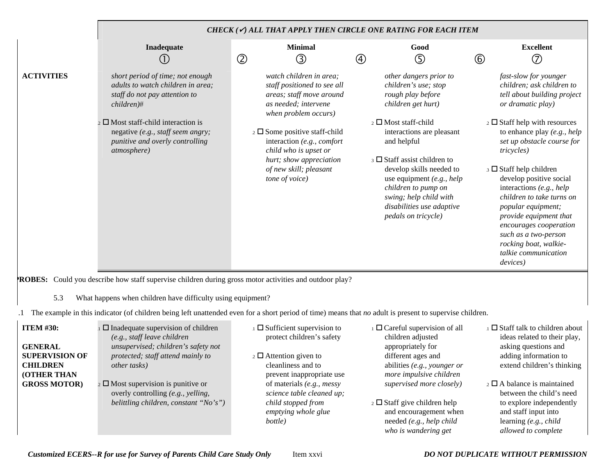|                                                                                                      |                                                                                                                                                                                                                                                          | CHECK (V) ALL THAT APPLY THEN CIRCLE ONE RATING FOR EACH ITEM                                                                                                                                                                                                                                               |                                                                                                                                                                                                                                                                                                                                                                                              |                                                                                                                                                                                                                                                                                                                                                                                                                                                                                                                       |
|------------------------------------------------------------------------------------------------------|----------------------------------------------------------------------------------------------------------------------------------------------------------------------------------------------------------------------------------------------------------|-------------------------------------------------------------------------------------------------------------------------------------------------------------------------------------------------------------------------------------------------------------------------------------------------------------|----------------------------------------------------------------------------------------------------------------------------------------------------------------------------------------------------------------------------------------------------------------------------------------------------------------------------------------------------------------------------------------------|-----------------------------------------------------------------------------------------------------------------------------------------------------------------------------------------------------------------------------------------------------------------------------------------------------------------------------------------------------------------------------------------------------------------------------------------------------------------------------------------------------------------------|
|                                                                                                      | Inadequate<br>$\left(1\right)$                                                                                                                                                                                                                           | <b>Minimal</b><br>$\circled{2}$<br>③                                                                                                                                                                                                                                                                        | Good<br>$\circledS$<br>$\circledA$                                                                                                                                                                                                                                                                                                                                                           | <b>Excellent</b><br>$\circledcirc$<br>$^{\circledR}$                                                                                                                                                                                                                                                                                                                                                                                                                                                                  |
| <b>ACTIVITIES</b>                                                                                    | short period of time; not enough<br>adults to watch children in area;<br>staff do not pay attention to<br>$children)$ #<br>$\sum$ Most staff-child interaction is<br>negative (e.g., staff seem angry;<br>punitive and overly controlling<br>atmosphere) | watch children in area;<br>staff positioned to see all<br>areas; staff move around<br>as needed; intervene<br>when problem occurs)<br>$\frac{1}{2}$ Some positive staff-child<br>interaction (e.g., comfort<br>child who is upset or<br>hurt; show appreciation<br>of new skill; pleasant<br>tone of voice) | other dangers prior to<br>children's use; stop<br>rough play before<br>children get hurt)<br>2 □ Most staff-child<br>interactions are pleasant<br>and helpful<br>$\overline{\phantom{a}}$ 3 $\Box$ Staff assist children to<br>develop skills needed to<br>use equipment $(e.g., help)$<br>children to pump on<br>swing; help child with<br>disabilities use adaptive<br>pedals on tricycle) | fast-slow for younger<br>children; ask children to<br>tell about building project<br>or dramatic play)<br>$\frac{1}{2}$ Staff help with resources<br>to enhance play (e.g., help<br>set up obstacle course for<br><i>tricycles</i> )<br>$\Box$ Staff help children<br>develop positive social<br>interactions (e.g., help<br>children to take turns on<br>popular equipment;<br>provide equipment that<br>encourages cooperation<br>such as a two-person<br>rocking boat, walkie-<br>talkie communication<br>devices) |
| 5.3                                                                                                  | ROBES: Could you describe how staff supervise children during gross motor activities and outdoor play?<br>What happens when children have difficulty using equipment?                                                                                    |                                                                                                                                                                                                                                                                                                             |                                                                                                                                                                                                                                                                                                                                                                                              |                                                                                                                                                                                                                                                                                                                                                                                                                                                                                                                       |
|                                                                                                      | The example in this indicator (of children being left unattended even for a short period of time) means that no adult is present to supervise children.                                                                                                  |                                                                                                                                                                                                                                                                                                             |                                                                                                                                                                                                                                                                                                                                                                                              |                                                                                                                                                                                                                                                                                                                                                                                                                                                                                                                       |
| <b>ITEM #30:</b><br><b>GENERAL</b><br><b>SUPERVISION OF</b><br><b>CHILDREN</b><br><b>(OTHER THAN</b> | $\Box$ Inadequate supervision of children<br>(e.g., staff leave children<br>unsupervised; children's safety not<br>protected; staff attend mainly to<br>other tasks)                                                                                     | $\Box$ Sufficient supervision to<br>protect children's safety<br>$\frac{1}{2}$ $\Box$ Attention given to<br>cleanliness and to<br>prevent inappropriate use                                                                                                                                                 | 1 D Careful supervision of all<br>children adjusted<br>appropriately for<br>different ages and<br>abilities (e.g., younger or<br>more impulsive children                                                                                                                                                                                                                                     | $\Box$ Staff talk to children about<br>ideas related to their play,<br>asking questions and<br>adding information to<br>extend children's thinking                                                                                                                                                                                                                                                                                                                                                                    |
| <b>GROSS MOTOR)</b>                                                                                  | $\frac{1}{2}$ Most supervision is punitive or<br>overly controlling (e.g., yelling,                                                                                                                                                                      | of materials (e.g., messy<br>science table cleaned up;                                                                                                                                                                                                                                                      | supervised more closely)                                                                                                                                                                                                                                                                                                                                                                     | $\overline{2}$ $\Box$ A balance is maintained<br>between the child's need                                                                                                                                                                                                                                                                                                                                                                                                                                             |

*child stopped from emptying whole glue* 

*bottle)*

*belittling children, constant "No's")*

to explore independently and staff input into learning *(e.g., child allowed to complete* 

 $\frac{1}{2}$  Staff give children help and encouragement when needed *(e.g., help child who is wandering get*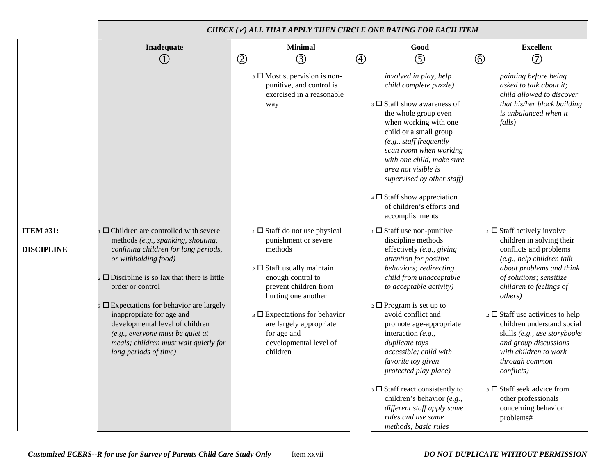|                                | CHECK ( $\checkmark$ ) ALL THAT APPLY THEN CIRCLE ONE RATING FOR EACH ITEM                                                                                                                                                                                                                                                                                                                                                                                       |                |                                                                                                                                                                                                                                                                                                      |              |                                                                                                                                                                                                                                                                                                                                                                                                                                                                                                                                 |                |                                                                                                                                                                                                                                                                                                                                                                                                                                                                                                                                            |  |  |  |  |  |
|--------------------------------|------------------------------------------------------------------------------------------------------------------------------------------------------------------------------------------------------------------------------------------------------------------------------------------------------------------------------------------------------------------------------------------------------------------------------------------------------------------|----------------|------------------------------------------------------------------------------------------------------------------------------------------------------------------------------------------------------------------------------------------------------------------------------------------------------|--------------|---------------------------------------------------------------------------------------------------------------------------------------------------------------------------------------------------------------------------------------------------------------------------------------------------------------------------------------------------------------------------------------------------------------------------------------------------------------------------------------------------------------------------------|----------------|--------------------------------------------------------------------------------------------------------------------------------------------------------------------------------------------------------------------------------------------------------------------------------------------------------------------------------------------------------------------------------------------------------------------------------------------------------------------------------------------------------------------------------------------|--|--|--|--|--|
|                                | Inadequate<br>$\left( 1\right)$                                                                                                                                                                                                                                                                                                                                                                                                                                  | $^{\circledR}$ | <b>Minimal</b><br>③                                                                                                                                                                                                                                                                                  | $^\circledR$ | Good<br>⑤                                                                                                                                                                                                                                                                                                                                                                                                                                                                                                                       | $^{\circledR}$ | <b>Excellent</b><br>$^{\circledR}$                                                                                                                                                                                                                                                                                                                                                                                                                                                                                                         |  |  |  |  |  |
|                                |                                                                                                                                                                                                                                                                                                                                                                                                                                                                  |                | $\beta$ Most supervision is non-<br>punitive, and control is<br>exercised in a reasonable<br>way                                                                                                                                                                                                     |              | involved in play, help<br>child complete puzzle)<br>3 Staff show awareness of<br>the whole group even<br>when working with one<br>child or a small group<br>(e.g., staff frequently<br>scan room when working<br>with one child, make sure<br>area not visible is<br>supervised by other staff)<br>$\overline{4}$ $\Box$ Staff show appreciation<br>of children's efforts and<br>accomplishments                                                                                                                                |                | painting before being<br>asked to talk about it;<br>child allowed to discover<br>that his/her block building<br>is unbalanced when it<br>falls)                                                                                                                                                                                                                                                                                                                                                                                            |  |  |  |  |  |
| <b>ITEM #31:</b><br>DISCIPLINE | $\Box$ Children are controlled with severe<br>methods (e.g., spanking, shouting,<br>confining children for long periods,<br>or withholding food)<br>$\frac{1}{2}$ Discipline is so lax that there is little<br>order or control<br>$\beta$ $\square$ Expectations for behavior are largely<br>inappropriate for age and<br>developmental level of children<br>(e.g., everyone must be quiet at<br>meals; children must wait quietly for<br>long periods of time) |                | $\Box$ Staff do not use physical<br>punishment or severe<br>methods<br>$\frac{1}{2}$ Staff usually maintain<br>enough control to<br>prevent children from<br>hurting one another<br>$\Box$ Expectations for behavior<br>are largely appropriate<br>for age and<br>developmental level of<br>children |              | $\Box$ Staff use non-punitive<br>discipline methods<br>effectively $(e.g., giving$<br>attention for positive<br>behaviors; redirecting<br>child from unacceptable<br>to acceptable activity)<br>$\frac{1}{2}$ Program is set up to<br>avoid conflict and<br>promote age-appropriate<br>interaction $(e.g.,$<br>duplicate toys<br>accessible; child with<br>favorite toy given<br>protected play place)<br>$\beta$ Staff react consistently to<br>children's behavior (e.g.,<br>different staff apply same<br>rules and use same |                | $\Box$ Staff actively involve<br>children in solving their<br>conflicts and problems<br>(e.g., help children talk<br>about problems and think<br>of solutions; sensitize<br>children to feelings of<br><i>others</i> )<br>$\frac{1}{2}$ Staff use activities to help<br>children understand social<br>skills (e.g., use storybooks<br>and group discussions<br>with children to work<br>through common<br><i>conflicts</i> )<br>$\overline{\phantom{a}}$ Staff seek advice from<br>other professionals<br>concerning behavior<br>problems# |  |  |  |  |  |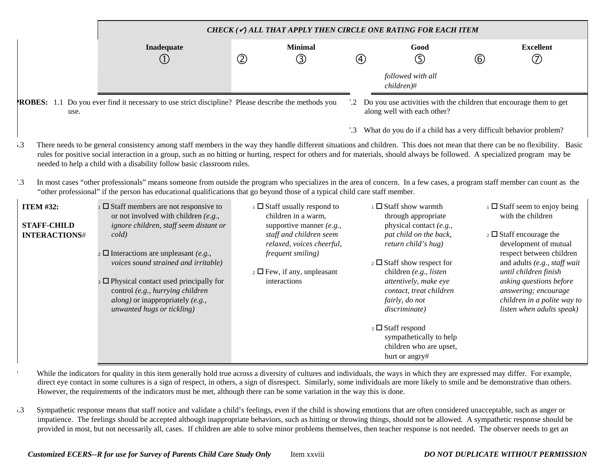|                                                                                                                                                                                                                                                                                                                                                                                                                                                                                                                                                                                                                                                                                                                                                                                          |                                                                                                                                                                                                                                                                                                                                                                                                 |                |                                                                                                                                                                                                                                    |     |               | CHECK ( $\checkmark$ ) ALL THAT APPLY THEN CIRCLE ONE RATING FOR EACH ITEM                                                                                                                                                                                                           |     |                                                                                                                                                                                                                                                                                                                         |  |  |
|------------------------------------------------------------------------------------------------------------------------------------------------------------------------------------------------------------------------------------------------------------------------------------------------------------------------------------------------------------------------------------------------------------------------------------------------------------------------------------------------------------------------------------------------------------------------------------------------------------------------------------------------------------------------------------------------------------------------------------------------------------------------------------------|-------------------------------------------------------------------------------------------------------------------------------------------------------------------------------------------------------------------------------------------------------------------------------------------------------------------------------------------------------------------------------------------------|----------------|------------------------------------------------------------------------------------------------------------------------------------------------------------------------------------------------------------------------------------|-----|---------------|--------------------------------------------------------------------------------------------------------------------------------------------------------------------------------------------------------------------------------------------------------------------------------------|-----|-------------------------------------------------------------------------------------------------------------------------------------------------------------------------------------------------------------------------------------------------------------------------------------------------------------------------|--|--|
|                                                                                                                                                                                                                                                                                                                                                                                                                                                                                                                                                                                                                                                                                                                                                                                          | Inadequate<br>(1)                                                                                                                                                                                                                                                                                                                                                                               | $^{\circledR}$ | <b>Minimal</b><br>③                                                                                                                                                                                                                |     | $\circled{4}$ | Good<br>⑤                                                                                                                                                                                                                                                                            | (6) | <b>Excellent</b><br>ි                                                                                                                                                                                                                                                                                                   |  |  |
|                                                                                                                                                                                                                                                                                                                                                                                                                                                                                                                                                                                                                                                                                                                                                                                          |                                                                                                                                                                                                                                                                                                                                                                                                 |                |                                                                                                                                                                                                                                    |     |               | followed with all<br>$children)$ #                                                                                                                                                                                                                                                   |     |                                                                                                                                                                                                                                                                                                                         |  |  |
| use.                                                                                                                                                                                                                                                                                                                                                                                                                                                                                                                                                                                                                                                                                                                                                                                     | <b>ROBES:</b> 1.1 Do you ever find it necessary to use strict discipline? Please describe the methods you                                                                                                                                                                                                                                                                                       |                |                                                                                                                                                                                                                                    |     |               | '.2 Do you use activities with the children that encourage them to get<br>along well with each other?                                                                                                                                                                                |     |                                                                                                                                                                                                                                                                                                                         |  |  |
|                                                                                                                                                                                                                                                                                                                                                                                                                                                                                                                                                                                                                                                                                                                                                                                          |                                                                                                                                                                                                                                                                                                                                                                                                 |                |                                                                                                                                                                                                                                    | '.3 |               | What do you do if a child has a very difficult behavior problem?                                                                                                                                                                                                                     |     |                                                                                                                                                                                                                                                                                                                         |  |  |
| There needs to be general consistency among staff members in the way they handle different situations and children. This does not mean that there can be no flexibility. Basic<br>$\cdot$ .3<br>rules for positive social interaction in a group, such as no hitting or hurting, respect for others and for materials, should always be followed. A specialized program may be<br>needed to help a child with a disability follow basic classroom rules.<br>$^{\prime}$ .3<br>In most cases "other professionals" means someone from outside the program who specializes in the area of concern. In a few cases, a program staff member can count as the<br>"other professional" if the person has educational qualifications that go beyond those of a typical child care staff member. |                                                                                                                                                                                                                                                                                                                                                                                                 |                |                                                                                                                                                                                                                                    |     |               |                                                                                                                                                                                                                                                                                      |     |                                                                                                                                                                                                                                                                                                                         |  |  |
| <b>ITEM #32:</b><br><b>STAFF-CHILD</b><br><b>INTERACTIONS#</b>                                                                                                                                                                                                                                                                                                                                                                                                                                                                                                                                                                                                                                                                                                                           | $\Box$ Staff members are not responsive to<br>or not involved with children $(e.g.,$<br>ignore children, staff seem distant or<br>cold)<br>$\Omega$ Interactions are unpleasant (e.g.,<br>voices sound strained and irritable)<br>$\beta$ D Physical contact used principally for<br>control (e.g., hurrying children<br><i>along</i> ) or inappropriately (e.g.,<br>unwanted hugs or tickling) |                | $\Box$ Staff usually respond to<br>children in a warm,<br>supportive manner $(e.g.,$<br>staff and children seem<br>relaxed, voices cheerful,<br>frequent smiling)<br>$\overline{2}$ $\Box$ Few, if any, unpleasant<br>interactions |     |               | $\Box$ Staff show warmth<br>through appropriate<br>physical contact (e.g.,<br>pat child on the back,<br>return child's hug)<br>$\frac{1}{2}$ Staff show respect for<br>children (e.g., listen<br>attentively, make eye<br>contact, treat children<br>fairly, do not<br>discriminate) |     | $\Box$ Staff seem to enjoy being<br>with the children<br>$\frac{1}{2}$ Staff encourage the<br>development of mutual<br>respect between children<br>and adults (e.g., staff wait<br>until children finish<br>asking questions before<br>answering; encourage<br>children in a polite way to<br>listen when adults speak) |  |  |
|                                                                                                                                                                                                                                                                                                                                                                                                                                                                                                                                                                                                                                                                                                                                                                                          |                                                                                                                                                                                                                                                                                                                                                                                                 |                |                                                                                                                                                                                                                                    |     |               | 3 □ Staff respond<br>sympathetically to help<br>children who are upset,<br>hurt or angry#                                                                                                                                                                                            |     |                                                                                                                                                                                                                                                                                                                         |  |  |

While the indicators for quality in this item generally hold true across a diversity of cultures and individuals, the ways in which they are expressed may differ. For example, direct eye contact in some cultures is a sign of respect, in others, a sign of disrespect. Similarly, some individuals are more likely to smile and be demonstrative than others. However, the requirements of the indicators must be met, although there can be some variation in the way this is done.

5.3 Sympathetic response means that staff notice and validate a child's feelings, even if the child is showing emotions that are often considered unacceptable, such as anger or impatience. The feelings should be accepted although inappropriate behaviors, such as hitting or throwing things, should not be allowed. A sympathetic response should be provided in most, but not necessarily all, cases. If children are able to solve minor problems themselves, then teacher response is not needed. The observer needs to get an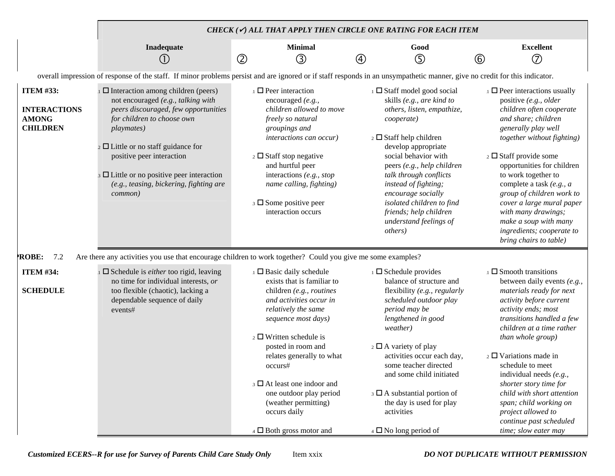|                                                                            |                                                                                                                                                                                                                                                                                                                                                                                       |   |                                                                                                                                                                                                                                                                                                                                                                                                                 |   | CHECK ( $\checkmark$ ) ALL THAT APPLY THEN CIRCLE ONE RATING FOR EACH ITEM                                                                                                                                                                                                                                                                                                                                           |                |                                                                                                                                                                                                                                                                                                                                                                                                                                                                       |  |  |  |
|----------------------------------------------------------------------------|---------------------------------------------------------------------------------------------------------------------------------------------------------------------------------------------------------------------------------------------------------------------------------------------------------------------------------------------------------------------------------------|---|-----------------------------------------------------------------------------------------------------------------------------------------------------------------------------------------------------------------------------------------------------------------------------------------------------------------------------------------------------------------------------------------------------------------|---|----------------------------------------------------------------------------------------------------------------------------------------------------------------------------------------------------------------------------------------------------------------------------------------------------------------------------------------------------------------------------------------------------------------------|----------------|-----------------------------------------------------------------------------------------------------------------------------------------------------------------------------------------------------------------------------------------------------------------------------------------------------------------------------------------------------------------------------------------------------------------------------------------------------------------------|--|--|--|
|                                                                            | Inadequate<br>(1)                                                                                                                                                                                                                                                                                                                                                                     | ② | <b>Minimal</b><br>$\circledS$                                                                                                                                                                                                                                                                                                                                                                                   | ④ | Good<br>⑤                                                                                                                                                                                                                                                                                                                                                                                                            | $^{\circledR}$ | <b>Excellent</b><br>$\circled7$                                                                                                                                                                                                                                                                                                                                                                                                                                       |  |  |  |
|                                                                            |                                                                                                                                                                                                                                                                                                                                                                                       |   | overall impression of response of the staff. If minor problems persist and are ignored or if staff responds in an unsympathetic manner, give no credit for this indicator.                                                                                                                                                                                                                                      |   |                                                                                                                                                                                                                                                                                                                                                                                                                      |                |                                                                                                                                                                                                                                                                                                                                                                                                                                                                       |  |  |  |
| <b>ITEM #33:</b><br><b>INTERACTIONS</b><br><b>AMONG</b><br><b>CHILDREN</b> | $\Box$ Interaction among children (peers)<br>not encouraged (e.g., talking with<br>peers discouraged, few opportunities<br>for children to choose own<br><i>playmates</i> )<br>$\frac{1}{2}$ $\Box$ Little or no staff guidance for<br>positive peer interaction<br>$\frac{1}{3}$ $\Box$ Little or no positive peer interaction<br>(e.g., teasing, bickering, fighting are<br>common) |   | $\Box$ Peer interaction<br>encouraged (e.g.,<br>children allowed to move<br>freely so natural<br>groupings and<br>interactions can occur)<br>$\frac{1}{2}$ Staff stop negative<br>and hurtful peer<br>interactions $(e.g., stop)$<br>name calling, fighting)<br>$\Box$ Some positive peer<br>interaction occurs                                                                                                 |   | $\Box$ Staff model good social<br>skills (e.g., are kind to<br>others, listen, empathize,<br>cooperate)<br>$\frac{1}{2}$ Staff help children<br>develop appropriate<br>social behavior with<br>peers (e.g., help children<br>talk through conflicts<br>instead of fighting;<br>encourage socially<br>isolated children to find<br>friends; help children<br>understand feelings of<br><i>others</i> )                |                | $\Box$ Peer interactions usually<br>positive (e.g., older<br>children often cooperate<br>and share; children<br>generally play well<br>together without fighting)<br>$\frac{1}{2}$ Staff provide some<br>opportunities for children<br>to work together to<br>complete a task (e.g., a<br>group of children work to<br>cover a large mural paper<br>with many drawings;<br>make a soup with many<br>ingredients; cooperate to<br>bring chairs to table)               |  |  |  |
| 7.2<br><b>ROBE:</b>                                                        | Are there any activities you use that encourage children to work together? Could you give me some examples?                                                                                                                                                                                                                                                                           |   |                                                                                                                                                                                                                                                                                                                                                                                                                 |   |                                                                                                                                                                                                                                                                                                                                                                                                                      |                |                                                                                                                                                                                                                                                                                                                                                                                                                                                                       |  |  |  |
| <b>ITEM #34:</b><br><b>SCHEDULE</b>                                        | $\square$ Schedule is <i>either</i> too rigid, leaving<br>no time for individual interests, or<br>too flexible (chaotic), lacking a<br>dependable sequence of daily<br>events#                                                                                                                                                                                                        |   | $\Box$ Basic daily schedule<br>exists that is familiar to<br>children (e.g., routines<br>and activities occur in<br>relatively the same<br>sequence most days)<br>$\frac{1}{2}$ Written schedule is<br>posted in room and<br>relates generally to what<br>occurs#<br>3 At least one indoor and<br>one outdoor play period<br>(weather permitting)<br>occurs daily<br>$\overline{4}$ $\Box$ Both gross motor and |   | $\Box$ Schedule provides<br>balance of structure and<br>flexibility (e.g., regularly<br>scheduled outdoor play<br>period may be<br>lengthened in good<br>weather)<br>$\frac{1}{2}$ $\Box$ A variety of play<br>activities occur each day,<br>some teacher directed<br>and some child initiated<br>$\beta$ $\Box$ A substantial portion of<br>the day is used for play<br>activities<br>$_4$ $\Box$ No long period of |                | $\Box$ Smooth transitions<br>between daily events (e.g.,<br>materials ready for next<br>activity before current<br>activity ends; most<br>transitions handled a few<br>children at a time rather<br>than whole group)<br>$\frac{1}{2}$ U Variations made in<br>schedule to meet<br>individual needs (e.g.,<br>shorter story time for<br>child with short attention<br>span; child working on<br>project allowed to<br>continue past scheduled<br>time; slow eater may |  |  |  |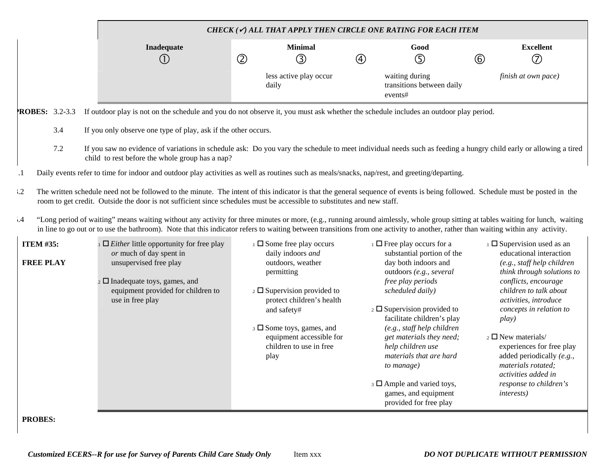|                                      | CHECK $(\checkmark)$ all that apply then circle one rating for each item                                                                                                                                                                                                                                                                                             |               |                                                                                                                                                                                                                                                                  |               |                                                                                                                                                                                                                                                                                                               |             |                                                                                                                                                                                                                                                                                                |  |  |  |  |
|--------------------------------------|----------------------------------------------------------------------------------------------------------------------------------------------------------------------------------------------------------------------------------------------------------------------------------------------------------------------------------------------------------------------|---------------|------------------------------------------------------------------------------------------------------------------------------------------------------------------------------------------------------------------------------------------------------------------|---------------|---------------------------------------------------------------------------------------------------------------------------------------------------------------------------------------------------------------------------------------------------------------------------------------------------------------|-------------|------------------------------------------------------------------------------------------------------------------------------------------------------------------------------------------------------------------------------------------------------------------------------------------------|--|--|--|--|
|                                      | Inadequate<br>(1)                                                                                                                                                                                                                                                                                                                                                    | $\circled{2}$ | <b>Minimal</b><br>③                                                                                                                                                                                                                                              | $\circled{4}$ | Good<br>⑤                                                                                                                                                                                                                                                                                                     | $\circled6$ | <b>Excellent</b><br>$\circled{7}$                                                                                                                                                                                                                                                              |  |  |  |  |
|                                      |                                                                                                                                                                                                                                                                                                                                                                      |               | less active play occur<br>daily                                                                                                                                                                                                                                  |               | waiting during<br>transitions between daily<br>events#                                                                                                                                                                                                                                                        |             | finish at own pace)                                                                                                                                                                                                                                                                            |  |  |  |  |
| <b>ROBES: 3.2-3.3</b>                | If outdoor play is not on the schedule and you do not observe it, you must ask whether the schedule includes an outdoor play period.                                                                                                                                                                                                                                 |               |                                                                                                                                                                                                                                                                  |               |                                                                                                                                                                                                                                                                                                               |             |                                                                                                                                                                                                                                                                                                |  |  |  |  |
| 3.4                                  | If you only observe one type of play, ask if the other occurs.                                                                                                                                                                                                                                                                                                       |               |                                                                                                                                                                                                                                                                  |               |                                                                                                                                                                                                                                                                                                               |             |                                                                                                                                                                                                                                                                                                |  |  |  |  |
| 7.2                                  | If you saw no evidence of variations in schedule ask: Do you vary the schedule to meet individual needs such as feeding a hungry child early or allowing a tired<br>child to rest before the whole group has a nap?                                                                                                                                                  |               |                                                                                                                                                                                                                                                                  |               |                                                                                                                                                                                                                                                                                                               |             |                                                                                                                                                                                                                                                                                                |  |  |  |  |
| $\cdot$                              | Daily events refer to time for indoor and outdoor play activities as well as routines such as meals/snacks, nap/rest, and greeting/departing.                                                                                                                                                                                                                        |               |                                                                                                                                                                                                                                                                  |               |                                                                                                                                                                                                                                                                                                               |             |                                                                                                                                                                                                                                                                                                |  |  |  |  |
| $\cdot$ .2                           | The written schedule need not be followed to the minute. The intent of this indicator is that the general sequence of events is being followed. Schedule must be posted in the<br>room to get credit. Outside the door is not sufficient since schedules must be accessible to substitutes and new staff.                                                            |               |                                                                                                                                                                                                                                                                  |               |                                                                                                                                                                                                                                                                                                               |             |                                                                                                                                                                                                                                                                                                |  |  |  |  |
| .4                                   | "Long period of waiting" means waiting without any activity for three minutes or more, (e.g., running around aimlessly, whole group sitting at tables waiting for lunch, waiting<br>in line to go out or to use the bathroom). Note that this indicator refers to waiting between transitions from one activity to another, rather than waiting within any activity. |               |                                                                                                                                                                                                                                                                  |               |                                                                                                                                                                                                                                                                                                               |             |                                                                                                                                                                                                                                                                                                |  |  |  |  |
| <b>ITEM #35:</b><br><b>FREE PLAY</b> | $\Box$ <i>Either</i> little opportunity for free play<br>or much of day spent in<br>unsupervised free play<br>$\sim$ $\Box$ Inadequate toys, games, and<br>equipment provided for children to<br>use in free play                                                                                                                                                    |               | $\Box$ Some free play occurs<br>daily indoors and<br>outdoors, weather<br>permitting<br>$\frac{1}{2}$ Supervision provided to<br>protect children's health<br>and safety#<br>$\Box$ Some toys, games, and<br>equipment accessible for<br>children to use in free |               | $\Box$ Free play occurs for a<br>substantial portion of the<br>day both indoors and<br>outdoors (e.g., several<br>free play periods<br>scheduled daily)<br>$\frac{1}{2}$ Supervision provided to<br>facilitate children's play<br>(e.g., staff help children<br>get materials they need;<br>help children use |             | $\Box$ Supervision used as an<br>educational interaction<br>(e.g., staff help children<br>think through solutions to<br>conflicts, encourage<br>children to talk about<br>activities, introduce<br>concepts in relation to<br>play)<br>$_2$ $\Box$ New materials/<br>experiences for free play |  |  |  |  |
| <b>PROBES:</b>                       |                                                                                                                                                                                                                                                                                                                                                                      |               | play                                                                                                                                                                                                                                                             |               | materials that are hard<br>to manage)<br>3 D Ample and varied toys,<br>games, and equipment<br>provided for free play                                                                                                                                                                                         |             | added periodically $(e.g.,$<br>materials rotated;<br>activities added in<br>response to children's<br><i>interests</i> )                                                                                                                                                                       |  |  |  |  |

 $\overline{\phantom{a}}$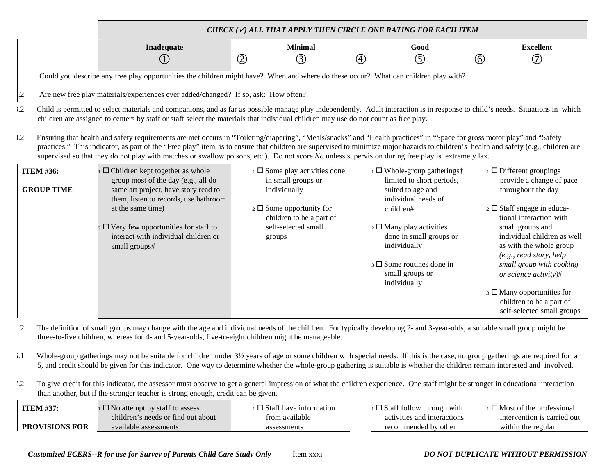|                                       |                                                                                                                                                                                                                                                                                                                                                                                                                                                                                                                      |                                                                        | CHECK ( $\checkmark$ ) ALL THAT APPLY THEN CIRCLE ONE RATING FOR EACH ITEM                           |                                                                                                       |
|---------------------------------------|----------------------------------------------------------------------------------------------------------------------------------------------------------------------------------------------------------------------------------------------------------------------------------------------------------------------------------------------------------------------------------------------------------------------------------------------------------------------------------------------------------------------|------------------------------------------------------------------------|------------------------------------------------------------------------------------------------------|-------------------------------------------------------------------------------------------------------|
|                                       | Inadequate<br>(1)                                                                                                                                                                                                                                                                                                                                                                                                                                                                                                    | <b>Minimal</b><br>$^{\circledR}$<br>$\circled{3}$                      | Good<br>⑤<br>4)                                                                                      | <b>Excellent</b><br>(7)<br>(6)                                                                        |
|                                       |                                                                                                                                                                                                                                                                                                                                                                                                                                                                                                                      |                                                                        |                                                                                                      |                                                                                                       |
|                                       | Could you describe any free play opportunities the children might have? When and where do these occur? What can children play with?                                                                                                                                                                                                                                                                                                                                                                                  |                                                                        |                                                                                                      |                                                                                                       |
| $\mathbf{.2}$                         | Are new free play materials/experiences ever added/changed? If so, ask: How often?                                                                                                                                                                                                                                                                                                                                                                                                                                   |                                                                        |                                                                                                      |                                                                                                       |
| $\cdot$ .2                            | Child is permitted to select materials and companions, and as far as possible manage play independently. Adult interaction is in response to child's needs. Situations in which<br>children are assigned to centers by staff or staff select the materials that individual children may use do not count as free play.                                                                                                                                                                                               |                                                                        |                                                                                                      |                                                                                                       |
| $\cdot$ .2                            | Ensuring that health and safety requirements are met occurs in "Toileting/diapering", "Meals/snacks" and "Health practices" in "Space for gross motor play" and "Safety<br>practices." This indicator, as part of the "Free play" item, is to ensure that children are supervised to minimize major hazards to children's health and safety (e.g., children are<br>supervised so that they do not play with matches or swallow poisons, etc.). Do not score No unless supervision during free play is extremely lax. |                                                                        |                                                                                                      |                                                                                                       |
| <b>ITEM #36:</b><br><b>GROUP TIME</b> | $\Box$ Children kept together as whole<br>group most of the day (e.g., all do<br>same art project, have story read to<br>them, listen to records, use bathroom                                                                                                                                                                                                                                                                                                                                                       | $\Box$ Some play activities done<br>in small groups or<br>individually | ⊥ □ Whole-group gatherings†<br>limited to short periods,<br>suited to age and<br>individual needs of | $\Box$ Different groupings<br>provide a change of pace<br>throughout the day                          |
|                                       | at the same time)                                                                                                                                                                                                                                                                                                                                                                                                                                                                                                    | $\frac{1}{2}$ Some opportunity for<br>children to be a part of         | children#                                                                                            | $\overline{2}$ Staff engage in educa-<br>tional interaction with                                      |
|                                       | $\frac{1}{2}$ $\Box$ Very few opportunities for staff to<br>interact with individual children or<br>small groups#                                                                                                                                                                                                                                                                                                                                                                                                    | self-selected small<br>groups                                          | $\frac{1}{2}$ Many play activities<br>done in small groups or<br>individually                        | small groups and<br>individual children as well<br>as with the whole group<br>(e.g., read story, help |
|                                       |                                                                                                                                                                                                                                                                                                                                                                                                                                                                                                                      |                                                                        | $\beta$ Some routines done in<br>small groups or<br>individually                                     | small group with cooking<br>or science activity)#                                                     |
|                                       |                                                                                                                                                                                                                                                                                                                                                                                                                                                                                                                      |                                                                        |                                                                                                      | $\beta$ $\Box$ Many opportunities for<br>children to be a part of<br>self-selected small groups       |

.2 The definition of small groups may change with the age and individual needs of the children. For typically developing 2- and 3-year-olds, a suitable small group might be three-to-five children, whereas for 4- and 5-year-olds, five-to-eight children might be manageable.

- 5.1 Whole-group gatherings may not be suitable for children under 3½ years of age or some children with special needs. If this is the case, no group gatherings are required for a 5, and credit should be given for this indicator. One way to determine whether the whole-group gathering is suitable is whether the children remain interested and involved.
- 7.2 To give credit for this indicator, the assessor must observe to get a general impression of what the children experience. One staff might be stronger in educational interaction than another, but if the stronger teacher is strong enough, credit can be given.

| <b>ITEM #37:</b>      | $\Box$ No attempt by staff to assess | $\Box$ Staff have information | $\Box$ Staff follow through with | $\Box$ Most of the professional |
|-----------------------|--------------------------------------|-------------------------------|----------------------------------|---------------------------------|
|                       | children's needs or find out about   | from available                | activities and interactions      | intervention is carried out     |
| <b>PROVISIONS FOR</b> | available assessments                | assessments                   | recommended by other             | within the regular              |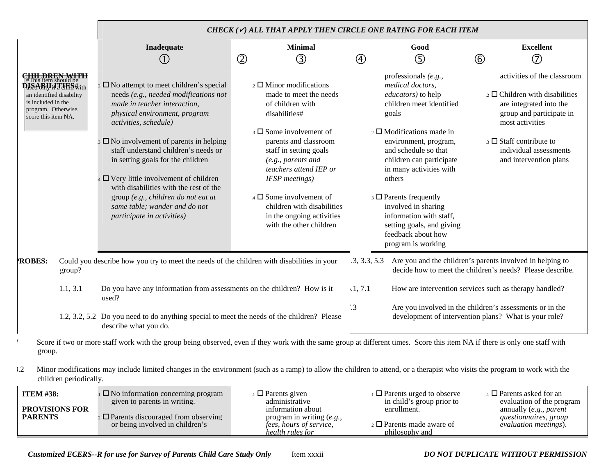|                                                                                                                           |                                                                                                                                                                                                                                                                                                                                                                                                                                                                                                                             | CHECK ( $\checkmark$ ) ALL THAT APPLY THEN CIRCLE ONE RATING FOR EACH ITEM                                                                                                                                                                                                                                                                                                                      |                         |                                                                                                                                                                                                                                                                                                                                                                                                                   |                                                                                                                                                                                                                                                        |
|---------------------------------------------------------------------------------------------------------------------------|-----------------------------------------------------------------------------------------------------------------------------------------------------------------------------------------------------------------------------------------------------------------------------------------------------------------------------------------------------------------------------------------------------------------------------------------------------------------------------------------------------------------------------|-------------------------------------------------------------------------------------------------------------------------------------------------------------------------------------------------------------------------------------------------------------------------------------------------------------------------------------------------------------------------------------------------|-------------------------|-------------------------------------------------------------------------------------------------------------------------------------------------------------------------------------------------------------------------------------------------------------------------------------------------------------------------------------------------------------------------------------------------------------------|--------------------------------------------------------------------------------------------------------------------------------------------------------------------------------------------------------------------------------------------------------|
|                                                                                                                           | Inadequate<br>O                                                                                                                                                                                                                                                                                                                                                                                                                                                                                                             | <b>Minimal</b><br>$^{\circledR}$<br>③                                                                                                                                                                                                                                                                                                                                                           | 4                       | Good<br>$\circledS$                                                                                                                                                                                                                                                                                                                                                                                               | <b>Excellent</b><br>$^{\circledR}$<br>$^\copyright$                                                                                                                                                                                                    |
| <b>QISABIJ: THES#</b> ith<br>an identified disability<br>is included in the<br>program. Otherwise,<br>score this item NA. | $\Box$ No attempt to meet children's special<br>needs (e.g., needed modifications not<br>made in teacher interaction,<br>physical environment, program<br>activities, schedule)<br>$\overline{\phantom{a}}$ No involvement of parents in helping<br>staff understand children's needs or<br>in setting goals for the children<br>$\Box$ Very little involvement of children<br>with disabilities with the rest of the<br>group (e.g., children do not eat at<br>same table; wander and do not<br>participate in activities) | $_2$ $\square$ Minor modifications<br>made to meet the needs<br>of children with<br>disabilities#<br>$\beta$ Some involvement of<br>parents and classroom<br>staff in setting goals<br>(e.g., parents and<br>teachers attend IEP or<br><b>IFSP</b> meetings)<br>$\overline{4}$ $\Box$ Some involvement of<br>children with disabilities<br>in the ongoing activities<br>with the other children |                         | professionals (e.g.,<br>medical doctors,<br>educators) to help<br>children meet identified<br>goals<br>$\alpha$ D Modifications made in<br>environment, program,<br>and schedule so that<br>children can participate<br>in many activities with<br>others<br>$\Box$ Parents frequently<br>involved in sharing<br>information with staff,<br>setting goals, and giving<br>feedback about how<br>program is working | activities of the classroom<br>$\overline{2}$ Children with disabilities<br>are integrated into the<br>group and participate in<br>most activities<br>$\overline{\phantom{a}}$ Staff contribute to<br>individual assessments<br>and intervention plans |
| <b>ROBES:</b><br>group?                                                                                                   | Could you describe how you try to meet the needs of the children with disabilities in your                                                                                                                                                                                                                                                                                                                                                                                                                                  |                                                                                                                                                                                                                                                                                                                                                                                                 | .3, 3.3, 5.3            |                                                                                                                                                                                                                                                                                                                                                                                                                   | Are you and the children's parents involved in helping to<br>decide how to meet the children's needs? Please describe.                                                                                                                                 |
| 1.1, 3.1                                                                                                                  | Do you have any information from assessments on the children? How is it<br>used?                                                                                                                                                                                                                                                                                                                                                                                                                                            |                                                                                                                                                                                                                                                                                                                                                                                                 | 1, 7.1<br>$^{\prime}.3$ |                                                                                                                                                                                                                                                                                                                                                                                                                   | How are intervention services such as therapy handled?<br>Are you involved in the children's assessments or in the                                                                                                                                     |
|                                                                                                                           | 1.2, 3.2, 5.2 Do you need to do anything special to meet the needs of the children? Please<br>describe what you do.                                                                                                                                                                                                                                                                                                                                                                                                         |                                                                                                                                                                                                                                                                                                                                                                                                 |                         |                                                                                                                                                                                                                                                                                                                                                                                                                   | development of intervention plans? What is your role?                                                                                                                                                                                                  |
| group.                                                                                                                    | Score if two or more staff work with the group being observed, even if they work with the same group at different times. Score this item NA if there is only one staff with                                                                                                                                                                                                                                                                                                                                                 |                                                                                                                                                                                                                                                                                                                                                                                                 |                         |                                                                                                                                                                                                                                                                                                                                                                                                                   |                                                                                                                                                                                                                                                        |
| $\cdot$ .2<br>children periodically.                                                                                      | Minor modifications may include limited changes in the environment (such as a ramp) to allow the children to attend, or a therapist who visits the program to work with the                                                                                                                                                                                                                                                                                                                                                 |                                                                                                                                                                                                                                                                                                                                                                                                 |                         |                                                                                                                                                                                                                                                                                                                                                                                                                   |                                                                                                                                                                                                                                                        |
| <b>ITEM #38:</b>                                                                                                          | $\Box$ No information concerning program                                                                                                                                                                                                                                                                                                                                                                                                                                                                                    | $\Box$ Parents given                                                                                                                                                                                                                                                                                                                                                                            |                         | $\Box$ Parents urged to observe                                                                                                                                                                                                                                                                                                                                                                                   | $\Box$ Parents asked for an                                                                                                                                                                                                                            |

| 11 E.VI #30:          | $\Box$ No information concerning program        | $\Box$ Parents given           | $\Box$ Parents urged to observe   | ∟ Parents askeu tof an    |
|-----------------------|-------------------------------------------------|--------------------------------|-----------------------------------|---------------------------|
|                       | given to parents in writing.                    | administrative                 | in child's group prior to         | evaluation of the program |
| <b>PROVISIONS FOR</b> |                                                 | information about              | enrollment.                       | annually (e.g., parent    |
| <b>PARENTS</b>        | $_2 \square$ Parents discouraged from observing | program in writing $(e.g.,$    |                                   | questionnaires, group     |
|                       | or being involved in children's                 | <i>fees, hours of service,</i> | $_2$ $\Box$ Parents made aware of | evaluation meetings).     |
|                       |                                                 | health rules for               | philosophy and                    |                           |

*Customized ECERS--R for use for Survey of Parents Child Care Study Only* Item xxxii *DO NOT DUPLICATE WITHOUT PERMISSION*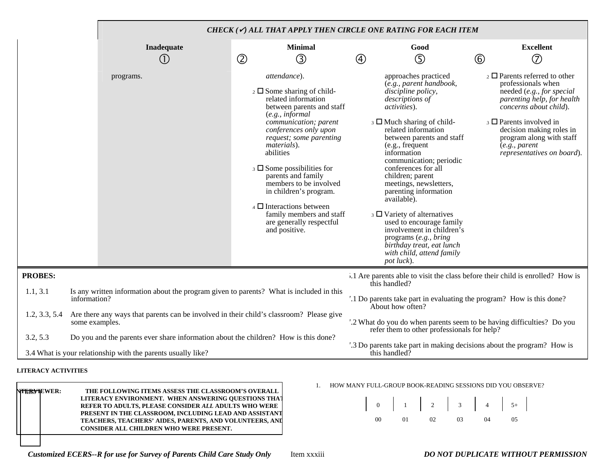|                |                                                                                                           |                                                                                                                                                                                                                                                                                                                                                                                                                                                                                | CHECK ( $\checkmark$ ) ALL THAT APPLY THEN CIRCLE ONE RATING FOR EACH ITEM                                                                                                                                                                                                                                                                                                                                                                                                                                                                                                                      |                                                                                                                                                                                                                                                                                                  |  |
|----------------|-----------------------------------------------------------------------------------------------------------|--------------------------------------------------------------------------------------------------------------------------------------------------------------------------------------------------------------------------------------------------------------------------------------------------------------------------------------------------------------------------------------------------------------------------------------------------------------------------------|-------------------------------------------------------------------------------------------------------------------------------------------------------------------------------------------------------------------------------------------------------------------------------------------------------------------------------------------------------------------------------------------------------------------------------------------------------------------------------------------------------------------------------------------------------------------------------------------------|--------------------------------------------------------------------------------------------------------------------------------------------------------------------------------------------------------------------------------------------------------------------------------------------------|--|
|                | Inadequate<br>(1)                                                                                         | <b>Minimal</b><br>$^{\circledR}$<br>③                                                                                                                                                                                                                                                                                                                                                                                                                                          | Good<br>$\circledS$<br>4                                                                                                                                                                                                                                                                                                                                                                                                                                                                                                                                                                        | <b>Excellent</b><br>$\mathcal{F}$<br>$\circled6$                                                                                                                                                                                                                                                 |  |
|                | programs.                                                                                                 | attendance).<br>$\frac{1}{2}$ Some sharing of child-<br>related information<br>between parents and staff<br>(e.g., informal<br>communication; parent<br>conferences only upon<br>request; some parenting<br>materials).<br>abilities<br>$\Box$ Some possibilities for<br>parents and family<br>members to be involved<br>in children's program.<br>$\overline{4}$ $\overline{1}$ Interactions between<br>family members and staff<br>are generally respectful<br>and positive. | approaches practiced<br>(e.g., parent handbook,<br>discipline policy,<br>descriptions of<br>activities).<br>$\beta$ Much sharing of child-<br>related information<br>between parents and staff<br>(e.g., frequent<br>information<br>communication; periodic<br>conferences for all<br>children; parent<br>meetings, newsletters,<br>parenting information<br>available).<br>$\overline{\phantom{a}}$ 3 $\Box$ Variety of alternatives<br>used to encourage family<br>involvement in children's<br>programs (e.g., bring<br>birthday treat, eat lunch<br>with child, attend family<br>pot luck). | $\overline{2}$ $\Box$ Parents referred to other<br>professionals when<br>needed (e.g., for special<br>parenting help, for health<br>concerns about child).<br>$\Box$ Parents involved in<br>decision making roles in<br>program along with staff<br>(e.g., parent)<br>representatives on board). |  |
| <b>PROBES:</b> |                                                                                                           |                                                                                                                                                                                                                                                                                                                                                                                                                                                                                | 1.1 Are parents able to visit the class before their child is enrolled? How is<br>this handled?                                                                                                                                                                                                                                                                                                                                                                                                                                                                                                 |                                                                                                                                                                                                                                                                                                  |  |
| 1.1, 3.1       | information?                                                                                              | Is any written information about the program given to parents? What is included in this                                                                                                                                                                                                                                                                                                                                                                                        |                                                                                                                                                                                                                                                                                                                                                                                                                                                                                                                                                                                                 | '.1 Do parents take part in evaluating the program? How is this done?                                                                                                                                                                                                                            |  |
| 1.2, 3.3, 5.4  | Are there any ways that parents can be involved in their child's classroom? Please give<br>some examples. |                                                                                                                                                                                                                                                                                                                                                                                                                                                                                | '.2 What do you do when parents seem to be having difficulties? Do you<br>refer them to other professionals for help?                                                                                                                                                                                                                                                                                                                                                                                                                                                                           |                                                                                                                                                                                                                                                                                                  |  |
| 3.2, 5.3       | Do you and the parents ever share information about the children? How is this done?                       |                                                                                                                                                                                                                                                                                                                                                                                                                                                                                | ".3 Do parents take part in making decisions about the program? How is                                                                                                                                                                                                                                                                                                                                                                                                                                                                                                                          |                                                                                                                                                                                                                                                                                                  |  |
|                | 3.4 What is your relationship with the parents usually like?                                              |                                                                                                                                                                                                                                                                                                                                                                                                                                                                                | this handled?                                                                                                                                                                                                                                                                                                                                                                                                                                                                                                                                                                                   |                                                                                                                                                                                                                                                                                                  |  |

#### **LITERACY ACTIVITIES**

| N <del>TERYI</del> EWER: | THE FOLLOWING ITEMS ASSESS THE CLASSROOM'S OVERALL<br>LITERACY ENVIRONMENT. WHEN ANSWERING OUESTIONS THAT<br>REFER TO ADULTS, PLEASE CONSIDER ALL ADULTS WHO WERE<br>PRESENT IN THE CLASSROOM, INCLUDING LEAD AND ASSISTANT<br>TEACHERS, TEACHERS' AIDES, PARENTS, AND VOLUNTEERS, ANI<br><b>CONSIDER ALL CHILDREN WHO WERE PRESENT.</b> |
|--------------------------|------------------------------------------------------------------------------------------------------------------------------------------------------------------------------------------------------------------------------------------------------------------------------------------------------------------------------------------|
|                          |                                                                                                                                                                                                                                                                                                                                          |

1. HOW MANY FULL-GROUP BOOK-READING SESSIONS DID YOU OBSERVE?

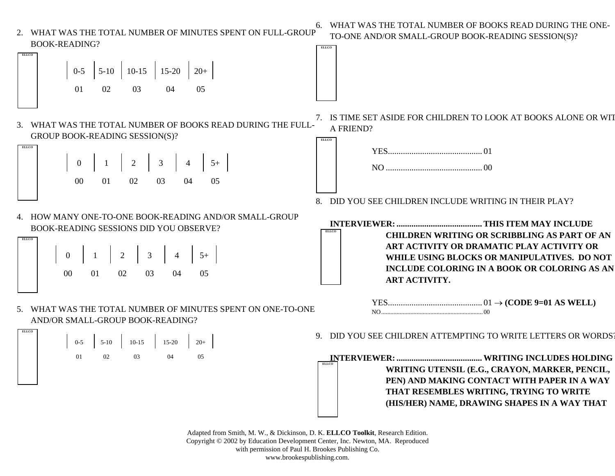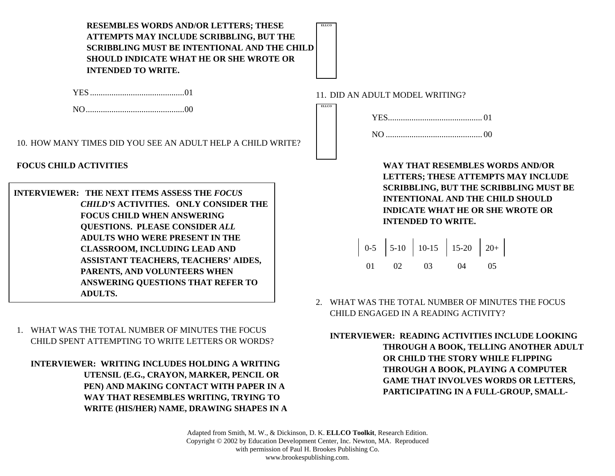**RESEMBLES WORDS AND/OR LETTERS; THESE ATTEMPTS MAY INCLUDE SCRIBBLING, BUT THE SCRIBBLING MUST BE INTENTIONAL AND THE CHILD SHOULD INDICATE WHAT HE OR SHE WROTE OR INTENDED TO WRITE.**

YES ............................................ 01

NO .............................................. 00

10. HOW MANY TIMES DID YOU SEE AN ADULT HELP A CHILD WRITE?

**FOCUS CHILD ACTIVITIES**

| <b>INTERVIEWER: THE NEXT ITEMS ASSESS THE FOCUS</b> |
|-----------------------------------------------------|
| <b>CHILD'S ACTIVITIES. ONLY CONSIDER THE</b>        |
| <b>FOCUS CHILD WHEN ANSWERING</b>                   |
| <b>QUESTIONS. PLEASE CONSIDER ALL</b>               |
| <b>ADULTS WHO WERE PRESENT IN THE</b>               |
| <b>CLASSROOM, INCLUDING LEAD AND</b>                |
| ASSISTANT TEACHERS, TEACHERS' AIDES,                |
| PARENTS, AND VOLUNTEERS WHEN                        |
| ANSWERING QUESTIONS THAT REFER TO                   |
| <b>ADULTS.</b>                                      |

1. WHAT WAS THE TOTAL NUMBER OF MINUTES THE FOCUS CHILD SPENT ATTEMPTING TO WRITE LETTERS OR WORDS?

**INTERVIEWER: WRITING INCLUDES HOLDING A WRITING UTENSIL (E.G., CRAYON, MARKER, PENCIL OR PEN) AND MAKING CONTACT WITH PAPER IN A WAY THAT RESEMBLES WRITING, TRYING TO WRITE (HIS/HER) NAME, DRAWING SHAPES IN A**  11. DID AN ADULT MODEL WRITING?

**ELLCO**

**ELLCO**

**WAY THAT RESEMBLES WORDS AND/OR LETTERS; THESE ATTEMPTS MAY INCLUDE SCRIBBLING, BUT THE SCRIBBLING MUST BE INTENTIONAL AND THE CHILD SHOULD INDICATE WHAT HE OR SHE WROTE OR INTENDED TO WRITE.**

|  | $\begin{array}{ c c c c c c c c c } \hline 0-5 & 5-10 & 10-15 & 15-20 & 20+ \ \hline \end{array}$ |  |  |
|--|---------------------------------------------------------------------------------------------------|--|--|
|  | 01 02 03 04 05                                                                                    |  |  |

2. WHAT WAS THE TOTAL NUMBER OF MINUTES THE FOCUS CHILD ENGAGED IN A READING ACTIVITY?

**INTERVIEWER: READING ACTIVITIES INCLUDE LOOKING THROUGH A BOOK, TELLING ANOTHER ADULT OR CHILD THE STORY WHILE FLIPPING THROUGH A BOOK, PLAYING A COMPUTER GAME THAT INVOLVES WORDS OR LETTERS, PARTICIPATING IN A FULL-GROUP, SMALL-**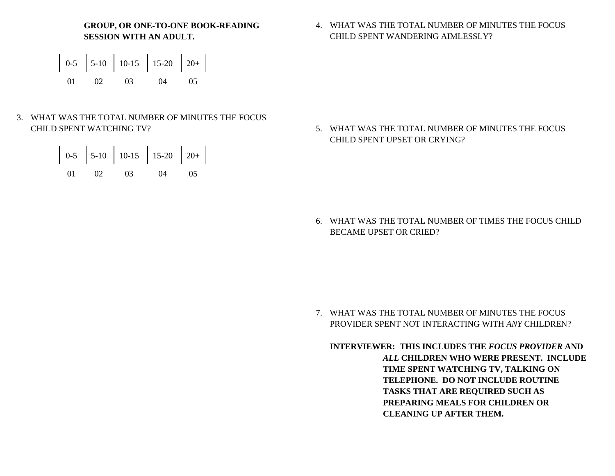**GROUP, OR ONE-TO-ONE BOOK-READING SESSION WITH AN ADULT.**



3. WHAT WAS THE TOTAL NUMBER OF MINUTES THE FOCUS CHILD SPENT WATCHING TV?

|  | $\begin{bmatrix} 0.5 \\ 5.10 \\ 10.15 \\ 15.20 \\ 20 + \\ \end{bmatrix}$ |  |  |
|--|--------------------------------------------------------------------------|--|--|
|  | 01 02 03 04 05                                                           |  |  |

4. WHAT WAS THE TOTAL NUMBER OF MINUTES THE FOCUS CHILD SPENT WANDERING AIMLESSLY?

5. WHAT WAS THE TOTAL NUMBER OF MINUTES THE FOCUS CHILD SPENT UPSET OR CRYING?

6. WHAT WAS THE TOTAL NUMBER OF TIMES THE FOCUS CHILD BECAME UPSET OR CRIED?

7. WHAT WAS THE TOTAL NUMBER OF MINUTES THE FOCUS PROVIDER SPENT NOT INTERACTING WITH *ANY* CHILDREN?

**INTERVIEWER: THIS INCLUDES THE** *FOCUS PROVIDER* **AND** *ALL* **CHILDREN WHO WERE PRESENT. INCLUDE TIME SPENT WATCHING TV, TALKING ON TELEPHONE. DO NOT INCLUDE ROUTINE TASKS THAT ARE REQUIRED SUCH AS PREPARING MEALS FOR CHILDREN OR CLEANING UP AFTER THEM.**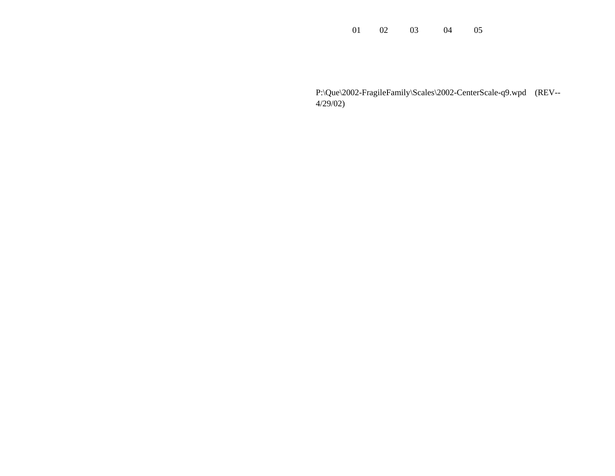01 02 03 04 05

P:\Que\2002-FragileFamily\Scales\2002-CenterScale-q9.wpd (REV-- 4/29/02)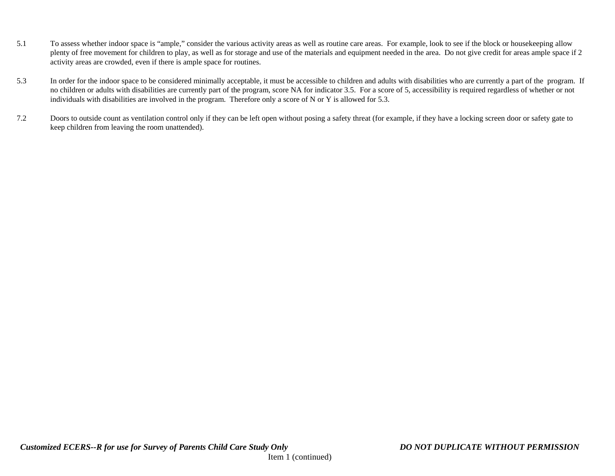- 5.1 To assess whether indoor space is "ample," consider the various activity areas as well as routine care areas. For example, look to see if the block or housekeeping allow plenty of free movement for children to play, as well as for storage and use of the materials and equipment needed in the area. Do not give credit for areas ample space if 2 activity areas are crowded, even if there is ample space for routines.
- 5.3 In order for the indoor space to be considered minimally acceptable, it must be accessible to children and adults with disabilities who are currently a part of the program. If no children or adults with disabilities are currently part of the program, score NA for indicator 3.5. For a score of 5, accessibility is required regardless of whether or not individuals with disabilities are involved in the program. Therefore only a score of N or Y is allowed for 5.3.
- 7.2 Doors to outside count as ventilation control only if they can be left open without posing a safety threat (for example, if they have a locking screen door or safety gate to keep children from leaving the room unattended).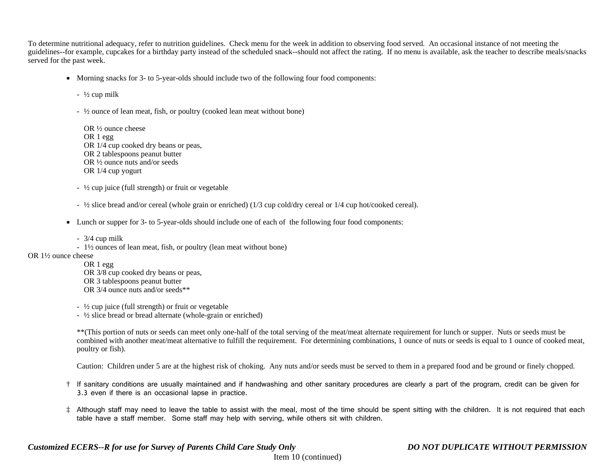To determine nutritional adequacy, refer to nutrition guidelines. Check menu for the week in addition to observing food served. An occasional instance of not meeting the guidelines--for example, cupcakes for a birthday party instead of the scheduled snack--should not affect the rating. If no menu is available, ask the teacher to describe meals/snacks served for the past week.

• Morning snacks for 3- to 5-year-olds should include two of the following four food components:

 $\frac{1}{2}$  cup milk

- ½ ounce of lean meat, fish, or poultry (cooked lean meat without bone)
- OR ½ ounce cheese OR 1 egg OR 1/4 cup cooked dry beans or peas, OR 2 tablespoons peanut butter OR ½ ounce nuts and/or seeds OR 1/4 cup yogurt
- ½ cup juice (full strength) or fruit or vegetable
- ½ slice bread and/or cereal (whole grain or enriched) (1/3 cup cold/dry cereal or 1/4 cup hot/cooked cereal).
- Lunch or supper for 3- to 5-year-olds should include one of each of the following four food components:
	- 3/4 cup milk
- 1½ ounces of lean meat, fish, or poultry (lean meat without bone)

### OR 1½ ounce cheese

- OR 1 egg OR 3/8 cup cooked dry beans or peas, OR 3 tablespoons peanut butter OR 3/4 ounce nuts and/or seeds\*\*
- ½ cup juice (full strength) or fruit or vegetable
- ½ slice bread or bread alternate (whole-grain or enriched)

\*\*(This portion of nuts or seeds can meet only one-half of the total serving of the meat/meat alternate requirement for lunch or supper. Nuts or seeds must be combined with another meat/meat alternative to fulfill the requirement. For determining combinations, 1 ounce of nuts or seeds is equal to 1 ounce of cooked meat, poultry or fish).

Caution: Children under 5 are at the highest risk of choking. Any nuts and/or seeds must be served to them in a prepared food and be ground or finely chopped.

- † If sanitary conditions are usually maintained and if handwashing and other sanitary procedures are clearly a part of the program, credit can be given for 3.3 even if there is an occasional lapse in practice.
- ‡ Although staff may need to leave the table to assist with the meal, most of the time should be spent sitting with the children. It is not required that each table have a staff member. Some staff may help with serving, while others sit with children.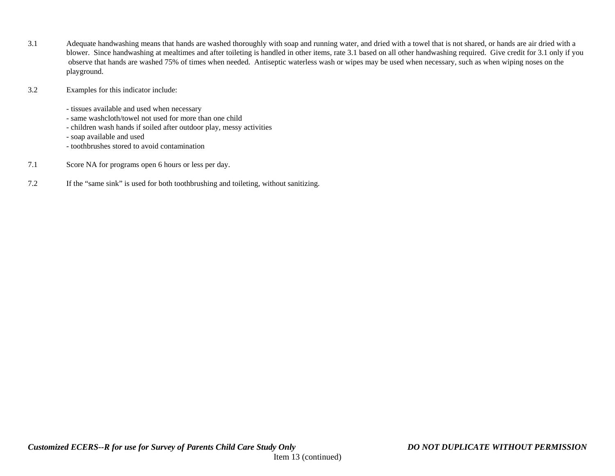3.1 Adequate handwashing means that hands are washed thoroughly with soap and running water, and dried with a towel that is not shared, or hands are air dried with a blower. Since handwashing at mealtimes and after toileting is handled in other items, rate 3.1 based on all other handwashing required. Give credit for 3.1 only if you observe that hands are washed 75% of times when needed. Antiseptic waterless wash or wipes may be used when necessary, such as when wiping noses on the playground.

## 3.2 Examples for this indicator include:

- tissues available and used when necessary

- same washcloth/towel not used for more than one child
- children wash hands if soiled after outdoor play, messy activities

- soap available and used

- toothbrushes stored to avoid contamination
- 7.1 Score NA for programs open 6 hours or less per day.
- 7.2 If the "same sink" is used for both toothbrushing and toileting, without sanitizing.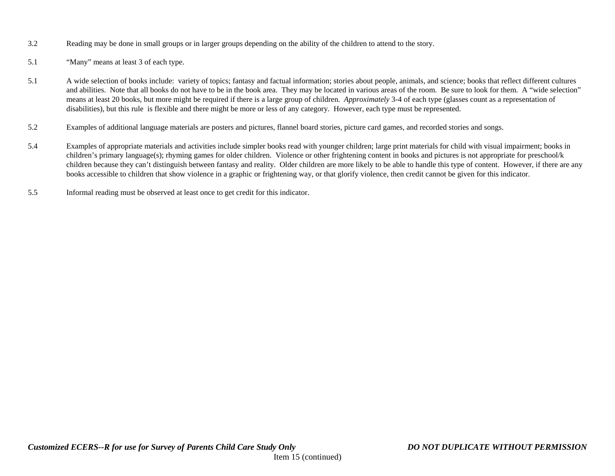- 3.2 Reading may be done in small groups or in larger groups depending on the ability of the children to attend to the story.
- 5.1 "Many" means at least 3 of each type.
- 5.1 A wide selection of books include: variety of topics; fantasy and factual information; stories about people, animals, and science; books that reflect different cultures and abilities. Note that all books do not have to be in the book area. They may be located in various areas of the room. Be sure to look for them. A "wide selection" means at least 20 books, but more might be required if there is a large group of children. *Approximately* 3-4 of each type (glasses count as a representation of disabilities), but this rule is flexible and there might be more or less of any category. However, each type must be represented.
- 5.2 Examples of additional language materials are posters and pictures, flannel board stories, picture card games, and recorded stories and songs.
- 5.4 Examples of appropriate materials and activities include simpler books read with younger children; large print materials for child with visual impairment; books in children's primary language(s); rhyming games for older children. Violence or other frightening content in books and pictures is not appropriate for preschool/k children because they can't distinguish between fantasy and reality. Older children are more likely to be able to handle this type of content. However, if there are any books accessible to children that show violence in a graphic or frightening way, or that glorify violence, then credit cannot be given for this indicator.
- 5.5 Informal reading must be observed at least once to get credit for this indicator.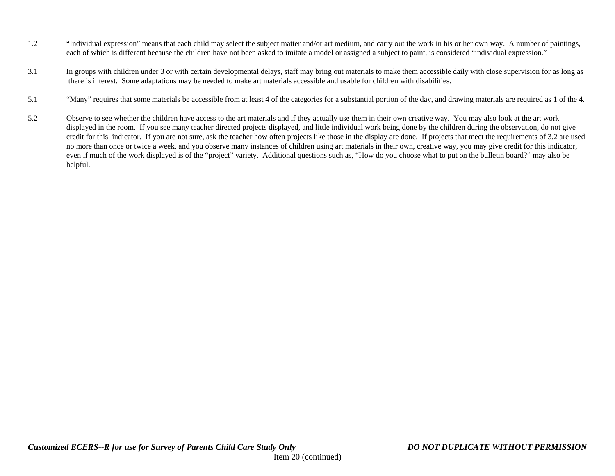- 1.2 "Individual expression" means that each child may select the subject matter and/or art medium, and carry out the work in his or her own way. A number of paintings, each of which is different because the children have not been asked to imitate a model or assigned a subject to paint, is considered "individual expression."
- 3.1 In groups with children under 3 or with certain developmental delays, staff may bring out materials to make them accessible daily with close supervision for as long as there is interest. Some adaptations may be needed to make art materials accessible and usable for children with disabilities.
- 5.1 "Many" requires that some materials be accessible from at least 4 of the categories for a substantial portion of the day, and drawing materials are required as 1 of the 4.
- 5.2 Observe to see whether the children have access to the art materials and if they actually use them in their own creative way. You may also look at the art work displayed in the room. If you see many teacher directed projects displayed, and little individual work being done by the children during the observation, do not give credit for this indicator. If you are not sure, ask the teacher how often projects like those in the display are done. If projects that meet the requirements of 3.2 are used no more than once or twice a week, and you observe many instances of children using art materials in their own, creative way, you may give credit for this indicator, even if much of the work displayed is of the "project" variety. Additional questions such as, "How do you choose what to put on the bulletin board?" may also be helpful.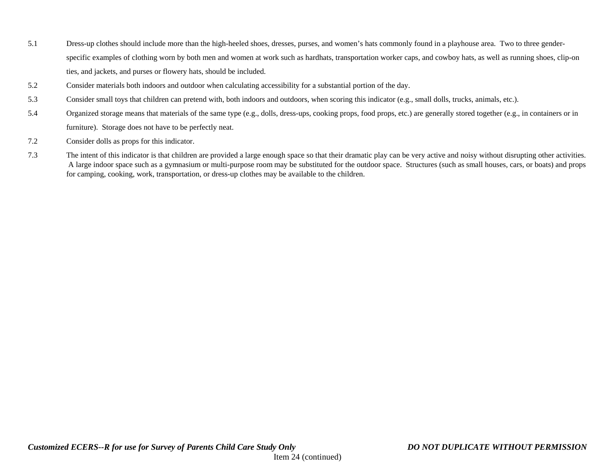- 5.1 Dress-up clothes should include more than the high-heeled shoes, dresses, purses, and women's hats commonly found in a playhouse area. Two to three genderspecific examples of clothing worn by both men and women at work such as hardhats, transportation worker caps, and cowboy hats, as well as running shoes, clip-on ties, and jackets, and purses or flowery hats, should be included.
- 5.2 Consider materials both indoors and outdoor when calculating accessibility for a substantial portion of the day.
- 5.3 Consider small toys that children can pretend with, both indoors and outdoors, when scoring this indicator (e.g., small dolls, trucks, animals, etc.).
- 5.4 Organized storage means that materials of the same type (e.g., dolls, dress-ups, cooking props, food props, etc.) are generally stored together (e.g., in containers or in furniture). Storage does not have to be perfectly neat.
- 7.2 Consider dolls as props for this indicator.
- 7.3 The intent of this indicator is that children are provided a large enough space so that their dramatic play can be very active and noisy without disrupting other activities. A large indoor space such as a gymnasium or multi-purpose room may be substituted for the outdoor space. Structures (such as small houses, cars, or boats) and props for camping, cooking, work, transportation, or dress-up clothes may be available to the children.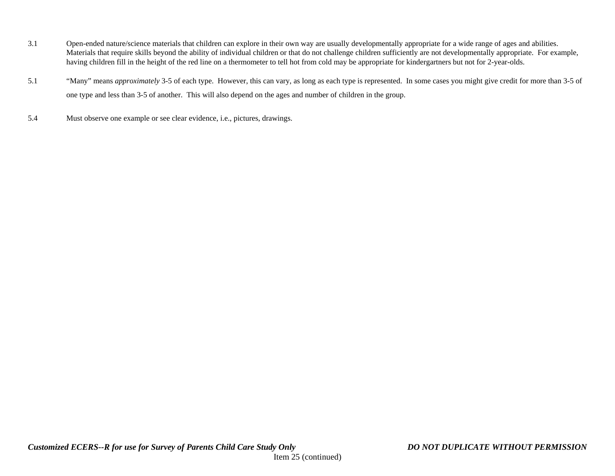- 3.1 Open-ended nature/science materials that children can explore in their own way are usually developmentally appropriate for a wide range of ages and abilities. Materials that require skills beyond the ability of individual children or that do not challenge children sufficiently are not developmentally appropriate. For example, having children fill in the height of the red line on a thermometer to tell hot from cold may be appropriate for kindergartners but not for 2-year-olds.
- 5.1 "Many" means *approximately* 3-5 of each type. However, this can vary, as long as each type is represented. In some cases you might give credit for more than 3-5 of one type and less than 3-5 of another. This will also depend on the ages and number of children in the group.
- 5.4 Must observe one example or see clear evidence, i.e., pictures, drawings.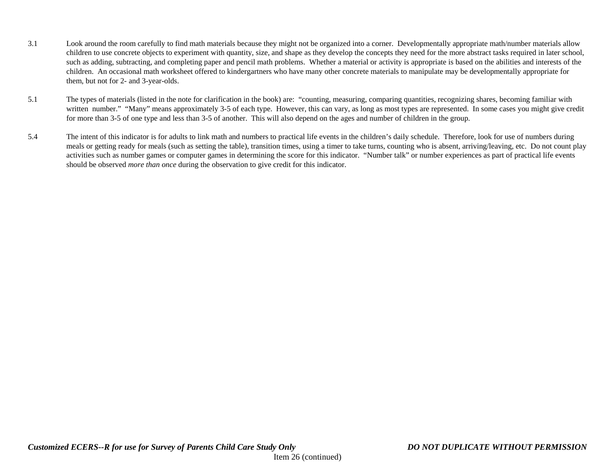- 3.1 Look around the room carefully to find math materials because they might not be organized into a corner. Developmentally appropriate math/number materials allow children to use concrete objects to experiment with quantity, size, and shape as they develop the concepts they need for the more abstract tasks required in later school, such as adding, subtracting, and completing paper and pencil math problems. Whether a material or activity is appropriate is based on the abilities and interests of the children. An occasional math worksheet offered to kindergartners who have many other concrete materials to manipulate may be developmentally appropriate for them, but not for 2- and 3-year-olds.
- 5.1 The types of materials (listed in the note for clarification in the book) are: "counting, measuring, comparing quantities, recognizing shares, becoming familiar with written number." "Many" means approximately 3-5 of each type. However, this can vary, as long as most types are represented. In some cases you might give credit for more than 3-5 of one type and less than 3-5 of another. This will also depend on the ages and number of children in the group.
- 5.4 The intent of this indicator is for adults to link math and numbers to practical life events in the children's daily schedule. Therefore, look for use of numbers during meals or getting ready for meals (such as setting the table), transition times, using a timer to take turns, counting who is absent, arriving/leaving, etc. Do not count play activities such as number games or computer games in determining the score for this indicator. "Number talk" or number experiences as part of practical life events should be observed *more than once* during the observation to give credit for this indicator.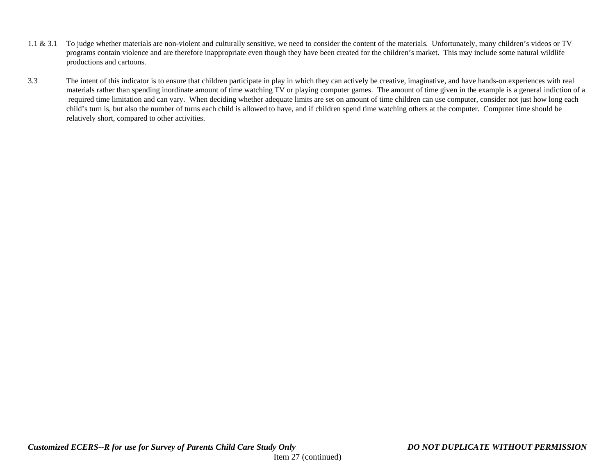- 1.1 & 3.1 To judge whether materials are non-violent and culturally sensitive, we need to consider the content of the materials. Unfortunately, many children's videos or TV programs contain violence and are therefore inappropriate even though they have been created for the children's market. This may include some natural wildlife productions and cartoons.
- 3.3 The intent of this indicator is to ensure that children participate in play in which they can actively be creative, imaginative, and have hands-on experiences with real materials rather than spending inordinate amount of time watching TV or playing computer games. The amount of time given in the example is a general indiction of a required time limitation and can vary. When deciding whether adequate limits are set on amount of time children can use computer, consider not just how long each child's turn is, but also the number of turns each child is allowed to have, and if children spend time watching others at the computer. Computer time should be relatively short, compared to other activities.